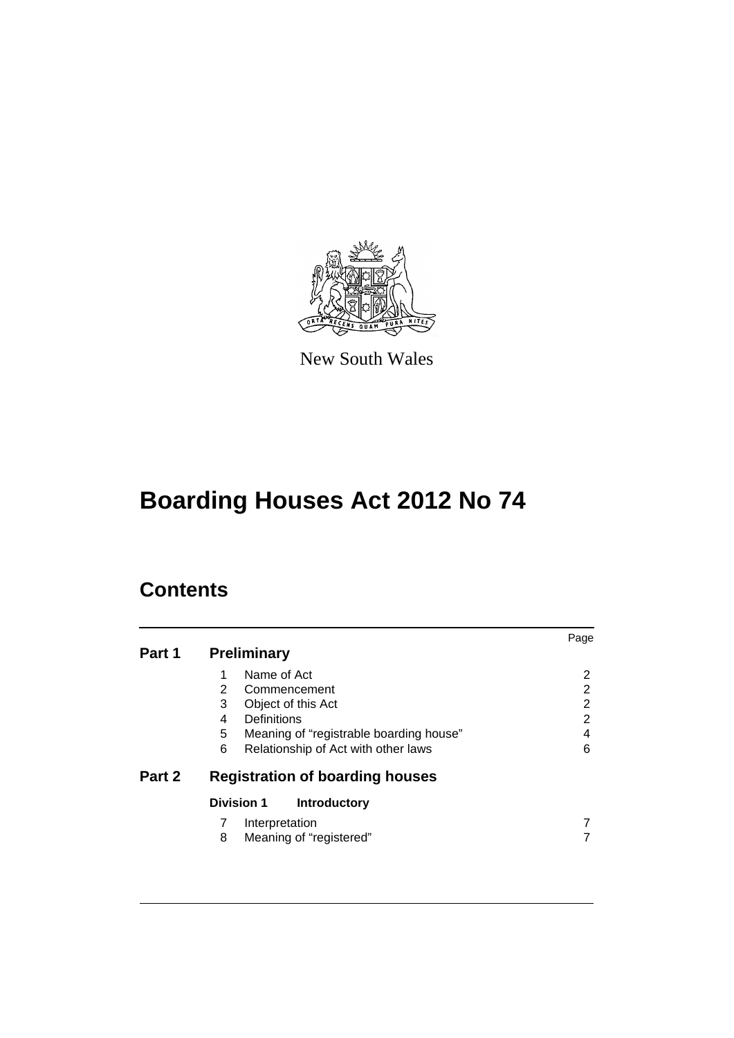

New South Wales

# **Boarding Houses Act 2012 No 74**

## **Contents**

|        |                                              | Page           |
|--------|----------------------------------------------|----------------|
| Part 1 | <b>Preliminary</b>                           |                |
|        | Name of Act<br>1                             | 2              |
|        | 2<br>Commencement                            | 2              |
|        | 3<br>Object of this Act                      | $\overline{2}$ |
|        | Definitions<br>4                             | 2              |
|        | 5<br>Meaning of "registrable boarding house" | 4              |
|        | 6<br>Relationship of Act with other laws     | 6              |
| Part 2 | <b>Registration of boarding houses</b>       |                |
|        | <b>Division 1</b><br>Introductory            |                |
|        | Interpretation                               |                |
|        | Meaning of "registered"<br>8                 |                |
|        |                                              |                |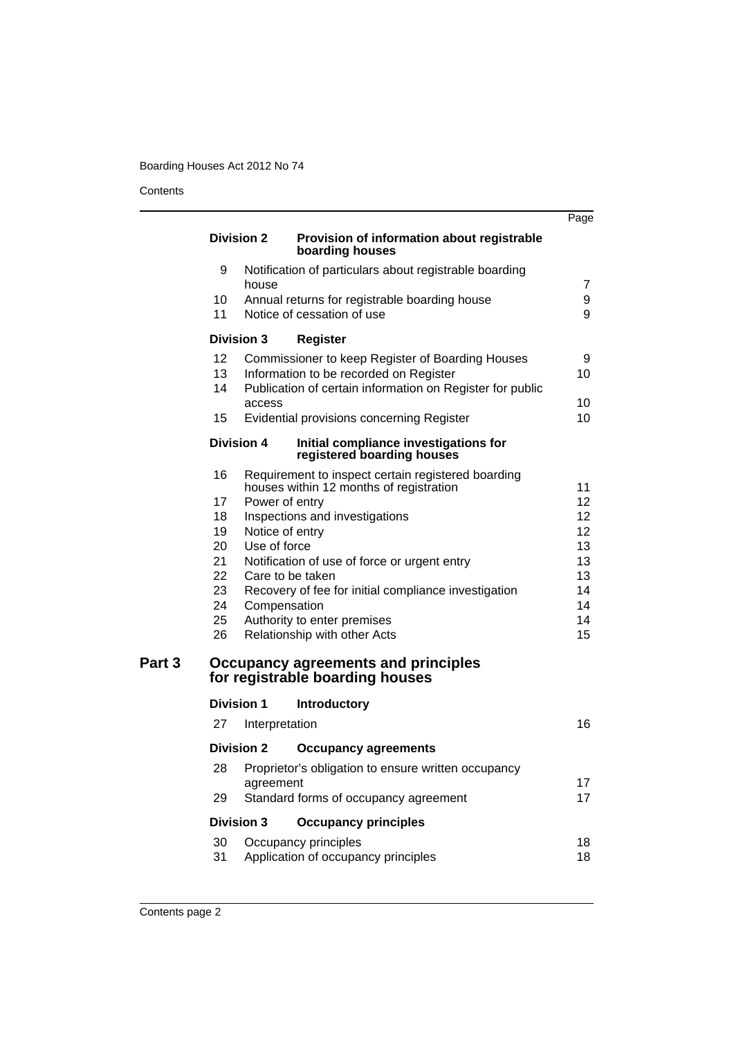**Contents** 

|                  |                                     |                                                                                               | Page            |
|------------------|-------------------------------------|-----------------------------------------------------------------------------------------------|-----------------|
|                  | <b>Division 2</b>                   | Provision of information about registrable<br>boarding houses                                 |                 |
| 9                | house                               | Notification of particulars about registrable boarding                                        | 7               |
| 10               |                                     | Annual returns for registrable boarding house                                                 | 9               |
| 11               |                                     | Notice of cessation of use                                                                    | 9               |
|                  | <b>Division 3</b>                   | <b>Register</b>                                                                               |                 |
| 12               |                                     | Commissioner to keep Register of Boarding Houses                                              | 9               |
| 13 <sup>13</sup> |                                     | Information to be recorded on Register                                                        | 10              |
| 14               | access                              | Publication of certain information on Register for public                                     | 10              |
| 15               |                                     | Evidential provisions concerning Register                                                     | 10              |
|                  | <b>Division 4</b>                   | Initial compliance investigations for<br>registered boarding houses                           |                 |
| 16               |                                     | Requirement to inspect certain registered boarding<br>houses within 12 months of registration | 11              |
| 17               |                                     | Power of entry                                                                                | 12 <sup>2</sup> |
| 18               |                                     | Inspections and investigations                                                                | 12 <sup>2</sup> |
| 19               |                                     | Notice of entry                                                                               | 12              |
| 20               | Use of force                        |                                                                                               | 13              |
| 21               |                                     | Notification of use of force or urgent entry                                                  | 13              |
| 22 <sub>2</sub>  |                                     | Care to be taken                                                                              | 13              |
| 23               |                                     | Recovery of fee for initial compliance investigation                                          | 14              |
| 24               |                                     | Compensation                                                                                  | 14              |
| 25<br>26         |                                     | Authority to enter premises<br>Relationship with other Acts                                   | 14<br>15        |
|                  |                                     | Occupancy agreements and principles<br>for registrable boarding houses                        |                 |
|                  |                                     |                                                                                               |                 |
| 27               | <b>Division 1</b><br>Interpretation | <b>Introductory</b>                                                                           | 16              |
|                  |                                     |                                                                                               |                 |
|                  | <b>Division 2</b>                   | <b>Occupancy agreements</b>                                                                   |                 |
| 28               | agreement                           | Proprietor's obligation to ensure written occupancy                                           | 17              |
| 29               |                                     | Standard forms of occupancy agreement                                                         | 17              |
|                  | <b>Division 3</b>                   | <b>Occupancy principles</b>                                                                   |                 |
| 30               |                                     | Occupancy principles                                                                          | 18              |
| 31               |                                     | Application of occupancy principles                                                           | 18              |
|                  |                                     |                                                                                               |                 |

Part 3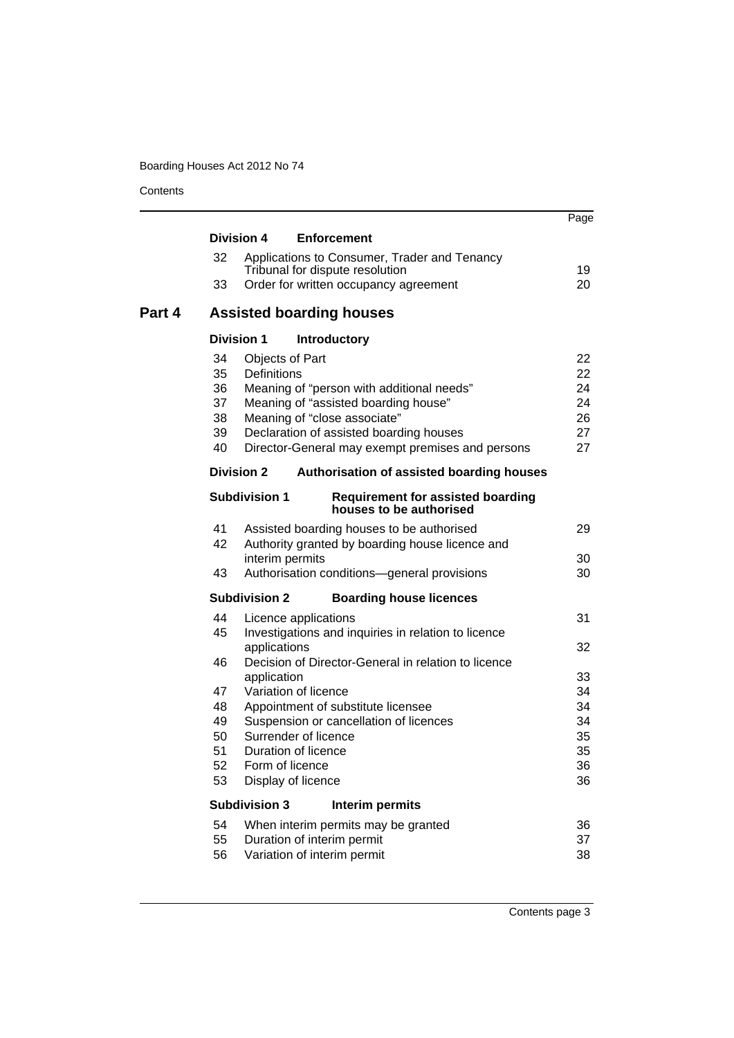**Contents** 

|        |          |                                        |                                                                     | Page     |
|--------|----------|----------------------------------------|---------------------------------------------------------------------|----------|
|        |          | <b>Division 4</b>                      | <b>Enforcement</b>                                                  |          |
|        | 32       |                                        | Applications to Consumer, Trader and Tenancy                        |          |
|        |          |                                        | Tribunal for dispute resolution                                     | 19       |
|        | 33       |                                        | Order for written occupancy agreement                               | 20       |
| Part 4 |          |                                        | <b>Assisted boarding houses</b>                                     |          |
|        |          | <b>Division 1</b>                      | <b>Introductory</b>                                                 |          |
|        | 34       | Objects of Part                        |                                                                     | 22       |
|        | 35       | <b>Definitions</b>                     |                                                                     | 22       |
|        | 36       |                                        | Meaning of "person with additional needs"                           | 24       |
|        | 37       |                                        | Meaning of "assisted boarding house"                                | 24       |
|        | 38       |                                        | Meaning of "close associate"                                        | 26       |
|        | 39       |                                        | Declaration of assisted boarding houses                             | 27       |
|        | 40       |                                        | Director-General may exempt premises and persons                    | 27       |
|        |          | <b>Division 2</b>                      | Authorisation of assisted boarding houses                           |          |
|        |          | <b>Subdivision 1</b>                   | <b>Requirement for assisted boarding</b><br>houses to be authorised |          |
|        | 41       |                                        | Assisted boarding houses to be authorised                           | 29       |
|        | 42       |                                        | Authority granted by boarding house licence and                     |          |
|        |          | interim permits                        |                                                                     | 30       |
|        | 43       |                                        | Authorisation conditions-general provisions                         | 30       |
|        |          | <b>Subdivision 2</b>                   | <b>Boarding house licences</b>                                      |          |
|        | 44       | Licence applications                   |                                                                     | 31       |
|        | 45       |                                        | Investigations and inquiries in relation to licence                 |          |
|        |          | applications                           |                                                                     | 32       |
|        | 46       |                                        | Decision of Director-General in relation to licence                 |          |
|        |          | application                            |                                                                     | 33       |
|        | 47       | Variation of licence                   |                                                                     | 34       |
|        | 48       |                                        | Appointment of substitute licensee                                  | 34       |
|        | 49       |                                        | Suspension or cancellation of licences                              | 34       |
|        | 50       | Surrender of licence                   |                                                                     | 35       |
|        | 51<br>52 | Duration of licence<br>Form of licence |                                                                     | 35       |
|        | 53       | Display of licence                     |                                                                     | 36<br>36 |
|        |          |                                        |                                                                     |          |
|        |          | <b>Subdivision 3</b>                   | Interim permits                                                     |          |
|        | 54       |                                        | When interim permits may be granted                                 | 36       |
|        | 55       |                                        | Duration of interim permit                                          | 37       |
|        | 56       |                                        | Variation of interim permit                                         | 38       |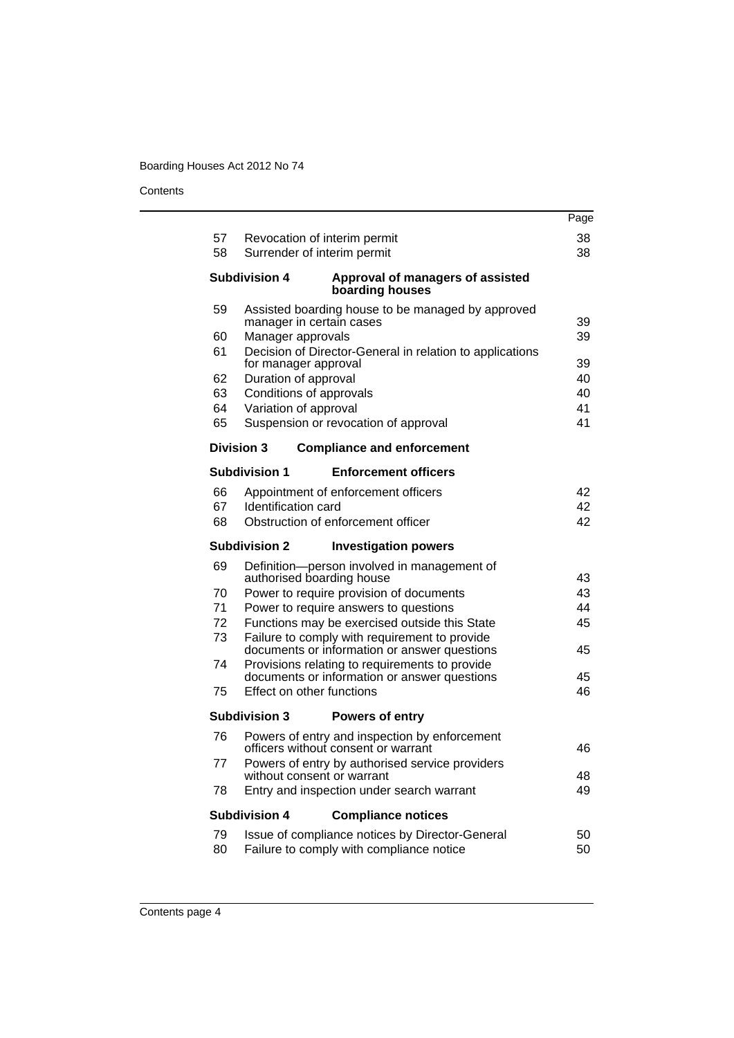**Contents** 

|          |                                                                                        | Page     |
|----------|----------------------------------------------------------------------------------------|----------|
| 57       | Revocation of interim permit                                                           | 38       |
| 58       | Surrender of interim permit                                                            | 38       |
|          | <b>Subdivision 4</b><br>Approval of managers of assisted<br>boarding houses            |          |
| 59       | Assisted boarding house to be managed by approved                                      |          |
|          | manager in certain cases                                                               | 39       |
| 60       | Manager approvals                                                                      | 39       |
| 61       | Decision of Director-General in relation to applications<br>for manager approval       | 39       |
| 62       | Duration of approval                                                                   | 40       |
| 63       | Conditions of approvals                                                                | 40       |
| 64       | Variation of approval                                                                  | 41       |
| 65       | Suspension or revocation of approval                                                   | 41       |
|          | <b>Division 3</b><br><b>Compliance and enforcement</b>                                 |          |
|          | <b>Subdivision 1</b><br><b>Enforcement officers</b>                                    |          |
|          |                                                                                        |          |
| 66       | Appointment of enforcement officers                                                    | 42       |
| 67       | Identification card                                                                    | 42       |
| 68       | Obstruction of enforcement officer                                                     | 42       |
|          | <b>Subdivision 2</b><br><b>Investigation powers</b>                                    |          |
| 69       | Definition-person involved in management of                                            |          |
|          | authorised boarding house                                                              | 43       |
| 70<br>71 | Power to require provision of documents                                                | 43<br>44 |
| 72       | Power to require answers to questions<br>Functions may be exercised outside this State | 45       |
| 73       | Failure to comply with requirement to provide                                          |          |
|          | documents or information or answer questions                                           | 45       |
| 74       | Provisions relating to requirements to provide                                         |          |
|          | documents or information or answer questions                                           | 45       |
| 75       | Effect on other functions                                                              | 46       |
|          | <b>Subdivision 3</b><br><b>Powers of entry</b>                                         |          |
| 76       | Powers of entry and inspection by enforcement                                          |          |
|          |                                                                                        | 46       |
|          | officers without consent or warrant                                                    |          |
| 77       | Powers of entry by authorised service providers                                        |          |
|          | without consent or warrant                                                             | 48       |
| 78       | Entry and inspection under search warrant                                              | 49       |
|          | <b>Subdivision 4</b><br><b>Compliance notices</b>                                      |          |
| 79       | Issue of compliance notices by Director-General                                        | 50       |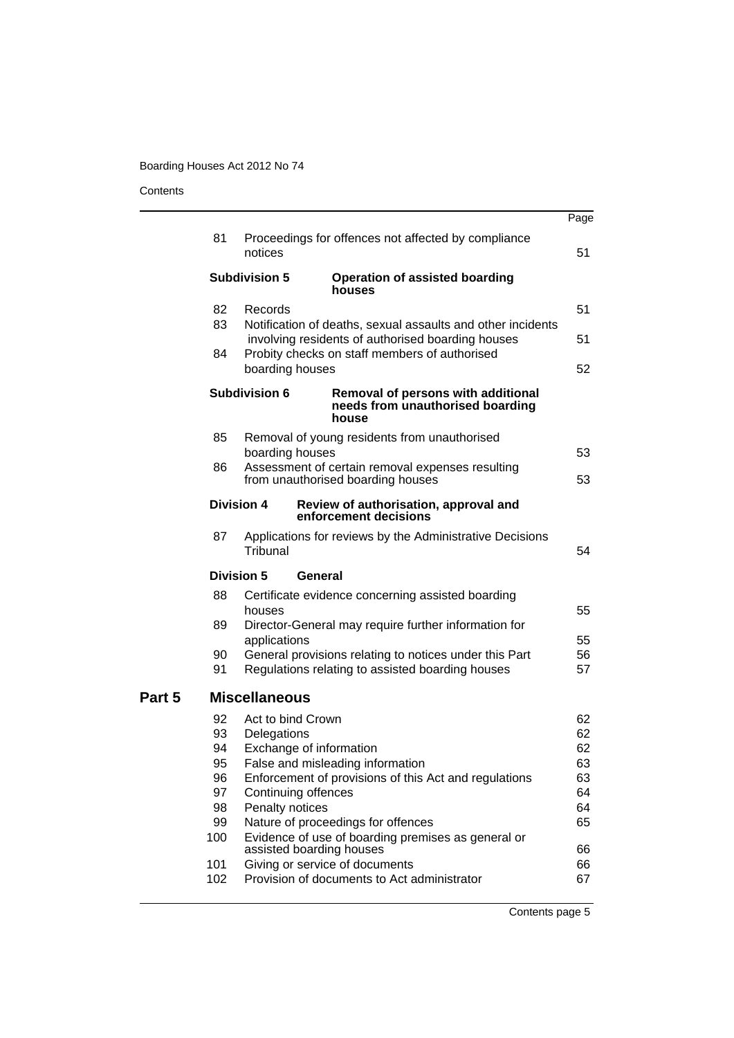#### **Contents**

|                                                                   |                |                                                                                                                | Page                                                                                                                                                                                                                                                                                                                                                                                                                                                                                                                                                                                                                                                                                                                                                                                                                                                                                                                                                                                                                                                                                                                                                                        |
|-------------------------------------------------------------------|----------------|----------------------------------------------------------------------------------------------------------------|-----------------------------------------------------------------------------------------------------------------------------------------------------------------------------------------------------------------------------------------------------------------------------------------------------------------------------------------------------------------------------------------------------------------------------------------------------------------------------------------------------------------------------------------------------------------------------------------------------------------------------------------------------------------------------------------------------------------------------------------------------------------------------------------------------------------------------------------------------------------------------------------------------------------------------------------------------------------------------------------------------------------------------------------------------------------------------------------------------------------------------------------------------------------------------|
| 81                                                                | notices        |                                                                                                                | 51                                                                                                                                                                                                                                                                                                                                                                                                                                                                                                                                                                                                                                                                                                                                                                                                                                                                                                                                                                                                                                                                                                                                                                          |
|                                                                   |                | <b>Operation of assisted boarding</b><br>houses                                                                |                                                                                                                                                                                                                                                                                                                                                                                                                                                                                                                                                                                                                                                                                                                                                                                                                                                                                                                                                                                                                                                                                                                                                                             |
| 82                                                                | Records        |                                                                                                                | 51                                                                                                                                                                                                                                                                                                                                                                                                                                                                                                                                                                                                                                                                                                                                                                                                                                                                                                                                                                                                                                                                                                                                                                          |
|                                                                   |                |                                                                                                                | 51                                                                                                                                                                                                                                                                                                                                                                                                                                                                                                                                                                                                                                                                                                                                                                                                                                                                                                                                                                                                                                                                                                                                                                          |
|                                                                   |                |                                                                                                                | 52                                                                                                                                                                                                                                                                                                                                                                                                                                                                                                                                                                                                                                                                                                                                                                                                                                                                                                                                                                                                                                                                                                                                                                          |
|                                                                   |                | Removal of persons with additional<br>needs from unauthorised boarding<br>house                                |                                                                                                                                                                                                                                                                                                                                                                                                                                                                                                                                                                                                                                                                                                                                                                                                                                                                                                                                                                                                                                                                                                                                                                             |
| 85                                                                |                |                                                                                                                | 53                                                                                                                                                                                                                                                                                                                                                                                                                                                                                                                                                                                                                                                                                                                                                                                                                                                                                                                                                                                                                                                                                                                                                                          |
| 86                                                                |                |                                                                                                                | 53                                                                                                                                                                                                                                                                                                                                                                                                                                                                                                                                                                                                                                                                                                                                                                                                                                                                                                                                                                                                                                                                                                                                                                          |
|                                                                   |                |                                                                                                                |                                                                                                                                                                                                                                                                                                                                                                                                                                                                                                                                                                                                                                                                                                                                                                                                                                                                                                                                                                                                                                                                                                                                                                             |
| 87                                                                | Tribunal       |                                                                                                                | 54                                                                                                                                                                                                                                                                                                                                                                                                                                                                                                                                                                                                                                                                                                                                                                                                                                                                                                                                                                                                                                                                                                                                                                          |
|                                                                   |                |                                                                                                                |                                                                                                                                                                                                                                                                                                                                                                                                                                                                                                                                                                                                                                                                                                                                                                                                                                                                                                                                                                                                                                                                                                                                                                             |
| 88                                                                | houses         |                                                                                                                | 55                                                                                                                                                                                                                                                                                                                                                                                                                                                                                                                                                                                                                                                                                                                                                                                                                                                                                                                                                                                                                                                                                                                                                                          |
| 89                                                                | applications   |                                                                                                                | 55                                                                                                                                                                                                                                                                                                                                                                                                                                                                                                                                                                                                                                                                                                                                                                                                                                                                                                                                                                                                                                                                                                                                                                          |
| 91                                                                |                |                                                                                                                | 56<br>57                                                                                                                                                                                                                                                                                                                                                                                                                                                                                                                                                                                                                                                                                                                                                                                                                                                                                                                                                                                                                                                                                                                                                                    |
|                                                                   |                |                                                                                                                |                                                                                                                                                                                                                                                                                                                                                                                                                                                                                                                                                                                                                                                                                                                                                                                                                                                                                                                                                                                                                                                                                                                                                                             |
| 92<br>93<br>94<br>95<br>96<br>97<br>98<br>99<br>100<br>101<br>102 | Delegations    |                                                                                                                | 62<br>62<br>62<br>63<br>63<br>64<br>64<br>65<br>66<br>66<br>67                                                                                                                                                                                                                                                                                                                                                                                                                                                                                                                                                                                                                                                                                                                                                                                                                                                                                                                                                                                                                                                                                                              |
|                                                                   | 83<br>84<br>90 | <b>Subdivision 5</b><br><b>Subdivision 6</b><br><b>Division 4</b><br><b>Division 5</b><br><b>Miscellaneous</b> | Proceedings for offences not affected by compliance<br>Notification of deaths, sexual assaults and other incidents<br>involving residents of authorised boarding houses<br>Probity checks on staff members of authorised<br>boarding houses<br>Removal of young residents from unauthorised<br>boarding houses<br>Assessment of certain removal expenses resulting<br>from unauthorised boarding houses<br>Review of authorisation, approval and<br>enforcement decisions<br>Applications for reviews by the Administrative Decisions<br>General<br>Certificate evidence concerning assisted boarding<br>Director-General may require further information for<br>General provisions relating to notices under this Part<br>Regulations relating to assisted boarding houses<br>Act to bind Crown<br>Exchange of information<br>False and misleading information<br>Enforcement of provisions of this Act and regulations<br>Continuing offences<br>Penalty notices<br>Nature of proceedings for offences<br>Evidence of use of boarding premises as general or<br>assisted boarding houses<br>Giving or service of documents<br>Provision of documents to Act administrator |

Contents page 5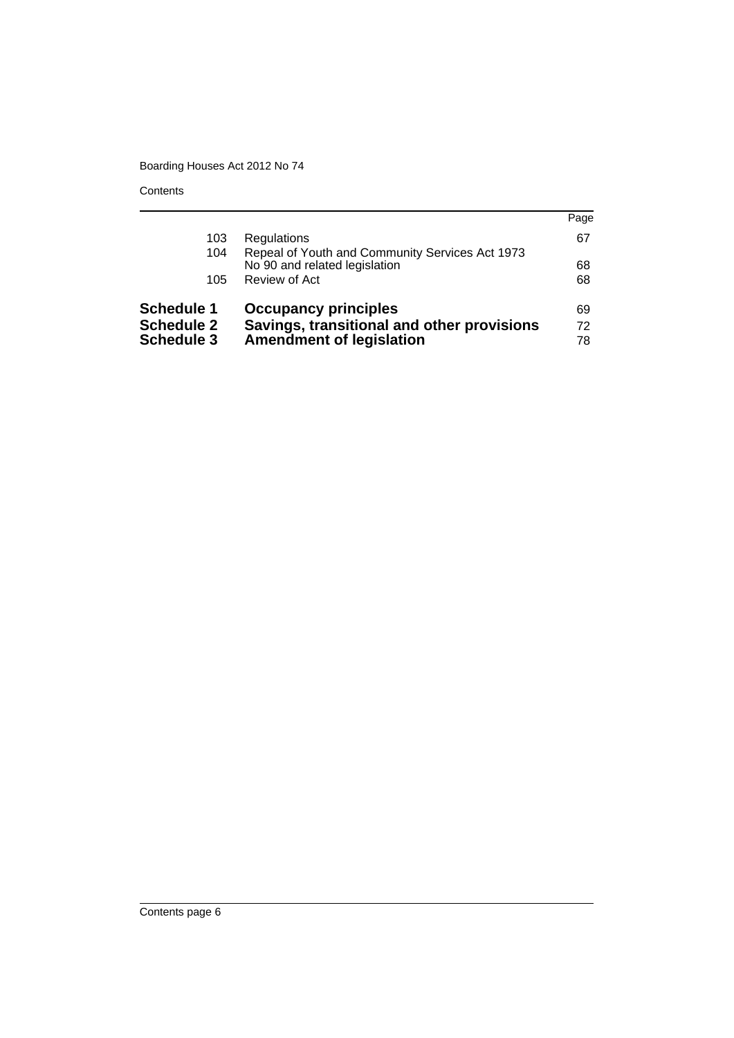**Contents** 

|                   |                                                                                  | Page |
|-------------------|----------------------------------------------------------------------------------|------|
| 103               | Regulations                                                                      | 67   |
| 104               | Repeal of Youth and Community Services Act 1973<br>No 90 and related legislation | 68   |
| 105               | Review of Act                                                                    | 68   |
| <b>Schedule 1</b> | <b>Occupancy principles</b>                                                      | 69   |
| <b>Schedule 2</b> | Savings, transitional and other provisions                                       | 72   |
| <b>Schedule 3</b> | <b>Amendment of legislation</b>                                                  | 78   |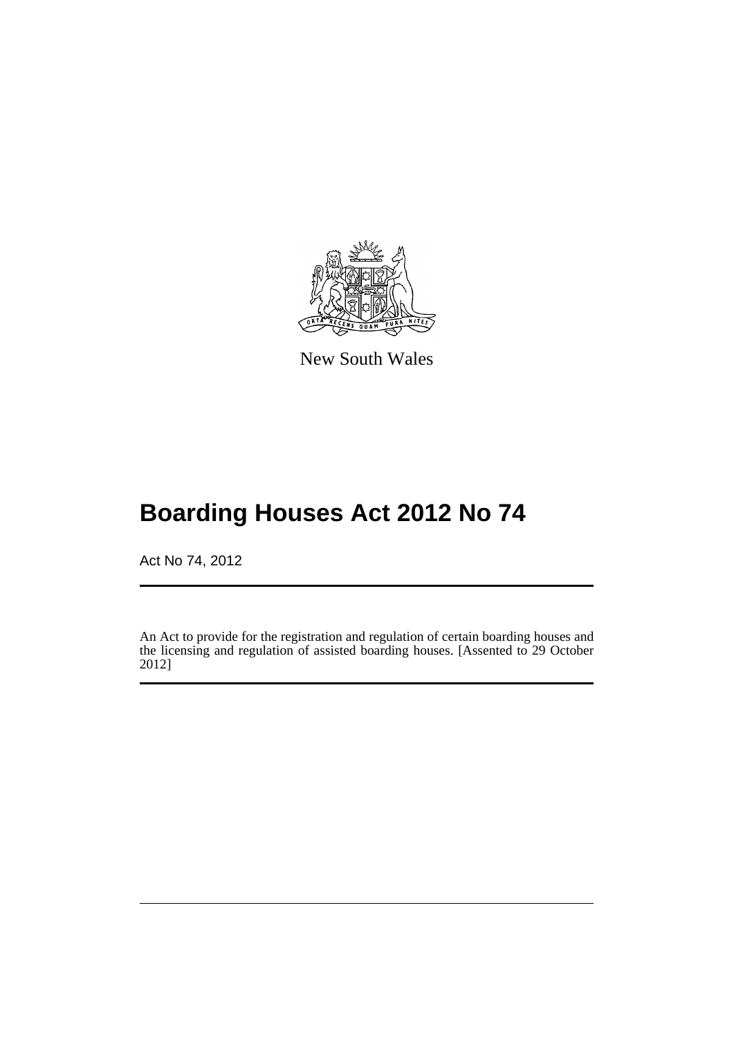

New South Wales

# **Boarding Houses Act 2012 No 74**

Act No 74, 2012

An Act to provide for the registration and regulation of certain boarding houses and the licensing and regulation of assisted boarding houses. [Assented to 29 October 2012]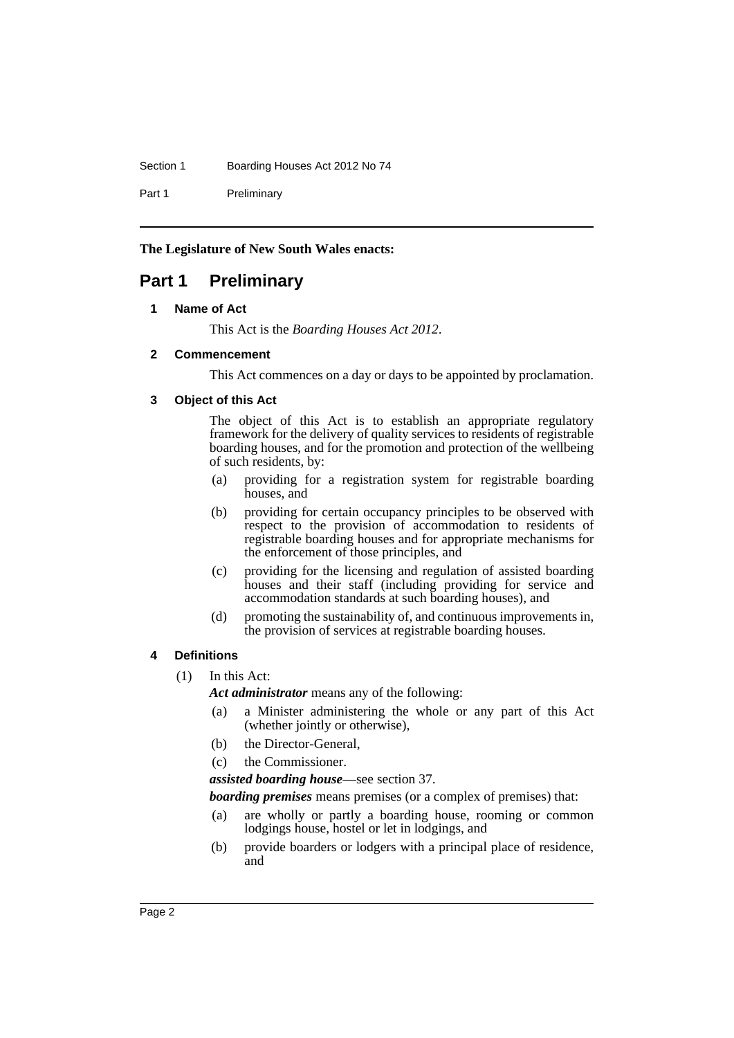#### Section 1 Boarding Houses Act 2012 No 74

Part 1 Preliminary

**The Legislature of New South Wales enacts:**

## <span id="page-7-1"></span><span id="page-7-0"></span>**Part 1 Preliminary**

#### **1 Name of Act**

This Act is the *Boarding Houses Act 2012*.

#### <span id="page-7-2"></span>**2 Commencement**

This Act commences on a day or days to be appointed by proclamation.

#### <span id="page-7-3"></span>**3 Object of this Act**

The object of this Act is to establish an appropriate regulatory framework for the delivery of quality services to residents of registrable boarding houses, and for the promotion and protection of the wellbeing of such residents, by:

- (a) providing for a registration system for registrable boarding houses, and
- (b) providing for certain occupancy principles to be observed with respect to the provision of accommodation to residents of registrable boarding houses and for appropriate mechanisms for the enforcement of those principles, and
- (c) providing for the licensing and regulation of assisted boarding houses and their staff (including providing for service and accommodation standards at such boarding houses), and
- (d) promoting the sustainability of, and continuous improvements in, the provision of services at registrable boarding houses.

#### <span id="page-7-4"></span>**4 Definitions**

(1) In this Act:

*Act administrator* means any of the following:

- (a) a Minister administering the whole or any part of this Act (whether jointly or otherwise),
- (b) the Director-General,
- (c) the Commissioner.

*assisted boarding house*—see section 37.

*boarding premises* means premises (or a complex of premises) that:

- (a) are wholly or partly a boarding house, rooming or common lodgings house, hostel or let in lodgings, and
- (b) provide boarders or lodgers with a principal place of residence, and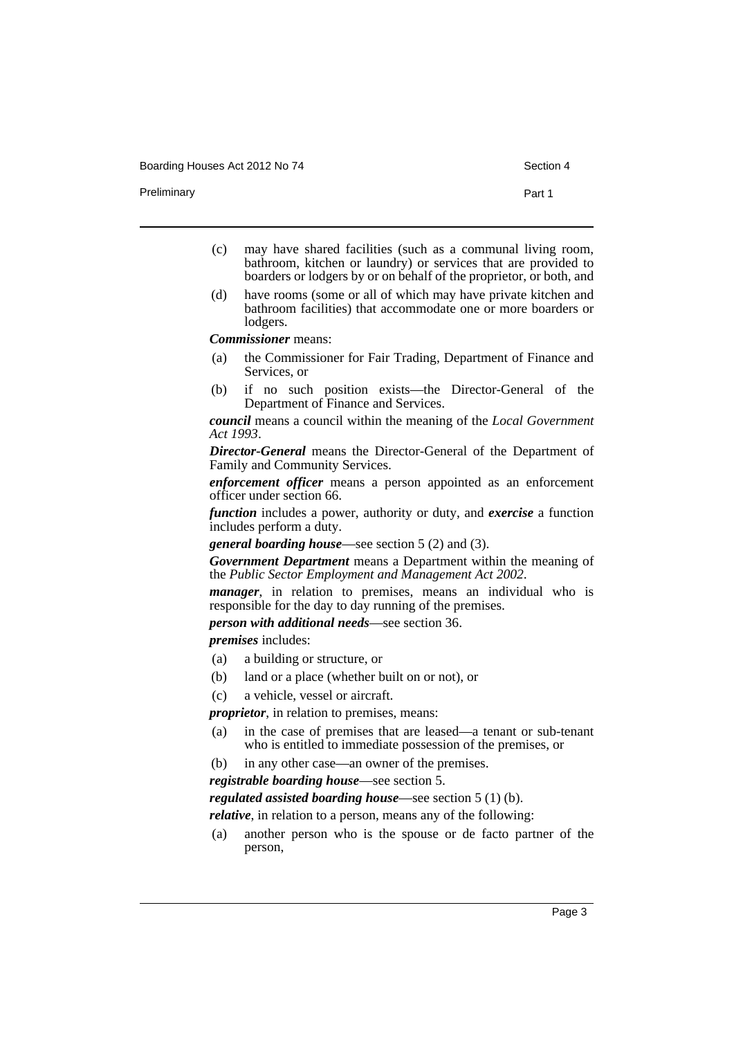Preliminary **Part 1** 

- (c) may have shared facilities (such as a communal living room, bathroom, kitchen or laundry) or services that are provided to boarders or lodgers by or on behalf of the proprietor, or both, and
- (d) have rooms (some or all of which may have private kitchen and bathroom facilities) that accommodate one or more boarders or lodgers.

*Commissioner* means:

- (a) the Commissioner for Fair Trading, Department of Finance and Services, or
- (b) if no such position exists—the Director-General of the Department of Finance and Services.

*council* means a council within the meaning of the *Local Government Act 1993*.

*Director-General* means the Director-General of the Department of Family and Community Services.

*enforcement officer* means a person appointed as an enforcement officer under section 66.

*function* includes a power, authority or duty, and *exercise* a function includes perform a duty.

*general boarding house*—see section 5 (2) and (3).

*Government Department* means a Department within the meaning of the *Public Sector Employment and Management Act 2002*.

*manager*, in relation to premises, means an individual who is responsible for the day to day running of the premises.

*person with additional needs*—see section 36.

*premises* includes:

- (a) a building or structure, or
- (b) land or a place (whether built on or not), or
- (c) a vehicle, vessel or aircraft.

*proprietor*, in relation to premises, means:

- (a) in the case of premises that are leased—a tenant or sub-tenant who is entitled to immediate possession of the premises, or
- (b) in any other case—an owner of the premises.

*registrable boarding house*—see section 5.

*regulated assisted boarding house*—see section 5 (1) (b).

*relative*, in relation to a person, means any of the following:

(a) another person who is the spouse or de facto partner of the person,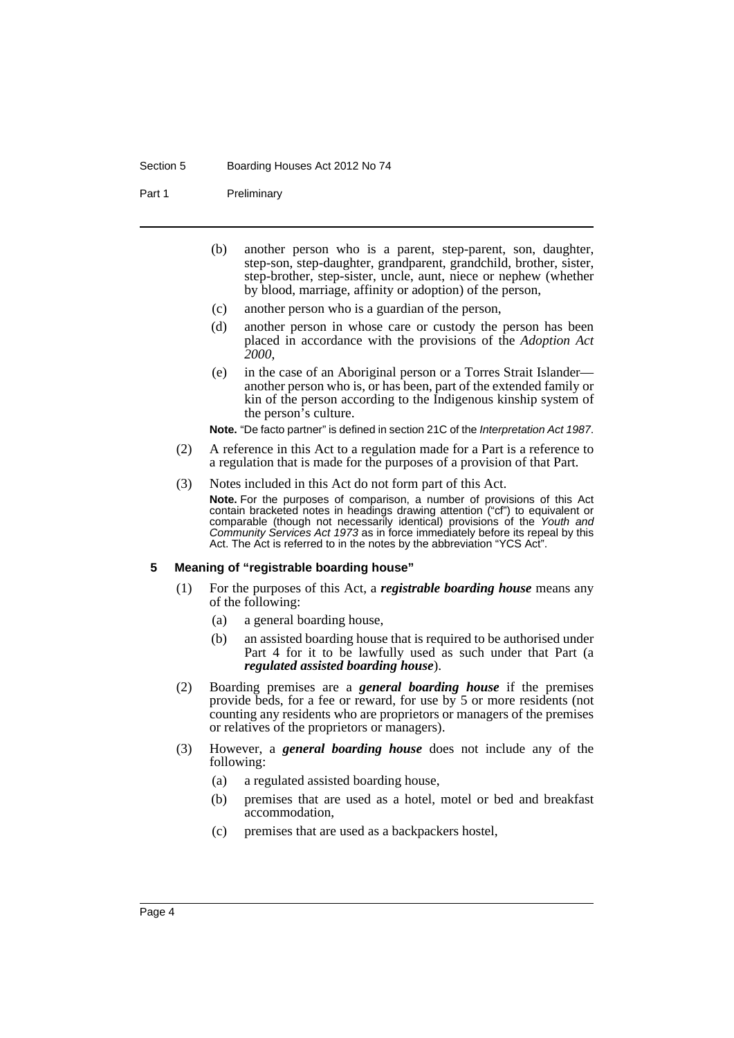#### Section 5 Boarding Houses Act 2012 No 74

Part 1 Preliminary

- (b) another person who is a parent, step-parent, son, daughter, step-son, step-daughter, grandparent, grandchild, brother, sister, step-brother, step-sister, uncle, aunt, niece or nephew (whether by blood, marriage, affinity or adoption) of the person,
- (c) another person who is a guardian of the person,
- (d) another person in whose care or custody the person has been placed in accordance with the provisions of the *Adoption Act 2000*,
- (e) in the case of an Aboriginal person or a Torres Strait Islander another person who is, or has been, part of the extended family or kin of the person according to the Indigenous kinship system of the person's culture.
- **Note.** "De facto partner" is defined in section 21C of the *Interpretation Act 1987*.
- (2) A reference in this Act to a regulation made for a Part is a reference to a regulation that is made for the purposes of a provision of that Part.
- (3) Notes included in this Act do not form part of this Act.

**Note.** For the purposes of comparison, a number of provisions of this Act contain bracketed notes in headings drawing attention ("cf") to equivalent or comparable (though not necessarily identical) provisions of the *Youth and Community Services Act 1973* as in force immediately before its repeal by this Act. The Act is referred to in the notes by the abbreviation "YCS Act".

#### <span id="page-9-0"></span>**5 Meaning of "registrable boarding house"**

- (1) For the purposes of this Act, a *registrable boarding house* means any of the following:
	- (a) a general boarding house,
	- (b) an assisted boarding house that is required to be authorised under Part 4 for it to be lawfully used as such under that Part (a *regulated assisted boarding house*).
- (2) Boarding premises are a *general boarding house* if the premises provide beds, for a fee or reward, for use by 5 or more residents (not counting any residents who are proprietors or managers of the premises or relatives of the proprietors or managers).
- (3) However, a *general boarding house* does not include any of the following:
	- (a) a regulated assisted boarding house,
	- (b) premises that are used as a hotel, motel or bed and breakfast accommodation,
	- (c) premises that are used as a backpackers hostel,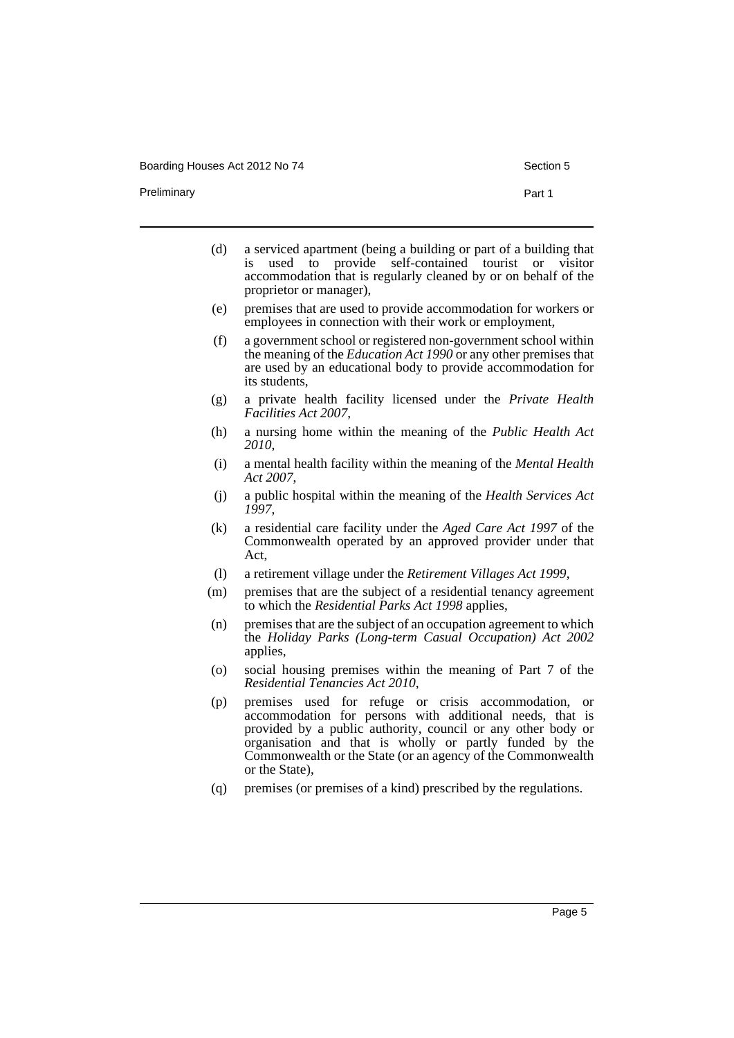Boarding Houses Act 2012 No 74 Section 5

Preliminary **Preliminary Part 1** 

- (d) a serviced apartment (being a building or part of a building that is used to provide self-contained tourist or visitor accommodation that is regularly cleaned by or on behalf of the proprietor or manager),
- (e) premises that are used to provide accommodation for workers or employees in connection with their work or employment,
- (f) a government school or registered non-government school within the meaning of the *Education Act 1990* or any other premises that are used by an educational body to provide accommodation for its students,
- (g) a private health facility licensed under the *Private Health Facilities Act 2007*,
- (h) a nursing home within the meaning of the *Public Health Act 2010*,
- (i) a mental health facility within the meaning of the *Mental Health Act 2007*,
- (j) a public hospital within the meaning of the *Health Services Act 1997*,
- (k) a residential care facility under the *Aged Care Act 1997* of the Commonwealth operated by an approved provider under that Act,
- (l) a retirement village under the *Retirement Villages Act 1999*,
- (m) premises that are the subject of a residential tenancy agreement to which the *Residential Parks Act 1998* applies,
- (n) premises that are the subject of an occupation agreement to which the *Holiday Parks (Long-term Casual Occupation) Act 2002* applies,
- (o) social housing premises within the meaning of Part 7 of the *Residential Tenancies Act 2010*,
- (p) premises used for refuge or crisis accommodation, or accommodation for persons with additional needs, that is provided by a public authority, council or any other body or organisation and that is wholly or partly funded by the Commonwealth or the State (or an agency of the Commonwealth or the State),
- (q) premises (or premises of a kind) prescribed by the regulations.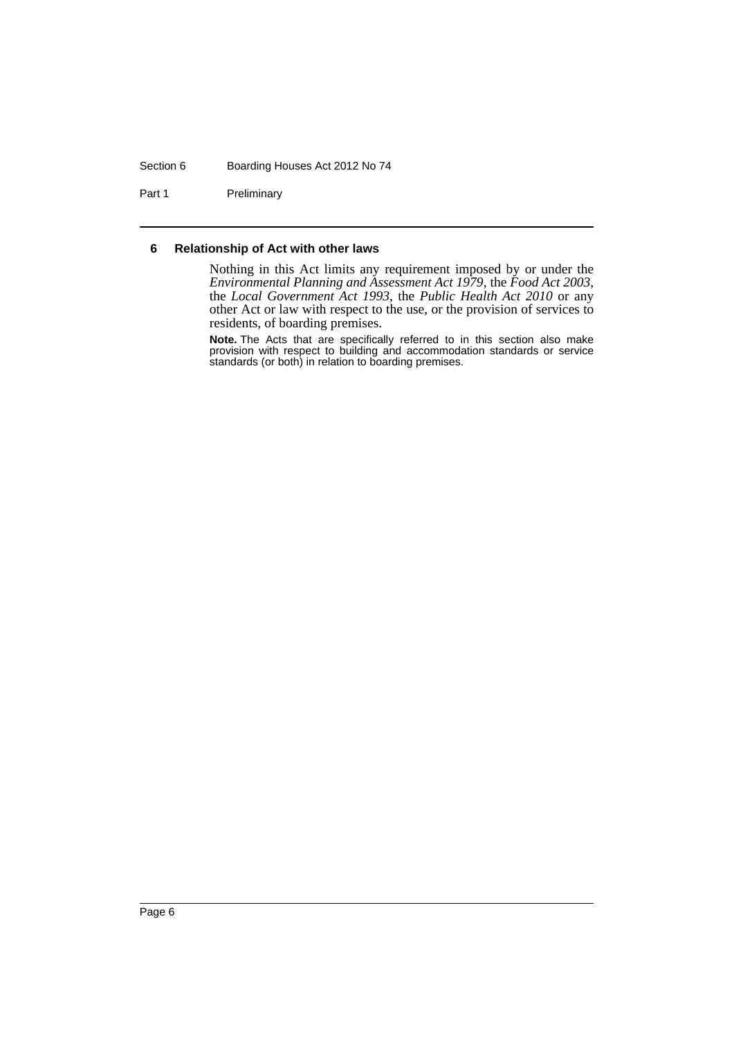#### Section 6 Boarding Houses Act 2012 No 74

Part 1 Preliminary

#### <span id="page-11-0"></span>**6 Relationship of Act with other laws**

Nothing in this Act limits any requirement imposed by or under the *Environmental Planning and Assessment Act 1979*, the *Food Act 2003*, the *Local Government Act 1993*, the *Public Health Act 2010* or any other Act or law with respect to the use, or the provision of services to residents, of boarding premises.

**Note.** The Acts that are specifically referred to in this section also make provision with respect to building and accommodation standards or service standards (or both) in relation to boarding premises.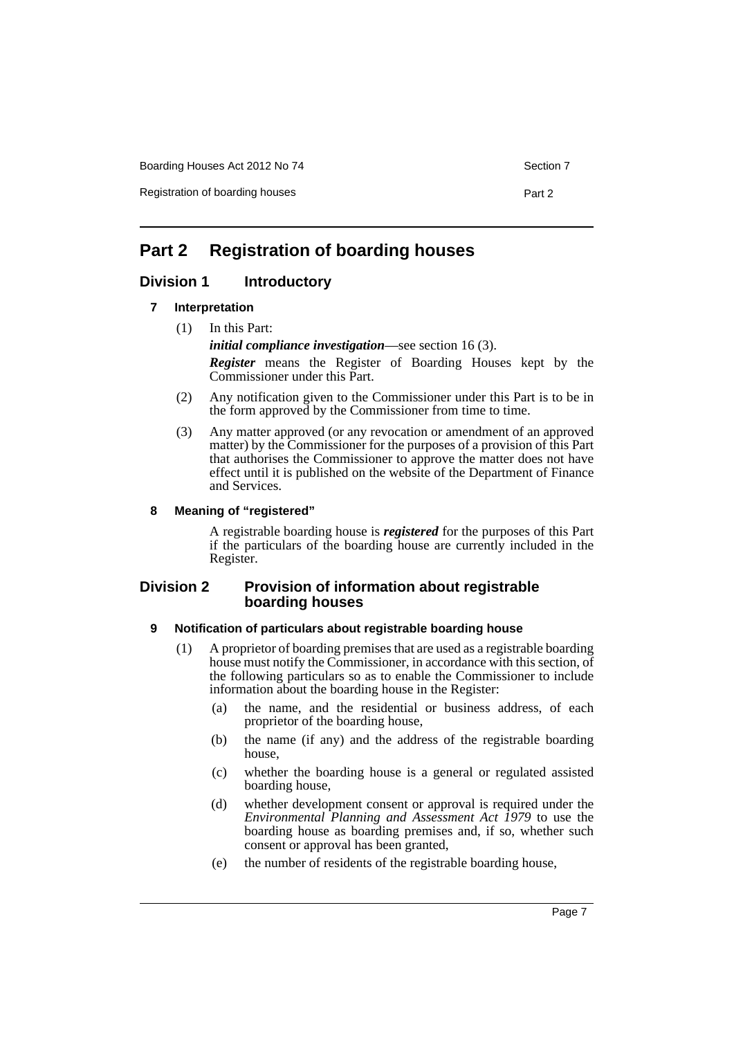Boarding Houses Act 2012 No 74 Section 7

Registration of boarding houses **Part 2 Part 2** 

## <span id="page-12-0"></span>**Part 2 Registration of boarding houses**

## <span id="page-12-2"></span><span id="page-12-1"></span>**Division 1 Introductory**

#### **7 Interpretation**

(1) In this Part:

*initial compliance investigation*—see section 16 (3).

*Register* means the Register of Boarding Houses kept by the Commissioner under this Part.

- (2) Any notification given to the Commissioner under this Part is to be in the form approved by the Commissioner from time to time.
- (3) Any matter approved (or any revocation or amendment of an approved matter) by the Commissioner for the purposes of a provision of this Part that authorises the Commissioner to approve the matter does not have effect until it is published on the website of the Department of Finance and Services.

#### <span id="page-12-3"></span>**8 Meaning of "registered"**

A registrable boarding house is *registered* for the purposes of this Part if the particulars of the boarding house are currently included in the Register.

#### <span id="page-12-4"></span>**Division 2 Provision of information about registrable boarding houses**

#### <span id="page-12-5"></span>**9 Notification of particulars about registrable boarding house**

- (1) A proprietor of boarding premises that are used as a registrable boarding house must notify the Commissioner, in accordance with this section, of the following particulars so as to enable the Commissioner to include information about the boarding house in the Register:
	- (a) the name, and the residential or business address, of each proprietor of the boarding house,
	- (b) the name (if any) and the address of the registrable boarding house,
	- (c) whether the boarding house is a general or regulated assisted boarding house,
	- (d) whether development consent or approval is required under the *Environmental Planning and Assessment Act 1979* to use the boarding house as boarding premises and, if so, whether such consent or approval has been granted,
	- (e) the number of residents of the registrable boarding house,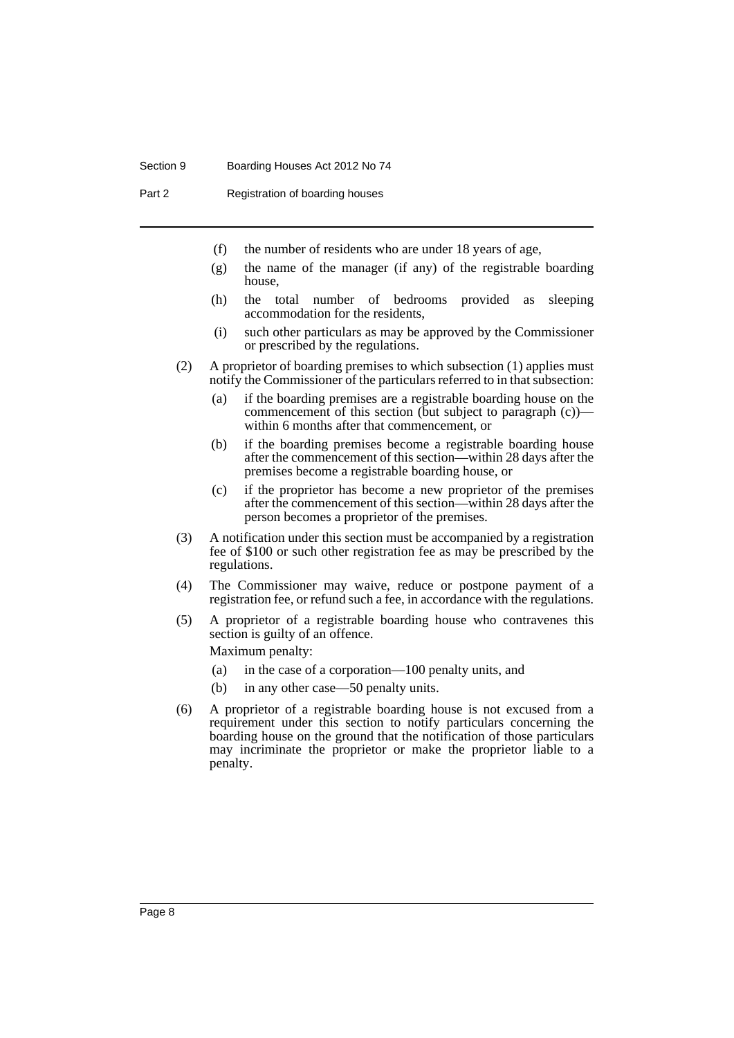#### Section 9 Boarding Houses Act 2012 No 74

Part 2 Registration of boarding houses

- (f) the number of residents who are under 18 years of age,
- (g) the name of the manager (if any) of the registrable boarding house,
- (h) the total number of bedrooms provided as sleeping accommodation for the residents,
- (i) such other particulars as may be approved by the Commissioner or prescribed by the regulations.
- (2) A proprietor of boarding premises to which subsection (1) applies must notify the Commissioner of the particulars referred to in that subsection:
	- (a) if the boarding premises are a registrable boarding house on the commencement of this section (but subject to paragraph (c))– within 6 months after that commencement, or
	- (b) if the boarding premises become a registrable boarding house after the commencement of this section—within 28 days after the premises become a registrable boarding house, or
	- (c) if the proprietor has become a new proprietor of the premises after the commencement of this section—within 28 days after the person becomes a proprietor of the premises.
- (3) A notification under this section must be accompanied by a registration fee of \$100 or such other registration fee as may be prescribed by the regulations.
- (4) The Commissioner may waive, reduce or postpone payment of a registration fee, or refund such a fee, in accordance with the regulations.
- (5) A proprietor of a registrable boarding house who contravenes this section is guilty of an offence.

Maximum penalty:

- (a) in the case of a corporation—100 penalty units, and
- (b) in any other case—50 penalty units.
- (6) A proprietor of a registrable boarding house is not excused from a requirement under this section to notify particulars concerning the boarding house on the ground that the notification of those particulars may incriminate the proprietor or make the proprietor liable to a penalty.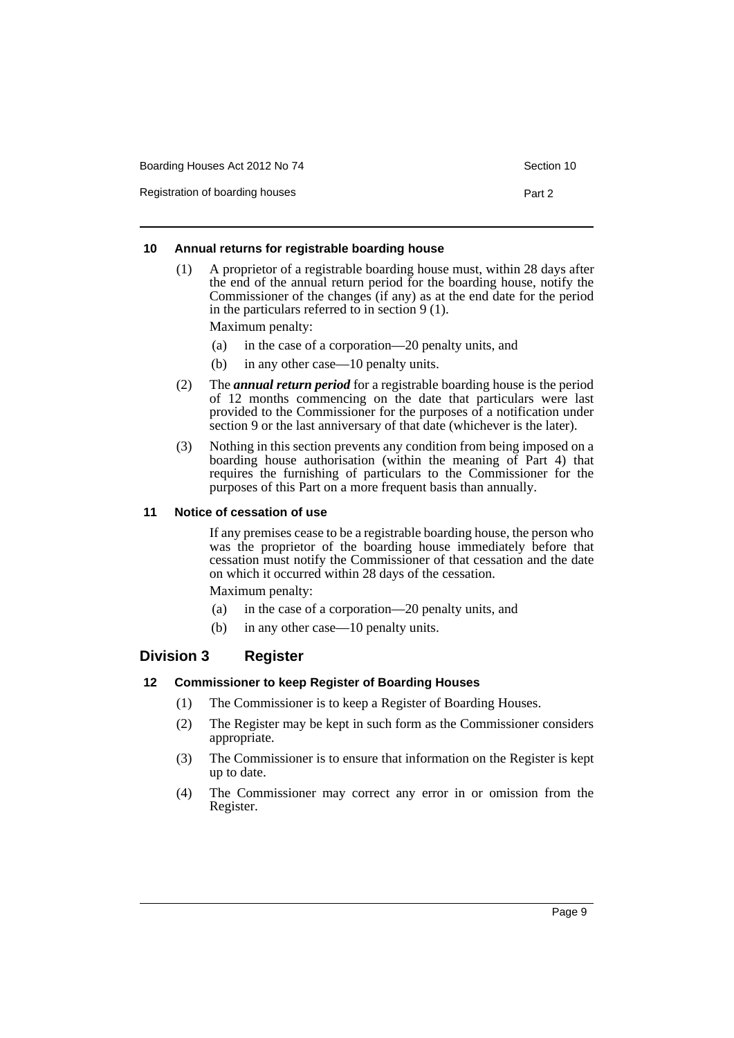| Boarding Houses Act 2012 No 74<br>Section 10 |        |  |
|----------------------------------------------|--------|--|
| Registration of boarding houses              | Part 2 |  |

#### <span id="page-14-0"></span>**10 Annual returns for registrable boarding house**

(1) A proprietor of a registrable boarding house must, within 28 days after the end of the annual return period for the boarding house, notify the Commissioner of the changes (if any) as at the end date for the period in the particulars referred to in section 9 (1).

Maximum penalty:

- (a) in the case of a corporation—20 penalty units, and
- (b) in any other case—10 penalty units.
- (2) The *annual return period* for a registrable boarding house is the period of 12 months commencing on the date that particulars were last provided to the Commissioner for the purposes of a notification under section 9 or the last anniversary of that date (whichever is the later).
- (3) Nothing in this section prevents any condition from being imposed on a boarding house authorisation (within the meaning of Part 4) that requires the furnishing of particulars to the Commissioner for the purposes of this Part on a more frequent basis than annually.

#### <span id="page-14-1"></span>**11 Notice of cessation of use**

If any premises cease to be a registrable boarding house, the person who was the proprietor of the boarding house immediately before that cessation must notify the Commissioner of that cessation and the date on which it occurred within 28 days of the cessation.

Maximum penalty:

- (a) in the case of a corporation—20 penalty units, and
- (b) in any other case—10 penalty units.

## <span id="page-14-2"></span>**Division 3 Register**

#### <span id="page-14-3"></span>**12 Commissioner to keep Register of Boarding Houses**

- (1) The Commissioner is to keep a Register of Boarding Houses.
- (2) The Register may be kept in such form as the Commissioner considers appropriate.
- (3) The Commissioner is to ensure that information on the Register is kept up to date.
- (4) The Commissioner may correct any error in or omission from the Register.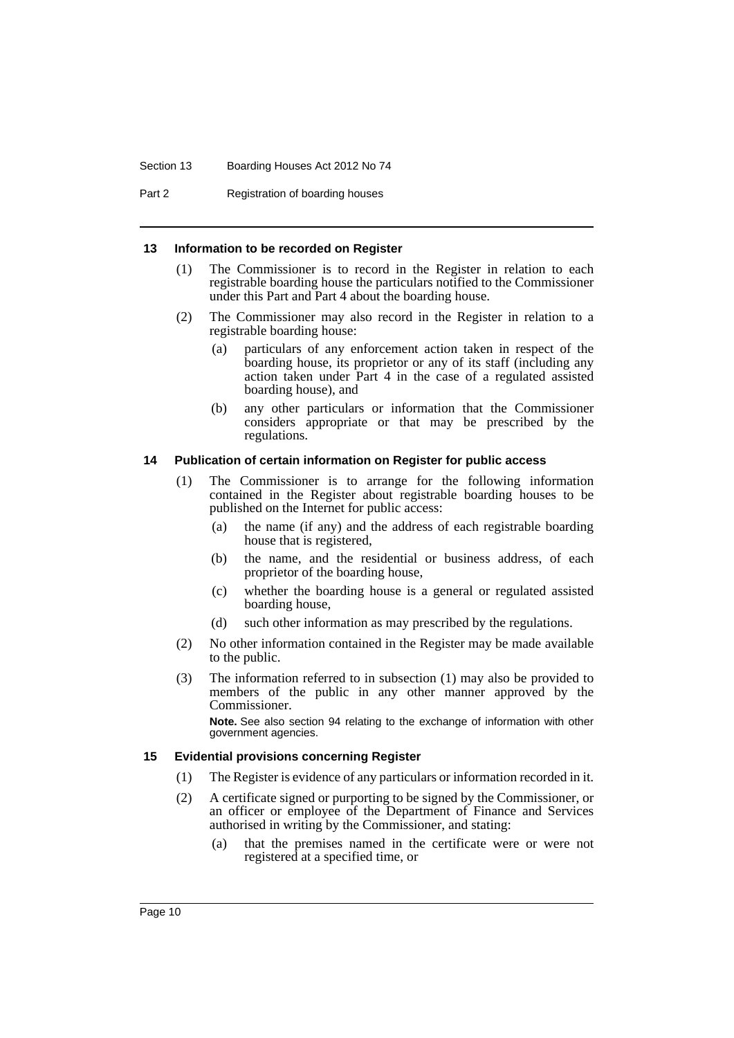#### Section 13 Boarding Houses Act 2012 No 74

Part 2 Registration of boarding houses

#### <span id="page-15-0"></span>**13 Information to be recorded on Register**

- (1) The Commissioner is to record in the Register in relation to each registrable boarding house the particulars notified to the Commissioner under this Part and Part 4 about the boarding house.
- (2) The Commissioner may also record in the Register in relation to a registrable boarding house:
	- (a) particulars of any enforcement action taken in respect of the boarding house, its proprietor or any of its staff (including any action taken under Part 4 in the case of a regulated assisted boarding house), and
	- (b) any other particulars or information that the Commissioner considers appropriate or that may be prescribed by the regulations.

#### <span id="page-15-1"></span>**14 Publication of certain information on Register for public access**

- (1) The Commissioner is to arrange for the following information contained in the Register about registrable boarding houses to be published on the Internet for public access:
	- (a) the name (if any) and the address of each registrable boarding house that is registered,
	- (b) the name, and the residential or business address, of each proprietor of the boarding house,
	- (c) whether the boarding house is a general or regulated assisted boarding house,
	- (d) such other information as may prescribed by the regulations.
- (2) No other information contained in the Register may be made available to the public.
- (3) The information referred to in subsection (1) may also be provided to members of the public in any other manner approved by the Commissioner.

**Note.** See also section 94 relating to the exchange of information with other government agencies.

#### <span id="page-15-2"></span>**15 Evidential provisions concerning Register**

- (1) The Register is evidence of any particulars or information recorded in it.
- (2) A certificate signed or purporting to be signed by the Commissioner, or an officer or employee of the Department of Finance and Services authorised in writing by the Commissioner, and stating:
	- (a) that the premises named in the certificate were or were not registered at a specified time, or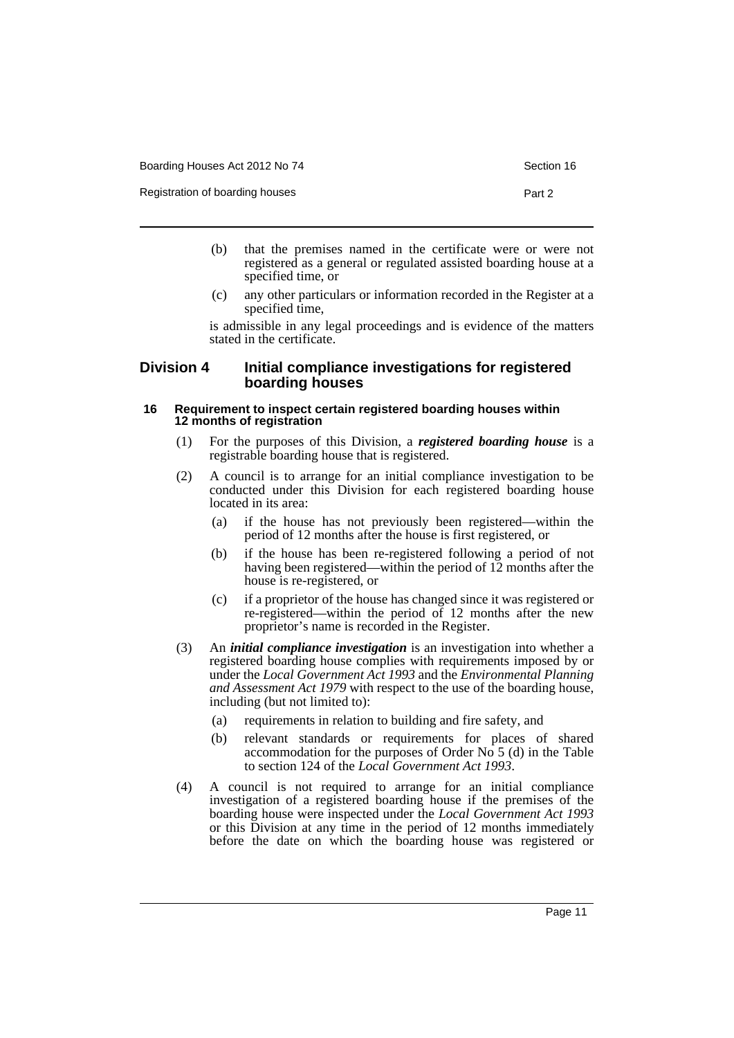| Boarding Houses Act 2012 No 74 |  |
|--------------------------------|--|
|--------------------------------|--|

Registration of boarding houses **Part 2 Part 2** 

- (b) that the premises named in the certificate were or were not registered as a general or regulated assisted boarding house at a specified time, or
- (c) any other particulars or information recorded in the Register at a specified time,

is admissible in any legal proceedings and is evidence of the matters stated in the certificate.

#### <span id="page-16-0"></span>**Division 4 Initial compliance investigations for registered boarding houses**

#### <span id="page-16-1"></span>**16 Requirement to inspect certain registered boarding houses within 12 months of registration**

- (1) For the purposes of this Division, a *registered boarding house* is a registrable boarding house that is registered.
- (2) A council is to arrange for an initial compliance investigation to be conducted under this Division for each registered boarding house located in its area:
	- (a) if the house has not previously been registered—within the period of 12 months after the house is first registered, or
	- (b) if the house has been re-registered following a period of not having been registered—within the period of 12 months after the house is re-registered, or
	- (c) if a proprietor of the house has changed since it was registered or re-registered—within the period of 12 months after the new proprietor's name is recorded in the Register.
- (3) An *initial compliance investigation* is an investigation into whether a registered boarding house complies with requirements imposed by or under the *Local Government Act 1993* and the *Environmental Planning and Assessment Act 1979* with respect to the use of the boarding house, including (but not limited to):
	- (a) requirements in relation to building and fire safety, and
	- (b) relevant standards or requirements for places of shared accommodation for the purposes of Order No  $5$  (d) in the Table to section 124 of the *Local Government Act 1993*.
- (4) A council is not required to arrange for an initial compliance investigation of a registered boarding house if the premises of the boarding house were inspected under the *Local Government Act 1993* or this Division at any time in the period of 12 months immediately before the date on which the boarding house was registered or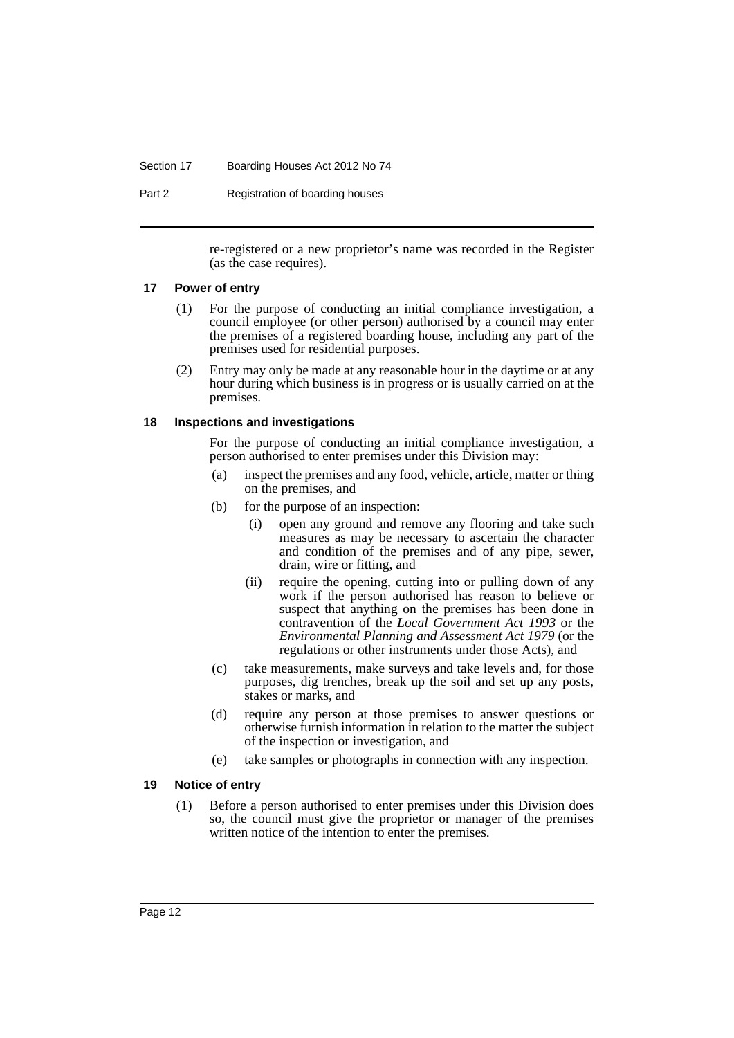#### Section 17 Boarding Houses Act 2012 No 74

Part 2 Registration of boarding houses

re-registered or a new proprietor's name was recorded in the Register (as the case requires).

#### <span id="page-17-0"></span>**17 Power of entry**

- (1) For the purpose of conducting an initial compliance investigation, a council employee (or other person) authorised by a council may enter the premises of a registered boarding house, including any part of the premises used for residential purposes.
- (2) Entry may only be made at any reasonable hour in the daytime or at any hour during which business is in progress or is usually carried on at the premises.

#### <span id="page-17-1"></span>**18 Inspections and investigations**

For the purpose of conducting an initial compliance investigation, a person authorised to enter premises under this Division may:

- (a) inspect the premises and any food, vehicle, article, matter or thing on the premises, and
- (b) for the purpose of an inspection:
	- (i) open any ground and remove any flooring and take such measures as may be necessary to ascertain the character and condition of the premises and of any pipe, sewer, drain, wire or fitting, and
	- (ii) require the opening, cutting into or pulling down of any work if the person authorised has reason to believe or suspect that anything on the premises has been done in contravention of the *Local Government Act 1993* or the *Environmental Planning and Assessment Act 1979* (or the regulations or other instruments under those Acts), and
- (c) take measurements, make surveys and take levels and, for those purposes, dig trenches, break up the soil and set up any posts, stakes or marks, and
- (d) require any person at those premises to answer questions or otherwise furnish information in relation to the matter the subject of the inspection or investigation, and
- (e) take samples or photographs in connection with any inspection.

#### <span id="page-17-2"></span>**19 Notice of entry**

(1) Before a person authorised to enter premises under this Division does so, the council must give the proprietor or manager of the premises written notice of the intention to enter the premises.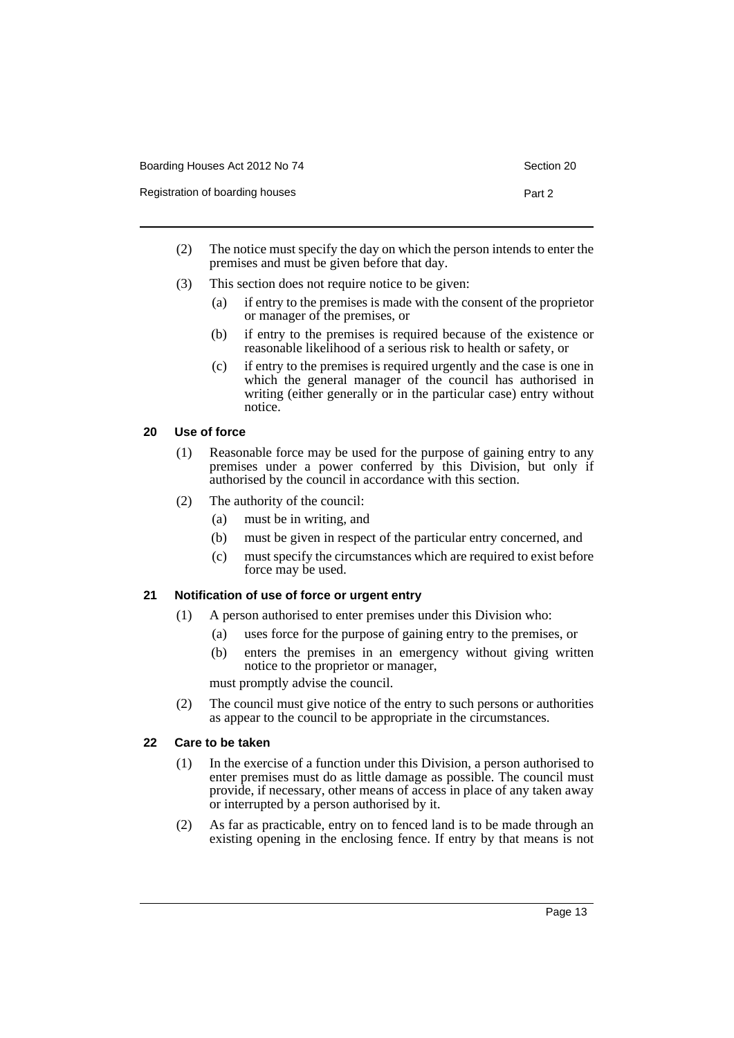| Boarding Houses Act 2012 No 74  | Section 20 |
|---------------------------------|------------|
| Registration of boarding houses | Part 2     |

- (2) The notice must specify the day on which the person intends to enter the premises and must be given before that day.
- (3) This section does not require notice to be given:
	- (a) if entry to the premises is made with the consent of the proprietor or manager of the premises, or
	- (b) if entry to the premises is required because of the existence or reasonable likelihood of a serious risk to health or safety, or
	- (c) if entry to the premises is required urgently and the case is one in which the general manager of the council has authorised in writing (either generally or in the particular case) entry without notice.

## <span id="page-18-0"></span>**20 Use of force**

- (1) Reasonable force may be used for the purpose of gaining entry to any premises under a power conferred by this Division, but only if authorised by the council in accordance with this section.
- (2) The authority of the council:
	- (a) must be in writing, and
	- (b) must be given in respect of the particular entry concerned, and
	- (c) must specify the circumstances which are required to exist before force may be used.

#### <span id="page-18-1"></span>**21 Notification of use of force or urgent entry**

- (1) A person authorised to enter premises under this Division who:
	- (a) uses force for the purpose of gaining entry to the premises, or
	- (b) enters the premises in an emergency without giving written notice to the proprietor or manager,

must promptly advise the council.

(2) The council must give notice of the entry to such persons or authorities as appear to the council to be appropriate in the circumstances.

#### <span id="page-18-2"></span>**22 Care to be taken**

- (1) In the exercise of a function under this Division, a person authorised to enter premises must do as little damage as possible. The council must provide, if necessary, other means of access in place of any taken away or interrupted by a person authorised by it.
- (2) As far as practicable, entry on to fenced land is to be made through an existing opening in the enclosing fence. If entry by that means is not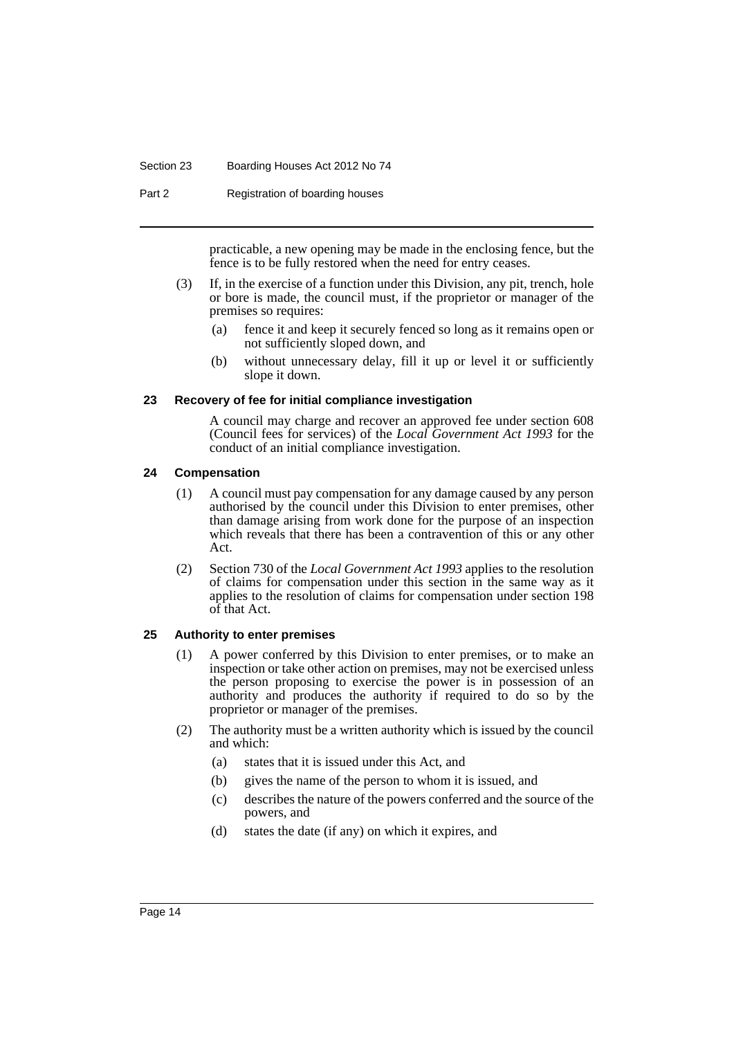#### Section 23 Boarding Houses Act 2012 No 74

Part 2 Registration of boarding houses

practicable, a new opening may be made in the enclosing fence, but the fence is to be fully restored when the need for entry ceases.

- (3) If, in the exercise of a function under this Division, any pit, trench, hole or bore is made, the council must, if the proprietor or manager of the premises so requires:
	- (a) fence it and keep it securely fenced so long as it remains open or not sufficiently sloped down, and
	- (b) without unnecessary delay, fill it up or level it or sufficiently slope it down.

#### <span id="page-19-0"></span>**23 Recovery of fee for initial compliance investigation**

A council may charge and recover an approved fee under section 608 (Council fees for services) of the *Local Government Act 1993* for the conduct of an initial compliance investigation.

#### <span id="page-19-1"></span>**24 Compensation**

- (1) A council must pay compensation for any damage caused by any person authorised by the council under this Division to enter premises, other than damage arising from work done for the purpose of an inspection which reveals that there has been a contravention of this or any other Act.
- (2) Section 730 of the *Local Government Act 1993* applies to the resolution of claims for compensation under this section in the same way as it applies to the resolution of claims for compensation under section 198 of that Act.

#### <span id="page-19-2"></span>**25 Authority to enter premises**

- (1) A power conferred by this Division to enter premises, or to make an inspection or take other action on premises, may not be exercised unless the person proposing to exercise the power is in possession of an authority and produces the authority if required to do so by the proprietor or manager of the premises.
- (2) The authority must be a written authority which is issued by the council and which:
	- (a) states that it is issued under this Act, and
	- (b) gives the name of the person to whom it is issued, and
	- (c) describes the nature of the powers conferred and the source of the powers, and
	- (d) states the date (if any) on which it expires, and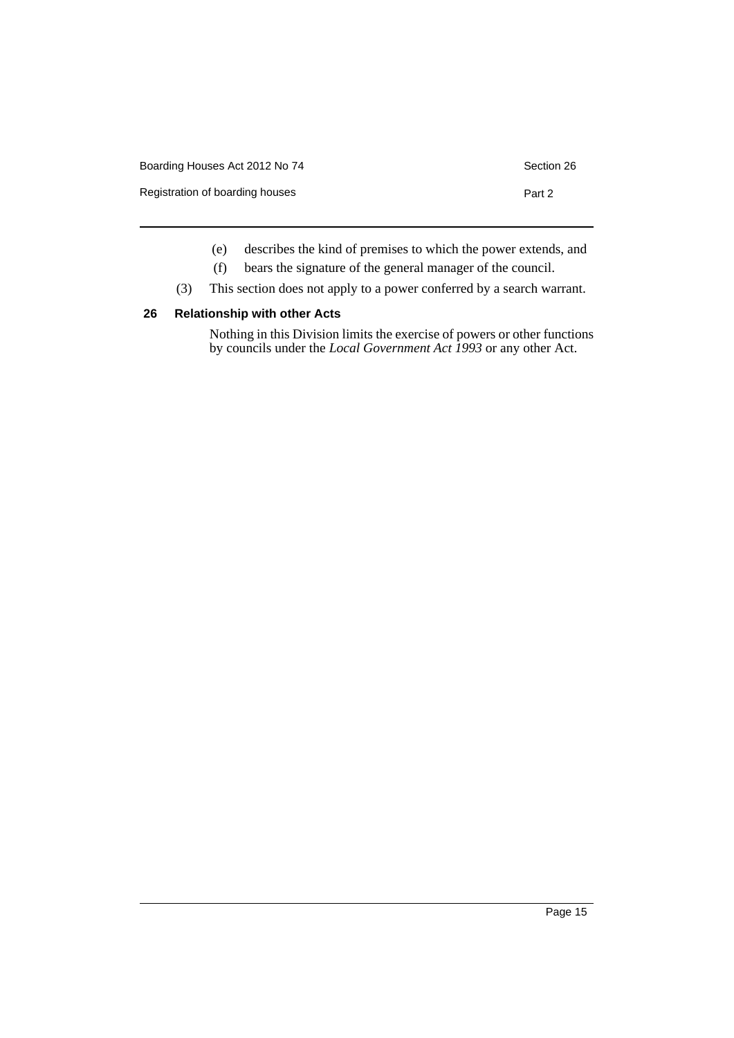| Boarding Houses Act 2012 No 74<br>Section 26 |        |  |
|----------------------------------------------|--------|--|
| Registration of boarding houses              | Part 2 |  |
|                                              |        |  |

- (e) describes the kind of premises to which the power extends, and
- (f) bears the signature of the general manager of the council.
- (3) This section does not apply to a power conferred by a search warrant.

#### <span id="page-20-0"></span>**26 Relationship with other Acts**

Nothing in this Division limits the exercise of powers or other functions by councils under the *Local Government Act 1993* or any other Act.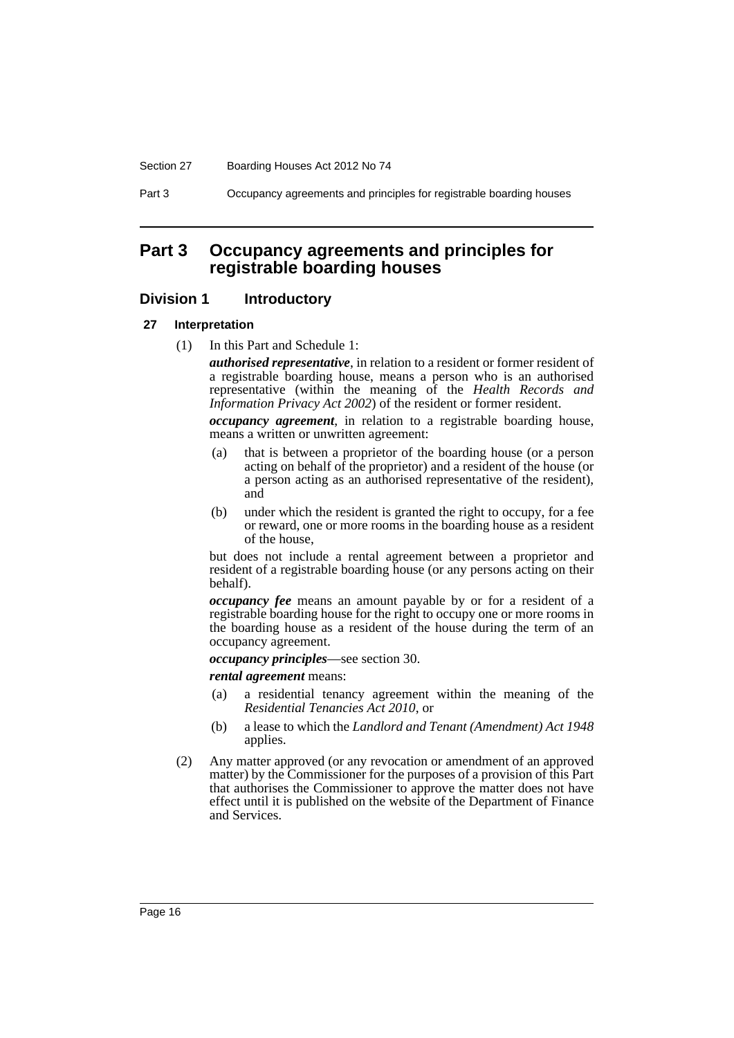#### Section 27 Boarding Houses Act 2012 No 74

Part 3 Occupancy agreements and principles for registrable boarding houses

## <span id="page-21-0"></span>**Part 3 Occupancy agreements and principles for registrable boarding houses**

#### <span id="page-21-1"></span>**Division 1 Introductory**

#### <span id="page-21-2"></span>**27 Interpretation**

(1) In this Part and Schedule 1:

*authorised representative*, in relation to a resident or former resident of a registrable boarding house, means a person who is an authorised representative (within the meaning of the *Health Records and Information Privacy Act 2002*) of the resident or former resident.

*occupancy agreement*, in relation to a registrable boarding house, means a written or unwritten agreement:

- that is between a proprietor of the boarding house (or a person acting on behalf of the proprietor) and a resident of the house (or a person acting as an authorised representative of the resident), and
- (b) under which the resident is granted the right to occupy, for a fee or reward, one or more rooms in the boarding house as a resident of the house,

but does not include a rental agreement between a proprietor and resident of a registrable boarding house (or any persons acting on their behalf).

*occupancy fee* means an amount payable by or for a resident of a registrable boarding house for the right to occupy one or more rooms in the boarding house as a resident of the house during the term of an occupancy agreement.

*occupancy principles*—see section 30.

*rental agreement* means:

- (a) a residential tenancy agreement within the meaning of the *Residential Tenancies Act 2010*, or
- (b) a lease to which the *Landlord and Tenant (Amendment) Act 1948* applies.
- (2) Any matter approved (or any revocation or amendment of an approved matter) by the Commissioner for the purposes of a provision of this Part that authorises the Commissioner to approve the matter does not have effect until it is published on the website of the Department of Finance and Services.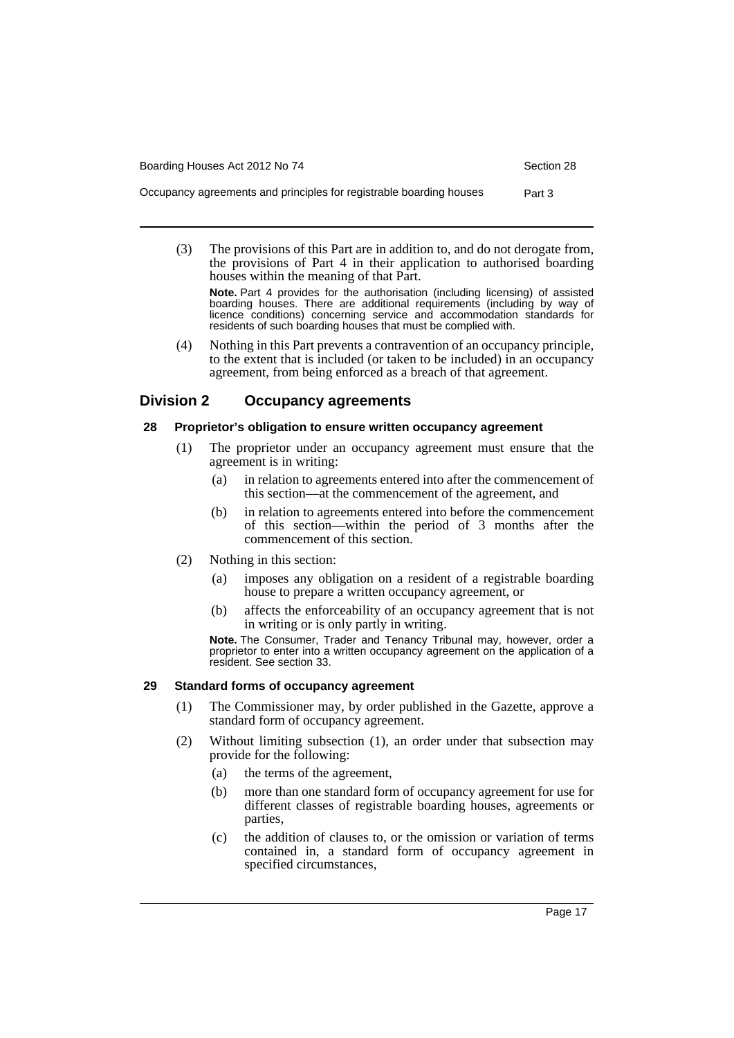Boarding Houses Act 2012 No 74 Section 28

(3) The provisions of this Part are in addition to, and do not derogate from, the provisions of Part 4 in their application to authorised boarding houses within the meaning of that Part.

**Note.** Part 4 provides for the authorisation (including licensing) of assisted boarding houses. There are additional requirements (including by way of licence conditions) concerning service and accommodation standards for residents of such boarding houses that must be complied with.

(4) Nothing in this Part prevents a contravention of an occupancy principle, to the extent that is included (or taken to be included) in an occupancy agreement, from being enforced as a breach of that agreement.

#### <span id="page-22-0"></span>**Division 2 Occupancy agreements**

#### <span id="page-22-1"></span>**28 Proprietor's obligation to ensure written occupancy agreement**

- (1) The proprietor under an occupancy agreement must ensure that the agreement is in writing:
	- (a) in relation to agreements entered into after the commencement of this section—at the commencement of the agreement, and
	- (b) in relation to agreements entered into before the commencement of this section—within the period of 3 months after the commencement of this section.
- (2) Nothing in this section:
	- (a) imposes any obligation on a resident of a registrable boarding house to prepare a written occupancy agreement, or
	- (b) affects the enforceability of an occupancy agreement that is not in writing or is only partly in writing.

**Note.** The Consumer, Trader and Tenancy Tribunal may, however, order a proprietor to enter into a written occupancy agreement on the application of a resident. See section 33.

#### <span id="page-22-2"></span>**29 Standard forms of occupancy agreement**

- (1) The Commissioner may, by order published in the Gazette, approve a standard form of occupancy agreement.
- (2) Without limiting subsection (1), an order under that subsection may provide for the following:
	- (a) the terms of the agreement,
	- (b) more than one standard form of occupancy agreement for use for different classes of registrable boarding houses, agreements or parties,
	- (c) the addition of clauses to, or the omission or variation of terms contained in, a standard form of occupancy agreement in specified circumstances,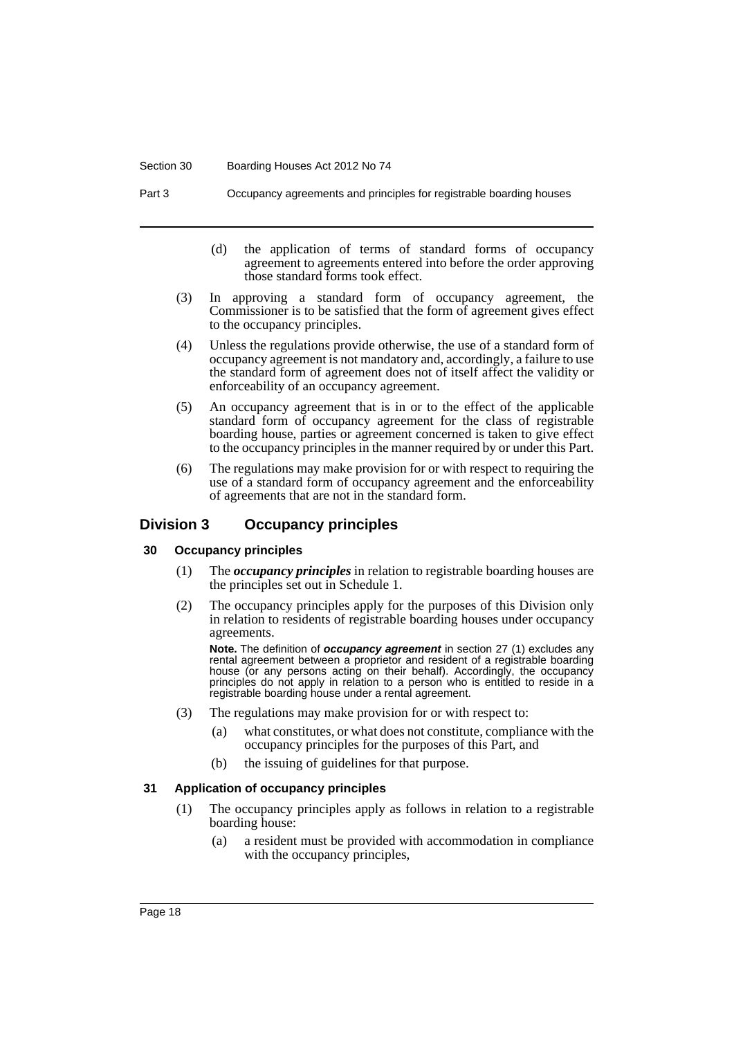#### Section 30 Boarding Houses Act 2012 No 74

Part 3 Occupancy agreements and principles for registrable boarding houses

- (d) the application of terms of standard forms of occupancy agreement to agreements entered into before the order approving those standard forms took effect.
- (3) In approving a standard form of occupancy agreement, the Commissioner is to be satisfied that the form of agreement gives effect to the occupancy principles.
- (4) Unless the regulations provide otherwise, the use of a standard form of occupancy agreement is not mandatory and, accordingly, a failure to use the standard form of agreement does not of itself affect the validity or enforceability of an occupancy agreement.
- (5) An occupancy agreement that is in or to the effect of the applicable standard form of occupancy agreement for the class of registrable boarding house, parties or agreement concerned is taken to give effect to the occupancy principles in the manner required by or under this Part.
- (6) The regulations may make provision for or with respect to requiring the use of a standard form of occupancy agreement and the enforceability of agreements that are not in the standard form.

### <span id="page-23-0"></span>**Division 3 Occupancy principles**

#### <span id="page-23-1"></span>**30 Occupancy principles**

- (1) The *occupancy principles* in relation to registrable boarding houses are the principles set out in Schedule 1.
- (2) The occupancy principles apply for the purposes of this Division only in relation to residents of registrable boarding houses under occupancy agreements.

**Note.** The definition of *occupancy agreement* in section 27 (1) excludes any rental agreement between a proprietor and resident of a registrable boarding house (or any persons acting on their behalf). Accordingly, the occupancy principles do not apply in relation to a person who is entitled to reside in a registrable boarding house under a rental agreement.

- (3) The regulations may make provision for or with respect to:
	- (a) what constitutes, or what does not constitute, compliance with the occupancy principles for the purposes of this Part, and
	- (b) the issuing of guidelines for that purpose.

#### <span id="page-23-2"></span>**31 Application of occupancy principles**

- (1) The occupancy principles apply as follows in relation to a registrable boarding house:
	- (a) a resident must be provided with accommodation in compliance with the occupancy principles,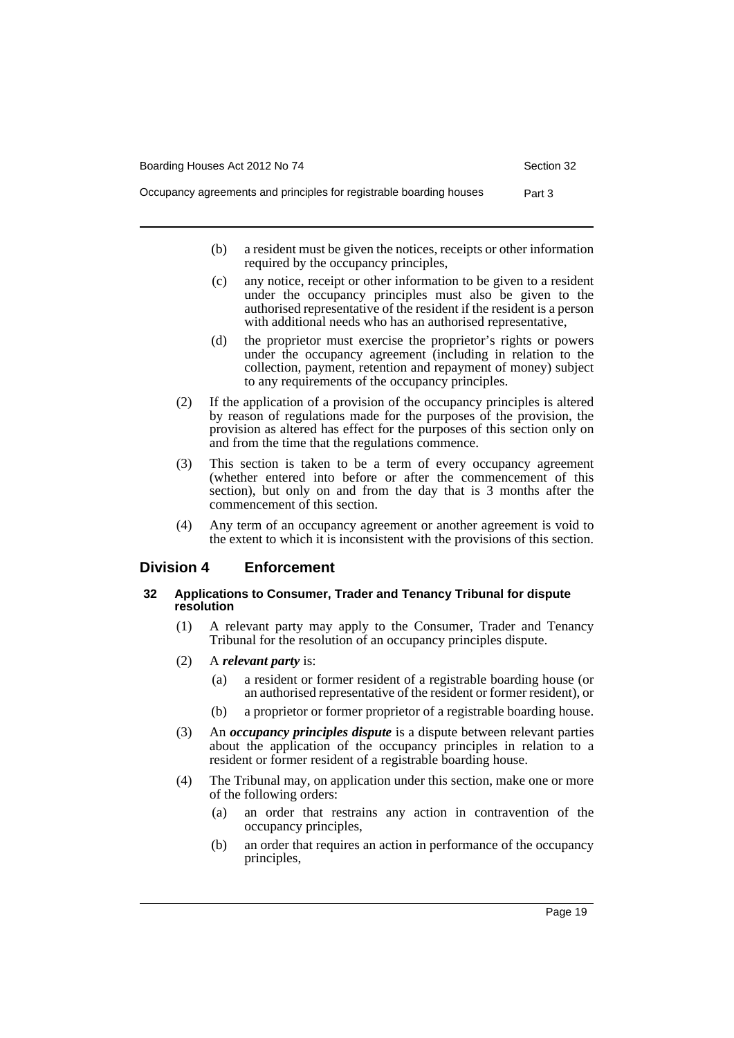- (b) a resident must be given the notices, receipts or other information required by the occupancy principles,
- (c) any notice, receipt or other information to be given to a resident under the occupancy principles must also be given to the authorised representative of the resident if the resident is a person with additional needs who has an authorised representative,
- (d) the proprietor must exercise the proprietor's rights or powers under the occupancy agreement (including in relation to the collection, payment, retention and repayment of money) subject to any requirements of the occupancy principles.
- (2) If the application of a provision of the occupancy principles is altered by reason of regulations made for the purposes of the provision, the provision as altered has effect for the purposes of this section only on and from the time that the regulations commence.
- (3) This section is taken to be a term of every occupancy agreement (whether entered into before or after the commencement of this section), but only on and from the day that is 3 months after the commencement of this section.
- (4) Any term of an occupancy agreement or another agreement is void to the extent to which it is inconsistent with the provisions of this section.

#### <span id="page-24-0"></span>**Division 4 Enforcement**

#### <span id="page-24-1"></span>**32 Applications to Consumer, Trader and Tenancy Tribunal for dispute resolution**

- (1) A relevant party may apply to the Consumer, Trader and Tenancy Tribunal for the resolution of an occupancy principles dispute.
- (2) A *relevant party* is:
	- (a) a resident or former resident of a registrable boarding house (or an authorised representative of the resident or former resident), or
	- (b) a proprietor or former proprietor of a registrable boarding house.
- (3) An *occupancy principles dispute* is a dispute between relevant parties about the application of the occupancy principles in relation to a resident or former resident of a registrable boarding house.
- (4) The Tribunal may, on application under this section, make one or more of the following orders:
	- (a) an order that restrains any action in contravention of the occupancy principles,
	- (b) an order that requires an action in performance of the occupancy principles,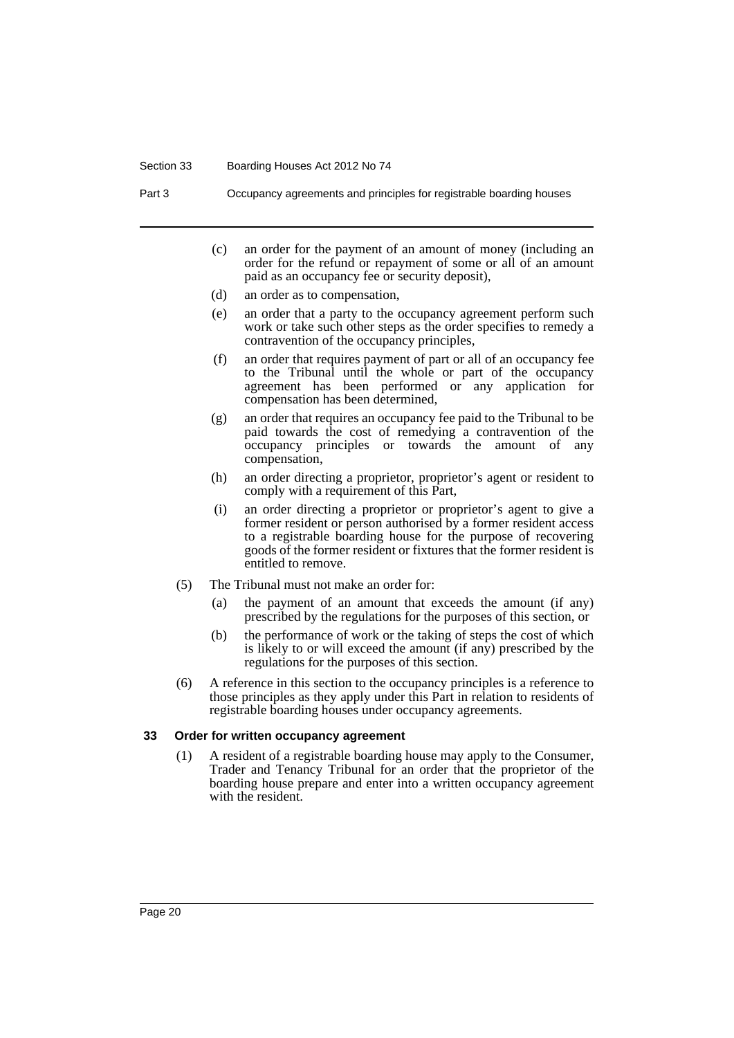#### Section 33 Boarding Houses Act 2012 No 74

Part 3 Occupancy agreements and principles for registrable boarding houses

- (c) an order for the payment of an amount of money (including an order for the refund or repayment of some or all of an amount paid as an occupancy fee or security deposit),
- (d) an order as to compensation,
- (e) an order that a party to the occupancy agreement perform such work or take such other steps as the order specifies to remedy a contravention of the occupancy principles,
- (f) an order that requires payment of part or all of an occupancy fee to the Tribunal until the whole or part of the occupancy agreement has been performed or any application for compensation has been determined,
- (g) an order that requires an occupancy fee paid to the Tribunal to be paid towards the cost of remedying a contravention of the occupancy principles or towards the amount of any compensation,
- (h) an order directing a proprietor, proprietor's agent or resident to comply with a requirement of this Part,
- (i) an order directing a proprietor or proprietor's agent to give a former resident or person authorised by a former resident access to a registrable boarding house for the purpose of recovering goods of the former resident or fixtures that the former resident is entitled to remove.
- (5) The Tribunal must not make an order for:
	- (a) the payment of an amount that exceeds the amount (if any) prescribed by the regulations for the purposes of this section, or
	- (b) the performance of work or the taking of steps the cost of which is likely to or will exceed the amount (if any) prescribed by the regulations for the purposes of this section.
- (6) A reference in this section to the occupancy principles is a reference to those principles as they apply under this Part in relation to residents of registrable boarding houses under occupancy agreements.

#### <span id="page-25-0"></span>**33 Order for written occupancy agreement**

(1) A resident of a registrable boarding house may apply to the Consumer, Trader and Tenancy Tribunal for an order that the proprietor of the boarding house prepare and enter into a written occupancy agreement with the resident.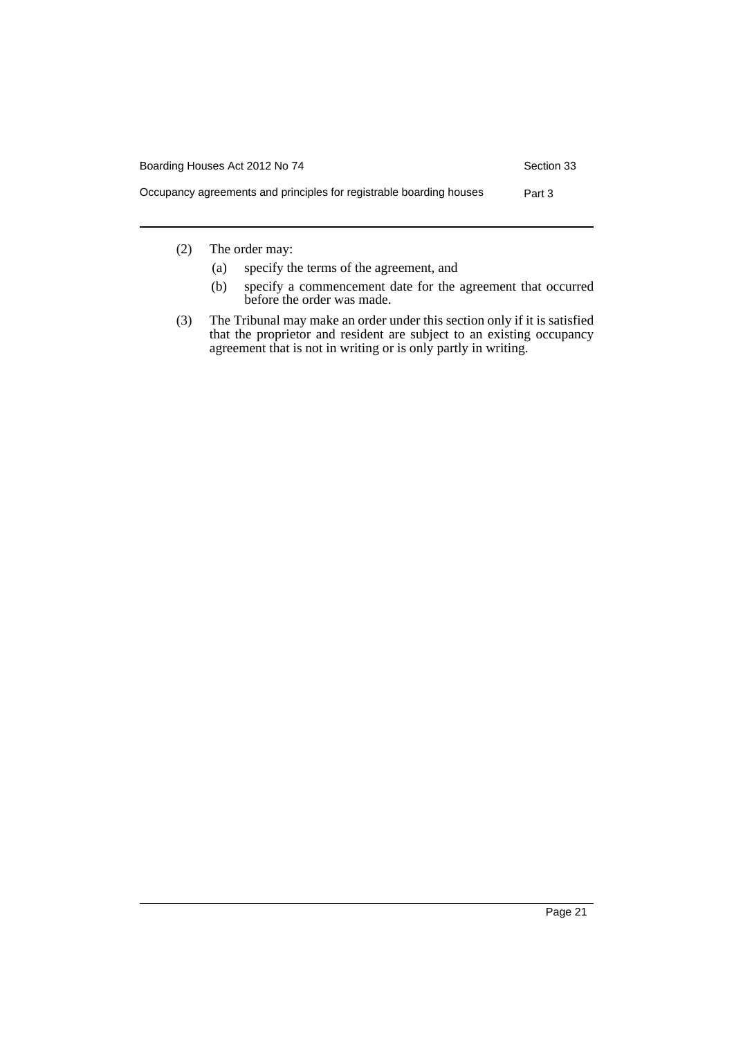| Boarding Houses Act 2012 No 74<br>Section 33                                  |  |
|-------------------------------------------------------------------------------|--|
| Occupancy agreements and principles for registrable boarding houses<br>Part 3 |  |

(2) The order may:

- (a) specify the terms of the agreement, and
- (b) specify a commencement date for the agreement that occurred before the order was made.
- (3) The Tribunal may make an order under this section only if it is satisfied that the proprietor and resident are subject to an existing occupancy agreement that is not in writing or is only partly in writing.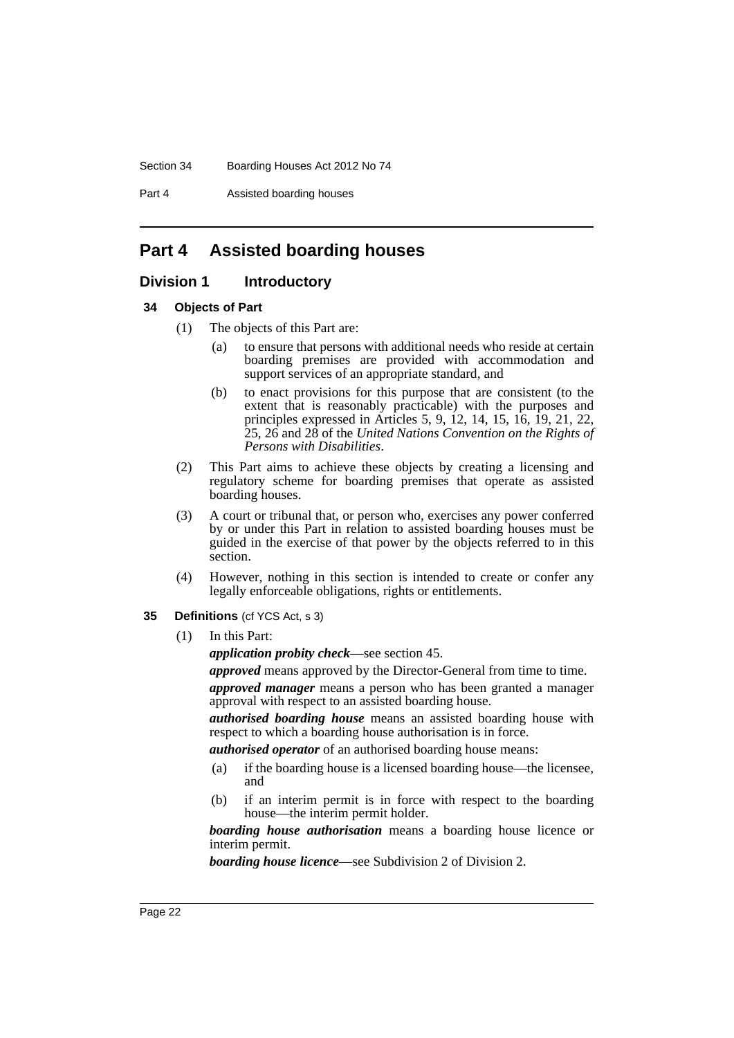Section 34 Boarding Houses Act 2012 No 74

Part 4 Assisted boarding houses

## <span id="page-27-0"></span>**Part 4 Assisted boarding houses**

#### <span id="page-27-1"></span>**Division 1 Introductory**

#### <span id="page-27-2"></span>**34 Objects of Part**

- (1) The objects of this Part are:
	- (a) to ensure that persons with additional needs who reside at certain boarding premises are provided with accommodation and support services of an appropriate standard, and
	- (b) to enact provisions for this purpose that are consistent (to the extent that is reasonably practicable) with the purposes and principles expressed in Articles 5, 9, 12, 14, 15, 16, 19, 21, 22, 25, 26 and 28 of the *United Nations Convention on the Rights of Persons with Disabilities*.
- (2) This Part aims to achieve these objects by creating a licensing and regulatory scheme for boarding premises that operate as assisted boarding houses.
- (3) A court or tribunal that, or person who, exercises any power conferred by or under this Part in relation to assisted boarding houses must be guided in the exercise of that power by the objects referred to in this section.
- (4) However, nothing in this section is intended to create or confer any legally enforceable obligations, rights or entitlements.
- <span id="page-27-3"></span>**35 Definitions** (cf YCS Act, s 3)
	- (1) In this Part:

*application probity check*—see section 45.

*approved* means approved by the Director-General from time to time.

*approved manager* means a person who has been granted a manager approval with respect to an assisted boarding house.

*authorised boarding house* means an assisted boarding house with respect to which a boarding house authorisation is in force.

*authorised operator* of an authorised boarding house means:

- (a) if the boarding house is a licensed boarding house—the licensee, and
- (b) if an interim permit is in force with respect to the boarding house—the interim permit holder.

*boarding house authorisation* means a boarding house licence or interim permit.

*boarding house licence*—see Subdivision 2 of Division 2.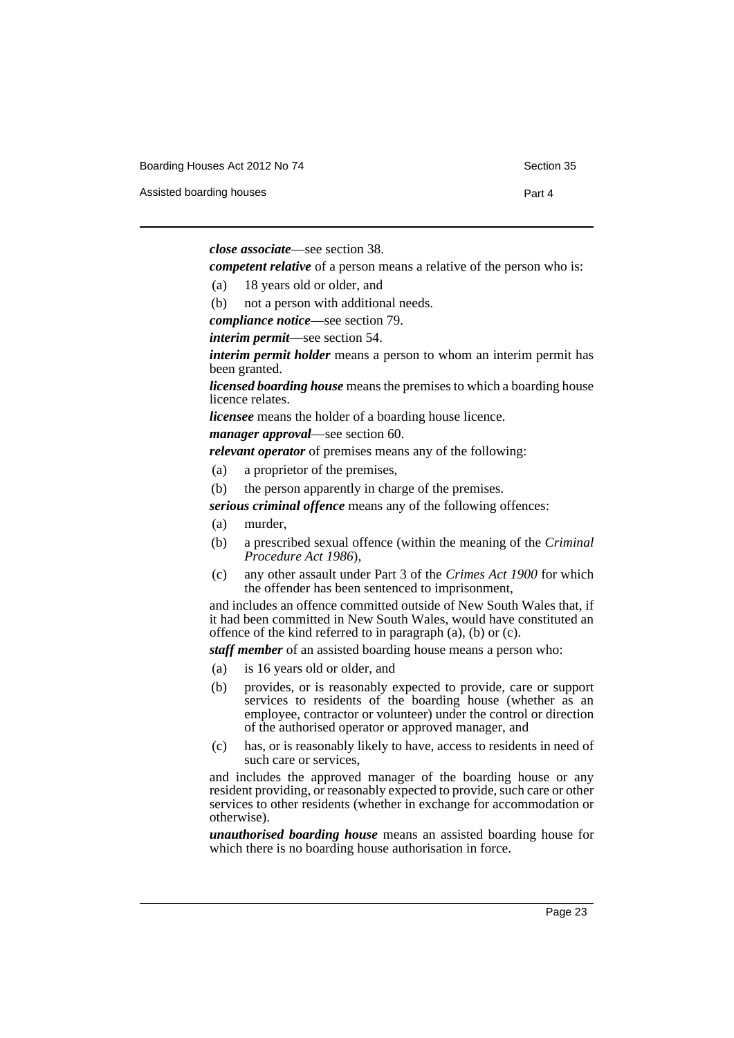Boarding Houses Act 2012 No 74 Section 35

Assisted boarding houses **Part 4** 

*close associate*—see section 38.

*competent relative* of a person means a relative of the person who is:

- (a) 18 years old or older, and
- (b) not a person with additional needs.
- *compliance notice*—see section 79.

*interim permit*—see section 54.

*interim permit holder* means a person to whom an interim permit has been granted.

*licensed boarding house* means the premises to which a boarding house licence relates.

*licensee* means the holder of a boarding house licence.

*manager approval*—see section 60.

*relevant operator* of premises means any of the following:

- (a) a proprietor of the premises,
- (b) the person apparently in charge of the premises.

*serious criminal offence* means any of the following offences:

- (a) murder,
- (b) a prescribed sexual offence (within the meaning of the *Criminal Procedure Act 1986*),
- (c) any other assault under Part 3 of the *Crimes Act 1900* for which the offender has been sentenced to imprisonment,

and includes an offence committed outside of New South Wales that, if it had been committed in New South Wales, would have constituted an offence of the kind referred to in paragraph (a), (b) or (c).

*staff member* of an assisted boarding house means a person who:

- (a) is 16 years old or older, and
- (b) provides, or is reasonably expected to provide, care or support services to residents of the boarding house (whether as an employee, contractor or volunteer) under the control or direction of the authorised operator or approved manager, and
- (c) has, or is reasonably likely to have, access to residents in need of such care or services,

and includes the approved manager of the boarding house or any resident providing, or reasonably expected to provide, such care or other services to other residents (whether in exchange for accommodation or otherwise).

*unauthorised boarding house* means an assisted boarding house for which there is no boarding house authorisation in force.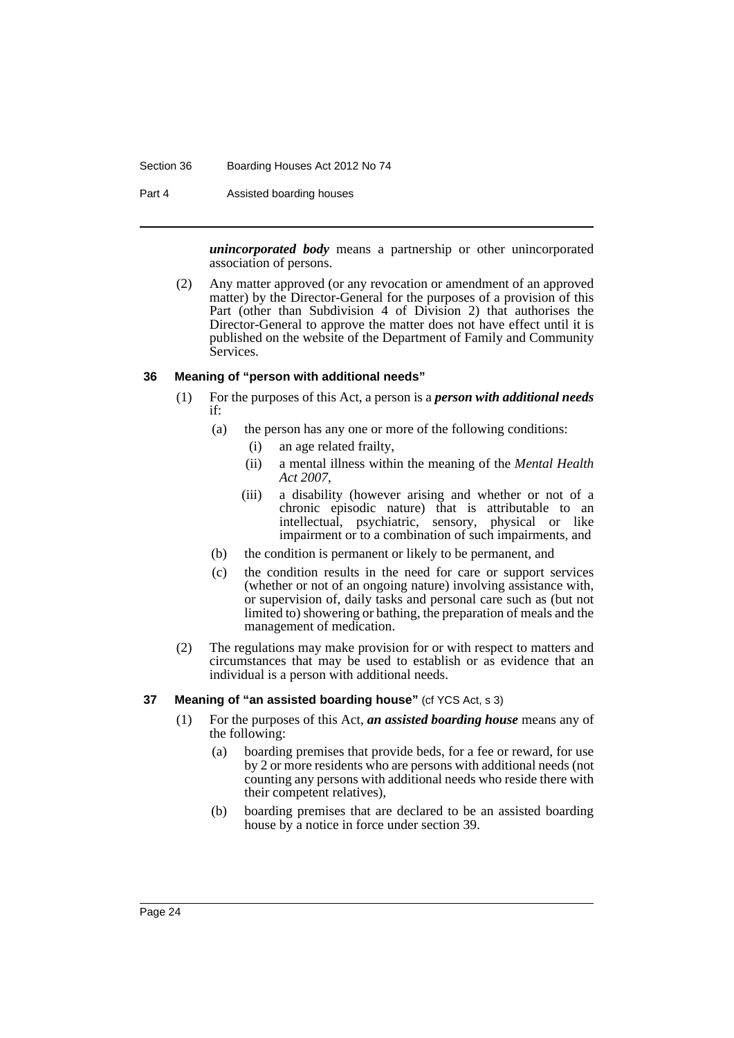#### Section 36 Boarding Houses Act 2012 No 74

Part 4 Assisted boarding houses

*unincorporated body* means a partnership or other unincorporated association of persons.

(2) Any matter approved (or any revocation or amendment of an approved matter) by the Director-General for the purposes of a provision of this Part (other than Subdivision 4 of Division 2) that authorises the Director-General to approve the matter does not have effect until it is published on the website of the Department of Family and Community Services.

#### <span id="page-29-0"></span>**36 Meaning of "person with additional needs"**

- (1) For the purposes of this Act, a person is a *person with additional needs* if:
	- (a) the person has any one or more of the following conditions:
		- (i) an age related frailty,
		- (ii) a mental illness within the meaning of the *Mental Health Act 2007*,
		- (iii) a disability (however arising and whether or not of a chronic episodic nature) that is attributable to an intellectual, psychiatric, sensory, physical or like impairment or to a combination of such impairments, and
	- (b) the condition is permanent or likely to be permanent, and
	- (c) the condition results in the need for care or support services (whether or not of an ongoing nature) involving assistance with, or supervision of, daily tasks and personal care such as (but not limited to) showering or bathing, the preparation of meals and the management of medication.
- (2) The regulations may make provision for or with respect to matters and circumstances that may be used to establish or as evidence that an individual is a person with additional needs.

#### <span id="page-29-1"></span>**37 Meaning of "an assisted boarding house"** (cf YCS Act, s 3)

- (1) For the purposes of this Act, *an assisted boarding house* means any of the following:
	- (a) boarding premises that provide beds, for a fee or reward, for use by 2 or more residents who are persons with additional needs (not counting any persons with additional needs who reside there with their competent relatives),
	- (b) boarding premises that are declared to be an assisted boarding house by a notice in force under section 39.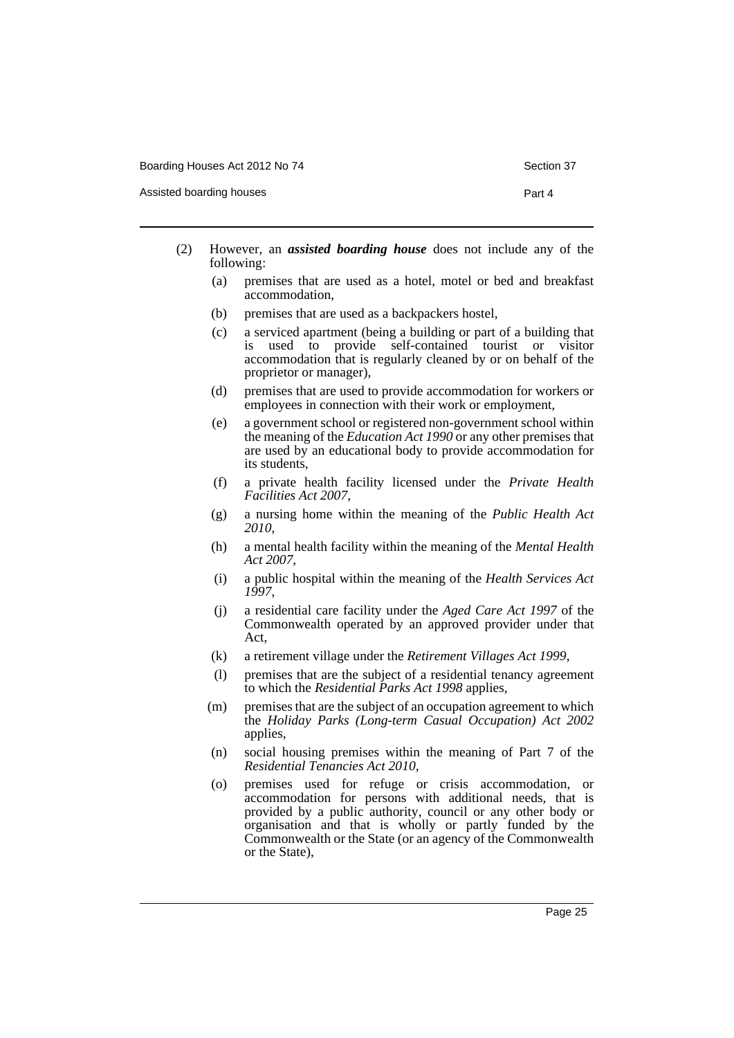Boarding Houses Act 2012 No 74 Section 37

Assisted boarding houses **Part 4** 

- 
- (2) However, an *assisted boarding house* does not include any of the following:
	- (a) premises that are used as a hotel, motel or bed and breakfast accommodation,
	- (b) premises that are used as a backpackers hostel,
	- (c) a serviced apartment (being a building or part of a building that is used to provide self-contained tourist or visitor accommodation that is regularly cleaned by or on behalf of the proprietor or manager),
	- (d) premises that are used to provide accommodation for workers or employees in connection with their work or employment,
	- (e) a government school or registered non-government school within the meaning of the *Education Act 1990* or any other premises that are used by an educational body to provide accommodation for its students,
	- (f) a private health facility licensed under the *Private Health Facilities Act 2007*,
	- (g) a nursing home within the meaning of the *Public Health Act 2010*,
	- (h) a mental health facility within the meaning of the *Mental Health Act 2007*,
	- (i) a public hospital within the meaning of the *Health Services Act 1997*,
	- (j) a residential care facility under the *Aged Care Act 1997* of the Commonwealth operated by an approved provider under that Act,
	- (k) a retirement village under the *Retirement Villages Act 1999*,
	- (l) premises that are the subject of a residential tenancy agreement to which the *Residential Parks Act 1998* applies,
	- (m) premises that are the subject of an occupation agreement to which the *Holiday Parks (Long-term Casual Occupation) Act 2002* applies,
	- (n) social housing premises within the meaning of Part 7 of the *Residential Tenancies Act 2010*,
	- (o) premises used for refuge or crisis accommodation, or accommodation for persons with additional needs, that is provided by a public authority, council or any other body or organisation and that is wholly or partly funded by the Commonwealth or the State (or an agency of the Commonwealth or the State),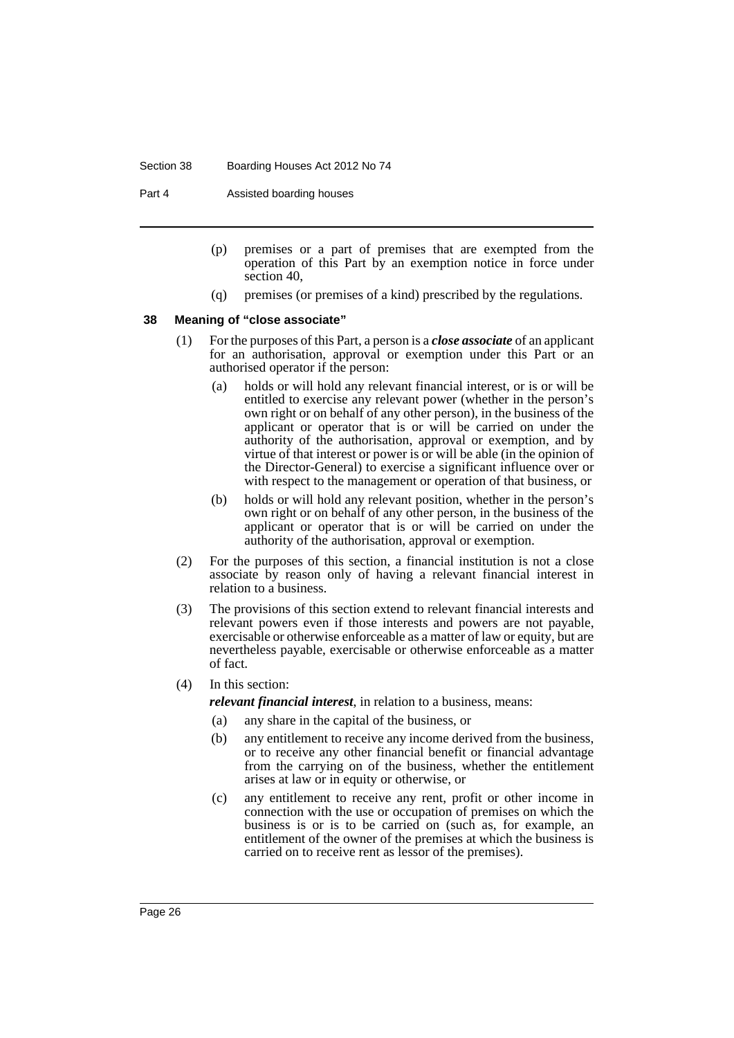#### Section 38 Boarding Houses Act 2012 No 74

Part 4 Assisted boarding houses

- (p) premises or a part of premises that are exempted from the operation of this Part by an exemption notice in force under section 40,
- (q) premises (or premises of a kind) prescribed by the regulations.

#### <span id="page-31-0"></span>**38 Meaning of "close associate"**

- (1) For the purposes of this Part, a person is a *close associate* of an applicant for an authorisation, approval or exemption under this Part or an authorised operator if the person:
	- (a) holds or will hold any relevant financial interest, or is or will be entitled to exercise any relevant power (whether in the person's own right or on behalf of any other person), in the business of the applicant or operator that is or will be carried on under the authority of the authorisation, approval or exemption, and by virtue of that interest or power is or will be able (in the opinion of the Director-General) to exercise a significant influence over or with respect to the management or operation of that business, or
	- (b) holds or will hold any relevant position, whether in the person's own right or on behalf of any other person, in the business of the applicant or operator that is or will be carried on under the authority of the authorisation, approval or exemption.
- (2) For the purposes of this section, a financial institution is not a close associate by reason only of having a relevant financial interest in relation to a business.
- (3) The provisions of this section extend to relevant financial interests and relevant powers even if those interests and powers are not payable, exercisable or otherwise enforceable as a matter of law or equity, but are nevertheless payable, exercisable or otherwise enforceable as a matter of fact.
- (4) In this section:

*relevant financial interest*, in relation to a business, means:

- (a) any share in the capital of the business, or
- (b) any entitlement to receive any income derived from the business, or to receive any other financial benefit or financial advantage from the carrying on of the business, whether the entitlement arises at law or in equity or otherwise, or
- (c) any entitlement to receive any rent, profit or other income in connection with the use or occupation of premises on which the business is or is to be carried on (such as, for example, an entitlement of the owner of the premises at which the business is carried on to receive rent as lessor of the premises).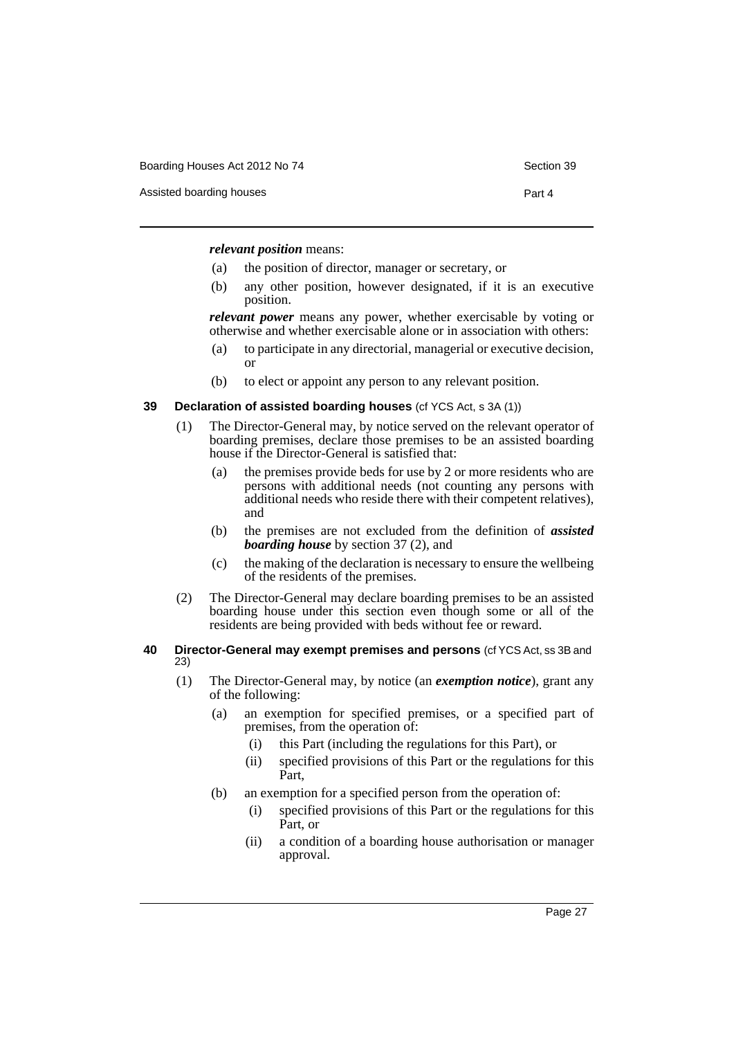Boarding Houses Act 2012 No 74 Section 39

Assisted boarding houses **Part 4** 

*relevant position* means:

- (a) the position of director, manager or secretary, or
- (b) any other position, however designated, if it is an executive position.

*relevant power* means any power, whether exercisable by voting or otherwise and whether exercisable alone or in association with others:

- (a) to participate in any directorial, managerial or executive decision, or
- (b) to elect or appoint any person to any relevant position.

#### <span id="page-32-0"></span>**39 Declaration of assisted boarding houses** (cf YCS Act, s 3A (1))

- (1) The Director-General may, by notice served on the relevant operator of boarding premises, declare those premises to be an assisted boarding house if the Director-General is satisfied that:
	- (a) the premises provide beds for use by 2 or more residents who are persons with additional needs (not counting any persons with additional needs who reside there with their competent relatives), and
	- (b) the premises are not excluded from the definition of *assisted boarding house* by section 37 (2), and
	- (c) the making of the declaration is necessary to ensure the wellbeing of the residents of the premises.
- (2) The Director-General may declare boarding premises to be an assisted boarding house under this section even though some or all of the residents are being provided with beds without fee or reward.
- <span id="page-32-1"></span>**40 Director-General may exempt premises and persons** (cf YCS Act, ss 3B and 23)
	- (1) The Director-General may, by notice (an *exemption notice*), grant any of the following:
		- (a) an exemption for specified premises, or a specified part of premises, from the operation of:
			- (i) this Part (including the regulations for this Part), or
			- (ii) specified provisions of this Part or the regulations for this Part,
		- (b) an exemption for a specified person from the operation of:
			- (i) specified provisions of this Part or the regulations for this Part, or
			- (ii) a condition of a boarding house authorisation or manager approval.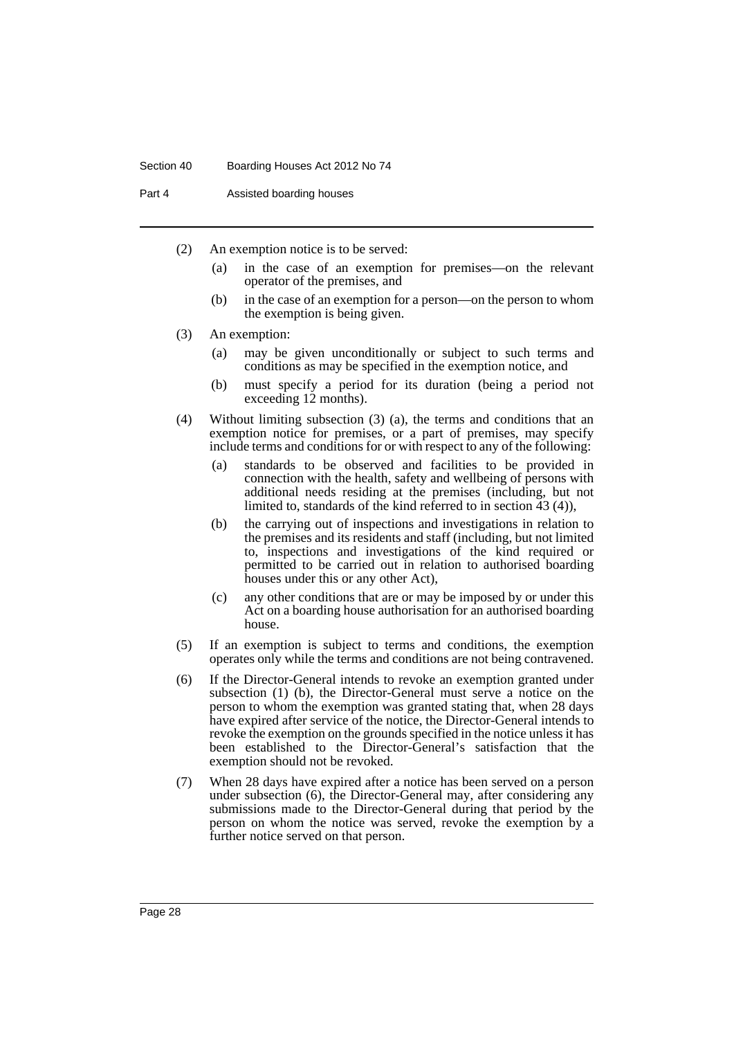#### Section 40 Boarding Houses Act 2012 No 74

Part 4 Assisted boarding houses

- (2) An exemption notice is to be served:
	- (a) in the case of an exemption for premises—on the relevant operator of the premises, and
	- (b) in the case of an exemption for a person—on the person to whom the exemption is being given.
- (3) An exemption:
	- (a) may be given unconditionally or subject to such terms and conditions as may be specified in the exemption notice, and
	- (b) must specify a period for its duration (being a period not exceeding 12 months).
- (4) Without limiting subsection (3) (a), the terms and conditions that an exemption notice for premises, or a part of premises, may specify include terms and conditions for or with respect to any of the following:
	- (a) standards to be observed and facilities to be provided in connection with the health, safety and wellbeing of persons with additional needs residing at the premises (including, but not limited to, standards of the kind referred to in section 43 (4)),
	- (b) the carrying out of inspections and investigations in relation to the premises and its residents and staff (including, but not limited to, inspections and investigations of the kind required or permitted to be carried out in relation to authorised boarding houses under this or any other Act),
	- (c) any other conditions that are or may be imposed by or under this Act on a boarding house authorisation for an authorised boarding house.
- (5) If an exemption is subject to terms and conditions, the exemption operates only while the terms and conditions are not being contravened.
- (6) If the Director-General intends to revoke an exemption granted under subsection (1) (b), the Director-General must serve a notice on the person to whom the exemption was granted stating that, when 28 days have expired after service of the notice, the Director-General intends to revoke the exemption on the grounds specified in the notice unless it has been established to the Director-General's satisfaction that the exemption should not be revoked.
- (7) When 28 days have expired after a notice has been served on a person under subsection (6), the Director-General may, after considering any submissions made to the Director-General during that period by the person on whom the notice was served, revoke the exemption by a further notice served on that person.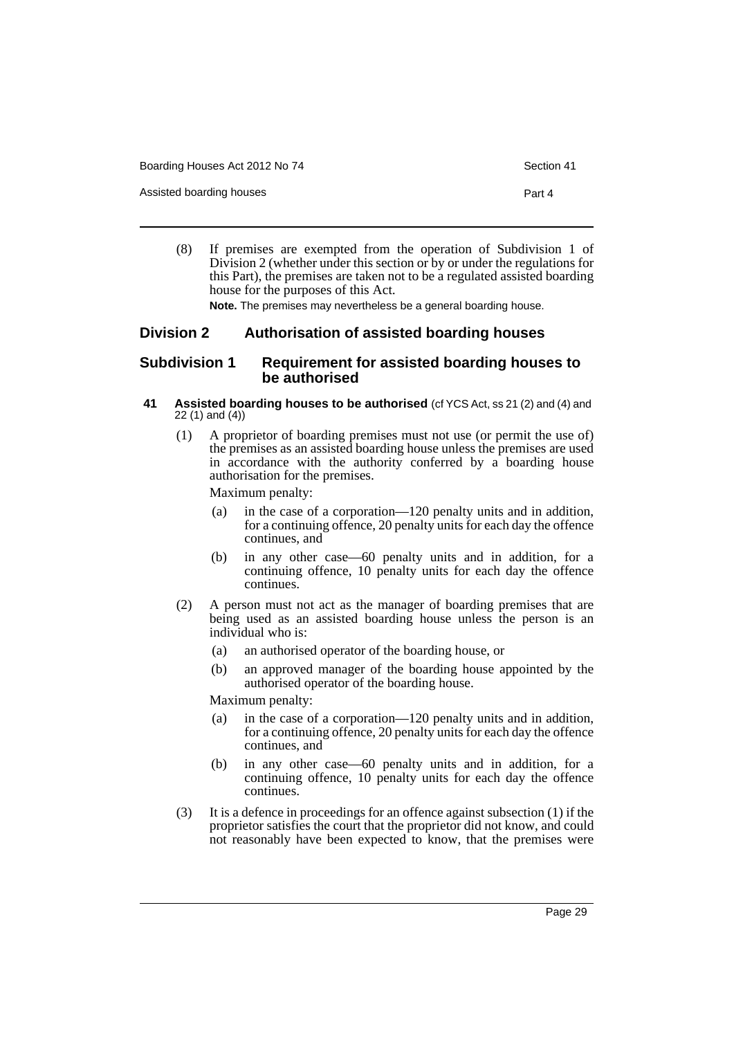Boarding Houses Act 2012 No 74 Section 41

Assisted boarding houses **Part 4** 

- 
- (8) If premises are exempted from the operation of Subdivision 1 of Division 2 (whether under this section or by or under the regulations for this Part), the premises are taken not to be a regulated assisted boarding house for the purposes of this Act.

**Note.** The premises may nevertheless be a general boarding house.

## <span id="page-34-0"></span>**Division 2 Authorisation of assisted boarding houses**

#### <span id="page-34-1"></span>**Subdivision 1 Requirement for assisted boarding houses to be authorised**

- <span id="page-34-2"></span>**41 Assisted boarding houses to be authorised** (cf YCS Act, ss 21 (2) and (4) and 22 (1) and (4))
	- (1) A proprietor of boarding premises must not use (or permit the use of) the premises as an assisted boarding house unless the premises are used in accordance with the authority conferred by a boarding house authorisation for the premises.

Maximum penalty:

- (a) in the case of a corporation—120 penalty units and in addition, for a continuing offence, 20 penalty units for each day the offence continues, and
- (b) in any other case—60 penalty units and in addition, for a continuing offence, 10 penalty units for each day the offence continues.
- (2) A person must not act as the manager of boarding premises that are being used as an assisted boarding house unless the person is an individual who is:
	- (a) an authorised operator of the boarding house, or
	- (b) an approved manager of the boarding house appointed by the authorised operator of the boarding house.

Maximum penalty:

- (a) in the case of a corporation—120 penalty units and in addition, for a continuing offence, 20 penalty units for each day the offence continues, and
- (b) in any other case—60 penalty units and in addition, for a continuing offence, 10 penalty units for each day the offence continues.
- (3) It is a defence in proceedings for an offence against subsection (1) if the proprietor satisfies the court that the proprietor did not know, and could not reasonably have been expected to know, that the premises were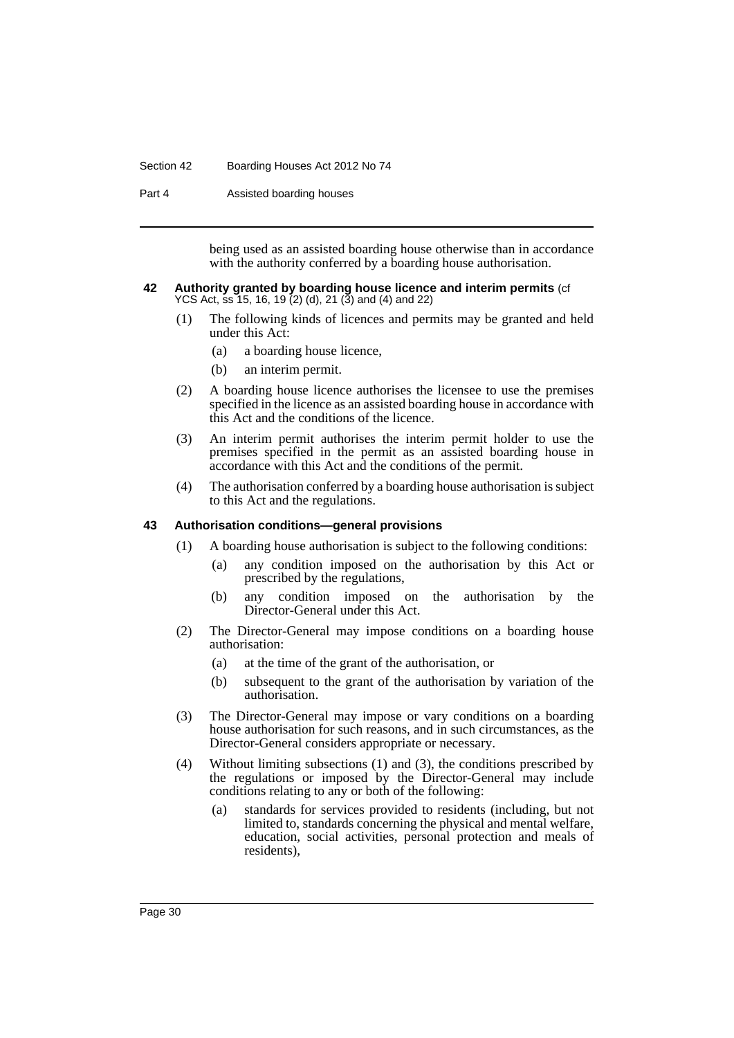#### Section 42 Boarding Houses Act 2012 No 74

Part 4 Assisted boarding houses

being used as an assisted boarding house otherwise than in accordance with the authority conferred by a boarding house authorisation.

#### <span id="page-35-0"></span>**42 Authority granted by boarding house licence and interim permits** (cf YCS Act, ss 15, 16, 19 (2) (d), 21 (3) and (4) and 22)

- (1) The following kinds of licences and permits may be granted and held under this Act:
	- (a) a boarding house licence,
	- (b) an interim permit.
- (2) A boarding house licence authorises the licensee to use the premises specified in the licence as an assisted boarding house in accordance with this Act and the conditions of the licence.
- (3) An interim permit authorises the interim permit holder to use the premises specified in the permit as an assisted boarding house in accordance with this Act and the conditions of the permit.
- (4) The authorisation conferred by a boarding house authorisation is subject to this Act and the regulations.

#### <span id="page-35-1"></span>**43 Authorisation conditions—general provisions**

- (1) A boarding house authorisation is subject to the following conditions:
	- (a) any condition imposed on the authorisation by this Act or prescribed by the regulations,
	- (b) any condition imposed on the authorisation by the Director-General under this Act.
- (2) The Director-General may impose conditions on a boarding house authorisation:
	- (a) at the time of the grant of the authorisation, or
	- (b) subsequent to the grant of the authorisation by variation of the authorisation.
- (3) The Director-General may impose or vary conditions on a boarding house authorisation for such reasons, and in such circumstances, as the Director-General considers appropriate or necessary.
- (4) Without limiting subsections (1) and (3), the conditions prescribed by the regulations or imposed by the Director-General may include conditions relating to any or both of the following:
	- (a) standards for services provided to residents (including, but not limited to, standards concerning the physical and mental welfare, education, social activities, personal protection and meals of residents),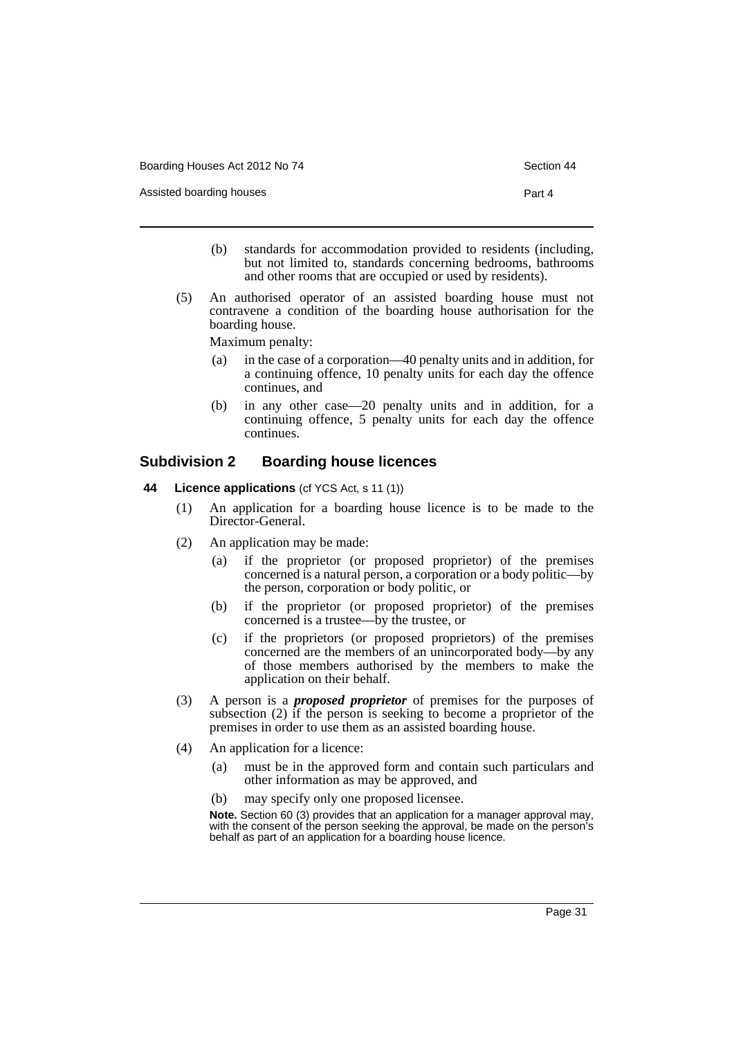Assisted boarding houses **Part 4** 

- 
- (b) standards for accommodation provided to residents (including, but not limited to, standards concerning bedrooms, bathrooms and other rooms that are occupied or used by residents).
- (5) An authorised operator of an assisted boarding house must not contravene a condition of the boarding house authorisation for the boarding house.

Maximum penalty:

- (a) in the case of a corporation—40 penalty units and in addition, for a continuing offence, 10 penalty units for each day the offence continues, and
- (b) in any other case—20 penalty units and in addition, for a continuing offence, 5 penalty units for each day the offence continues.

## **Subdivision 2 Boarding house licences**

- **44 Licence applications** (cf YCS Act, s 11 (1))
	- (1) An application for a boarding house licence is to be made to the Director-General.
	- (2) An application may be made:
		- (a) if the proprietor (or proposed proprietor) of the premises concerned is a natural person, a corporation or a body politic—by the person, corporation or body politic, or
		- (b) if the proprietor (or proposed proprietor) of the premises concerned is a trustee—by the trustee, or
		- (c) if the proprietors (or proposed proprietors) of the premises concerned are the members of an unincorporated body—by any of those members authorised by the members to make the application on their behalf.
	- (3) A person is a *proposed proprietor* of premises for the purposes of subsection (2) if the person is seeking to become a proprietor of the premises in order to use them as an assisted boarding house.
	- (4) An application for a licence:
		- (a) must be in the approved form and contain such particulars and other information as may be approved, and
		- (b) may specify only one proposed licensee.

**Note.** Section 60 (3) provides that an application for a manager approval may, with the consent of the person seeking the approval, be made on the person's behalf as part of an application for a boarding house licence.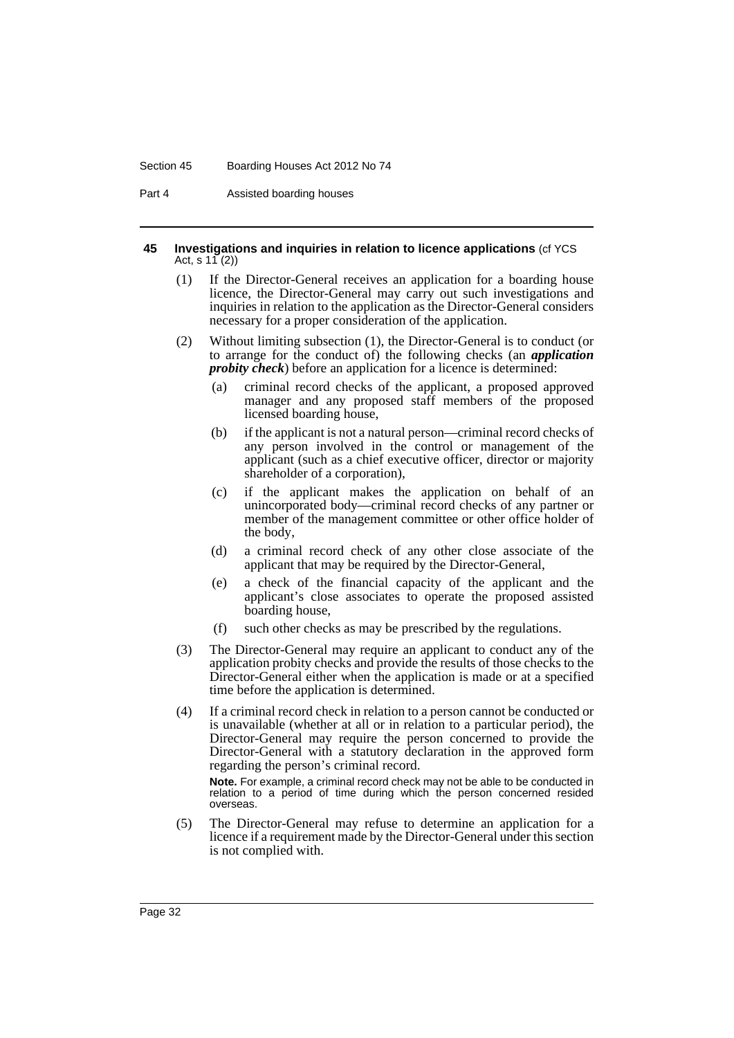#### Section 45 Boarding Houses Act 2012 No 74

Part 4 Assisted boarding houses

#### **45 Investigations and inquiries in relation to licence applications** (cf YCS Act, s  $11(2)$

- (1) If the Director-General receives an application for a boarding house licence, the Director-General may carry out such investigations and inquiries in relation to the application as the Director-General considers necessary for a proper consideration of the application.
- (2) Without limiting subsection (1), the Director-General is to conduct (or to arrange for the conduct of) the following checks (an *application probity check*) before an application for a licence is determined:
	- (a) criminal record checks of the applicant, a proposed approved manager and any proposed staff members of the proposed licensed boarding house,
	- (b) if the applicant is not a natural person—criminal record checks of any person involved in the control or management of the applicant (such as a chief executive officer, director or majority shareholder of a corporation),
	- (c) if the applicant makes the application on behalf of an unincorporated body—criminal record checks of any partner or member of the management committee or other office holder of the body,
	- (d) a criminal record check of any other close associate of the applicant that may be required by the Director-General,
	- (e) a check of the financial capacity of the applicant and the applicant's close associates to operate the proposed assisted boarding house,
	- (f) such other checks as may be prescribed by the regulations.
- (3) The Director-General may require an applicant to conduct any of the application probity checks and provide the results of those checks to the Director-General either when the application is made or at a specified time before the application is determined.
- (4) If a criminal record check in relation to a person cannot be conducted or is unavailable (whether at all or in relation to a particular period), the Director-General may require the person concerned to provide the Director-General with a statutory declaration in the approved form regarding the person's criminal record.

**Note.** For example, a criminal record check may not be able to be conducted in relation to a period of time during which the person concerned resided overseas.

(5) The Director-General may refuse to determine an application for a licence if a requirement made by the Director-General under this section is not complied with.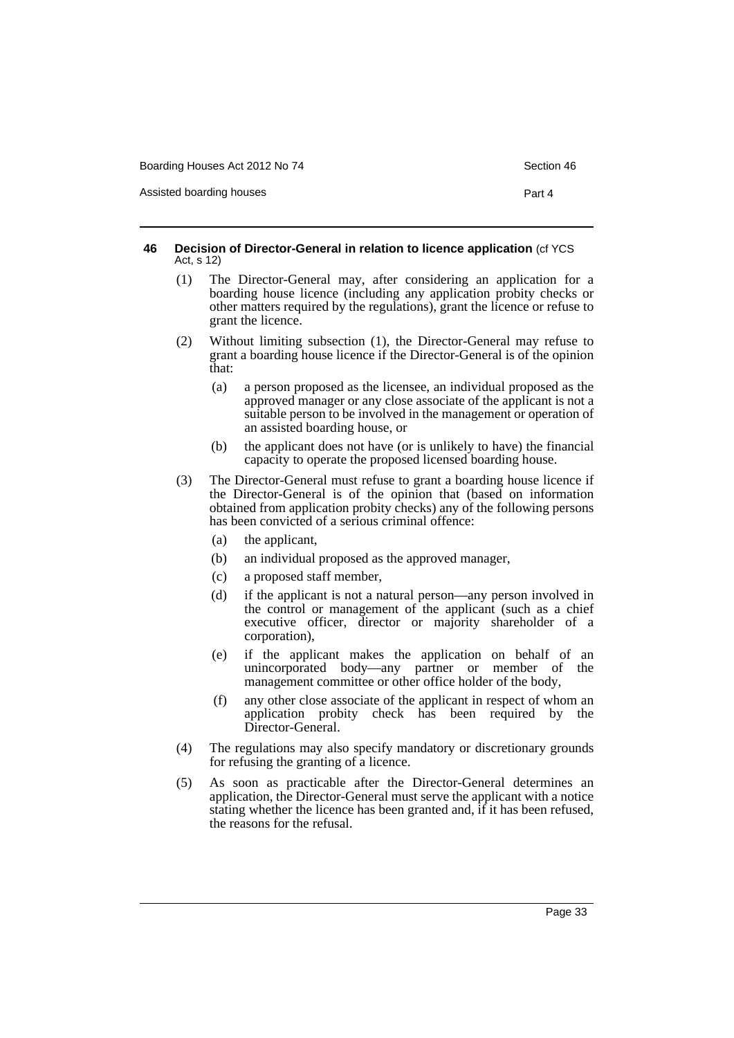Assisted boarding houses **Part 4** 

#### **46 Decision of Director-General in relation to licence application** (cf YCS Act, s 12)

- (1) The Director-General may, after considering an application for a boarding house licence (including any application probity checks or other matters required by the regulations), grant the licence or refuse to grant the licence.
- (2) Without limiting subsection (1), the Director-General may refuse to grant a boarding house licence if the Director-General is of the opinion that:
	- (a) a person proposed as the licensee, an individual proposed as the approved manager or any close associate of the applicant is not a suitable person to be involved in the management or operation of an assisted boarding house, or
	- (b) the applicant does not have (or is unlikely to have) the financial capacity to operate the proposed licensed boarding house.
- (3) The Director-General must refuse to grant a boarding house licence if the Director-General is of the opinion that (based on information obtained from application probity checks) any of the following persons has been convicted of a serious criminal offence:
	- (a) the applicant,
	- (b) an individual proposed as the approved manager,
	- (c) a proposed staff member,
	- (d) if the applicant is not a natural person—any person involved in the control or management of the applicant (such as a chief executive officer, director or majority shareholder of a corporation),
	- (e) if the applicant makes the application on behalf of an unincorporated body—any partner or member of the management committee or other office holder of the body,
	- (f) any other close associate of the applicant in respect of whom an application probity check has been required by the Director-General.
- (4) The regulations may also specify mandatory or discretionary grounds for refusing the granting of a licence.
- (5) As soon as practicable after the Director-General determines an application, the Director-General must serve the applicant with a notice stating whether the licence has been granted and, if it has been refused, the reasons for the refusal.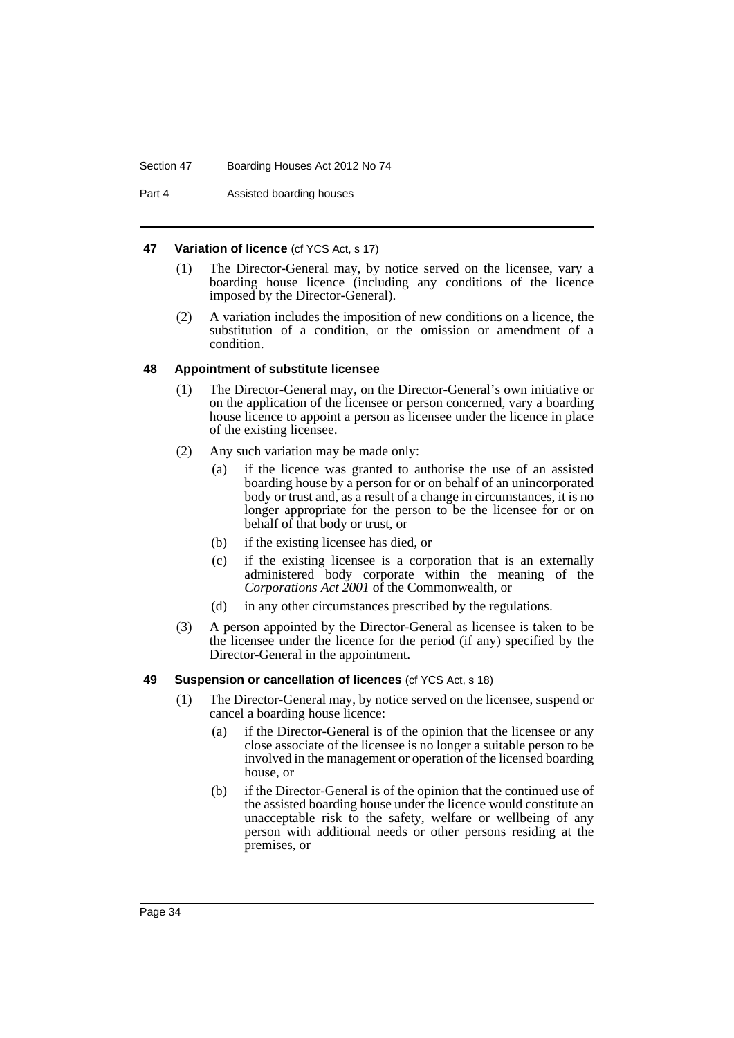Part 4 Assisted boarding houses

### **47 Variation of licence** (cf YCS Act, s 17)

- (1) The Director-General may, by notice served on the licensee, vary a boarding house licence (including any conditions of the licence imposed by the Director-General).
- (2) A variation includes the imposition of new conditions on a licence, the substitution of a condition, or the omission or amendment of a condition.

#### **48 Appointment of substitute licensee**

- (1) The Director-General may, on the Director-General's own initiative or on the application of the licensee or person concerned, vary a boarding house licence to appoint a person as licensee under the licence in place of the existing licensee.
- (2) Any such variation may be made only:
	- (a) if the licence was granted to authorise the use of an assisted boarding house by a person for or on behalf of an unincorporated body or trust and, as a result of a change in circumstances, it is no longer appropriate for the person to be the licensee for or on behalf of that body or trust, or
	- (b) if the existing licensee has died, or
	- (c) if the existing licensee is a corporation that is an externally administered body corporate within the meaning of the *Corporations Act 2001* of the Commonwealth, or
	- (d) in any other circumstances prescribed by the regulations.
- (3) A person appointed by the Director-General as licensee is taken to be the licensee under the licence for the period (if any) specified by the Director-General in the appointment.

## **49 Suspension or cancellation of licences** (cf YCS Act, s 18)

- (1) The Director-General may, by notice served on the licensee, suspend or cancel a boarding house licence:
	- (a) if the Director-General is of the opinion that the licensee or any close associate of the licensee is no longer a suitable person to be involved in the management or operation of the licensed boarding house, or
	- (b) if the Director-General is of the opinion that the continued use of the assisted boarding house under the licence would constitute an unacceptable risk to the safety, welfare or wellbeing of any person with additional needs or other persons residing at the premises, or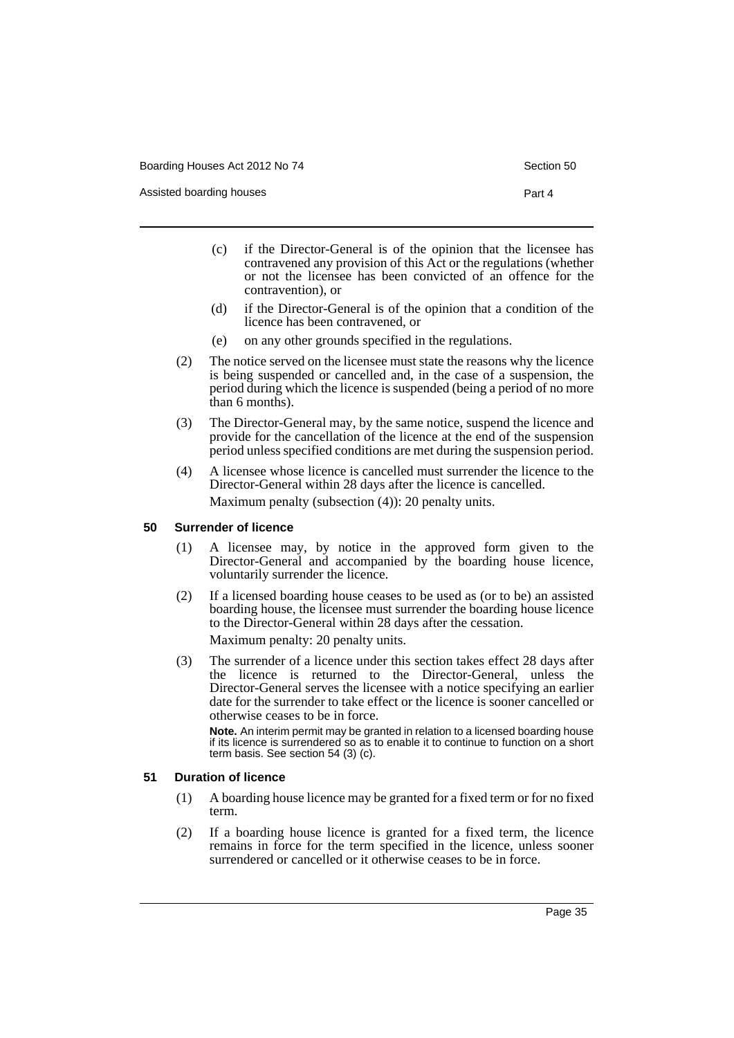Assisted boarding houses **Part 4** 

- (c) if the Director-General is of the opinion that the licensee has contravened any provision of this Act or the regulations (whether or not the licensee has been convicted of an offence for the contravention), or
- (d) if the Director-General is of the opinion that a condition of the licence has been contravened, or
- (e) on any other grounds specified in the regulations.
- (2) The notice served on the licensee must state the reasons why the licence is being suspended or cancelled and, in the case of a suspension, the period during which the licence is suspended (being a period of no more than 6 months).
- (3) The Director-General may, by the same notice, suspend the licence and provide for the cancellation of the licence at the end of the suspension period unless specified conditions are met during the suspension period.
- (4) A licensee whose licence is cancelled must surrender the licence to the Director-General within 28 days after the licence is cancelled. Maximum penalty (subsection (4)): 20 penalty units.

#### **50 Surrender of licence**

- (1) A licensee may, by notice in the approved form given to the Director-General and accompanied by the boarding house licence, voluntarily surrender the licence.
- (2) If a licensed boarding house ceases to be used as (or to be) an assisted boarding house, the licensee must surrender the boarding house licence to the Director-General within 28 days after the cessation. Maximum penalty: 20 penalty units.
- (3) The surrender of a licence under this section takes effect 28 days after the licence is returned to the Director-General, unless the Director-General serves the licensee with a notice specifying an earlier date for the surrender to take effect or the licence is sooner cancelled or otherwise ceases to be in force.

**Note.** An interim permit may be granted in relation to a licensed boarding house if its licence is surrendered so as to enable it to continue to function on a short term basis. See section 54 (3) (c).

## **51 Duration of licence**

- (1) A boarding house licence may be granted for a fixed term or for no fixed term.
- (2) If a boarding house licence is granted for a fixed term, the licence remains in force for the term specified in the licence, unless sooner surrendered or cancelled or it otherwise ceases to be in force.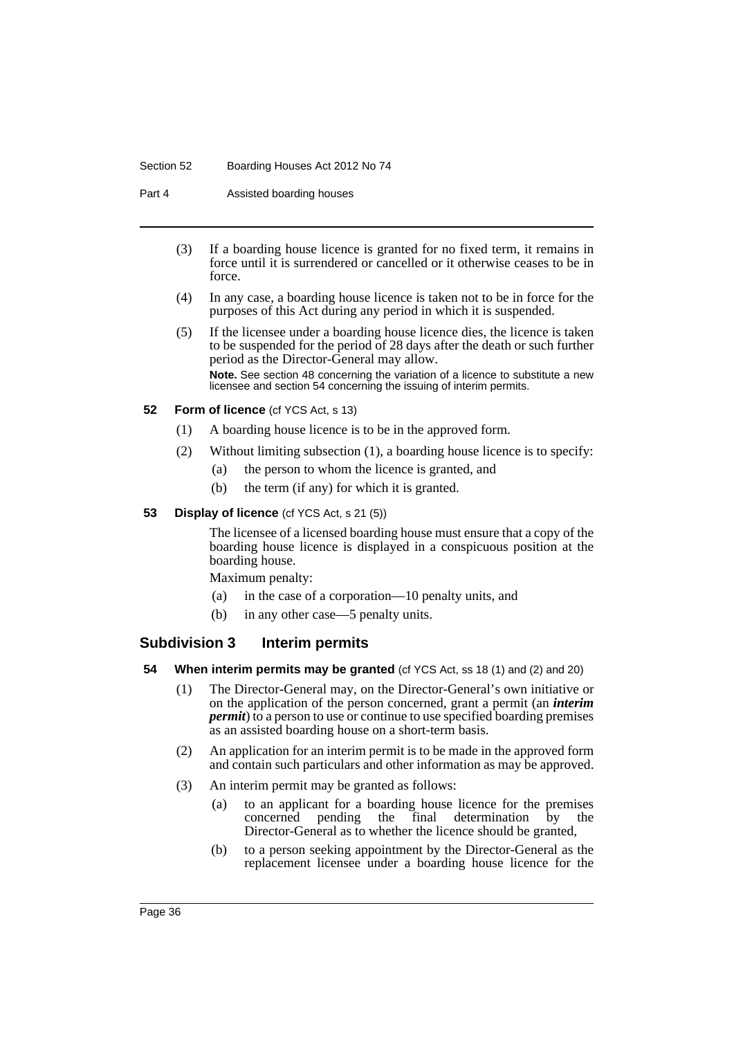#### Section 52 Boarding Houses Act 2012 No 74

Part 4 Assisted boarding houses

- (3) If a boarding house licence is granted for no fixed term, it remains in force until it is surrendered or cancelled or it otherwise ceases to be in force.
- (4) In any case, a boarding house licence is taken not to be in force for the purposes of this Act during any period in which it is suspended.
- (5) If the licensee under a boarding house licence dies, the licence is taken to be suspended for the period of 28 days after the death or such further period as the Director-General may allow. **Note.** See section 48 concerning the variation of a licence to substitute a new licensee and section 54 concerning the issuing of interim permits.

### **52 Form of licence** (cf YCS Act, s 13)

- (1) A boarding house licence is to be in the approved form.
- (2) Without limiting subsection (1), a boarding house licence is to specify:
	- (a) the person to whom the licence is granted, and
	- (b) the term (if any) for which it is granted.

### **53 Display of licence** (cf YCS Act, s 21 (5))

The licensee of a licensed boarding house must ensure that a copy of the boarding house licence is displayed in a conspicuous position at the boarding house.

Maximum penalty:

- (a) in the case of a corporation—10 penalty units, and
- (b) in any other case—5 penalty units.

## **Subdivision 3 Interim permits**

- **54 When interim permits may be granted** (cf YCS Act, ss 18 (1) and (2) and 20)
	- (1) The Director-General may, on the Director-General's own initiative or on the application of the person concerned, grant a permit (an *interim permit*) to a person to use or continue to use specified boarding premises as an assisted boarding house on a short-term basis.
	- (2) An application for an interim permit is to be made in the approved form and contain such particulars and other information as may be approved.
	- (3) An interim permit may be granted as follows:
		- (a) to an applicant for a boarding house licence for the premises concerned pending the final determination by the Director-General as to whether the licence should be granted,
		- (b) to a person seeking appointment by the Director-General as the replacement licensee under a boarding house licence for the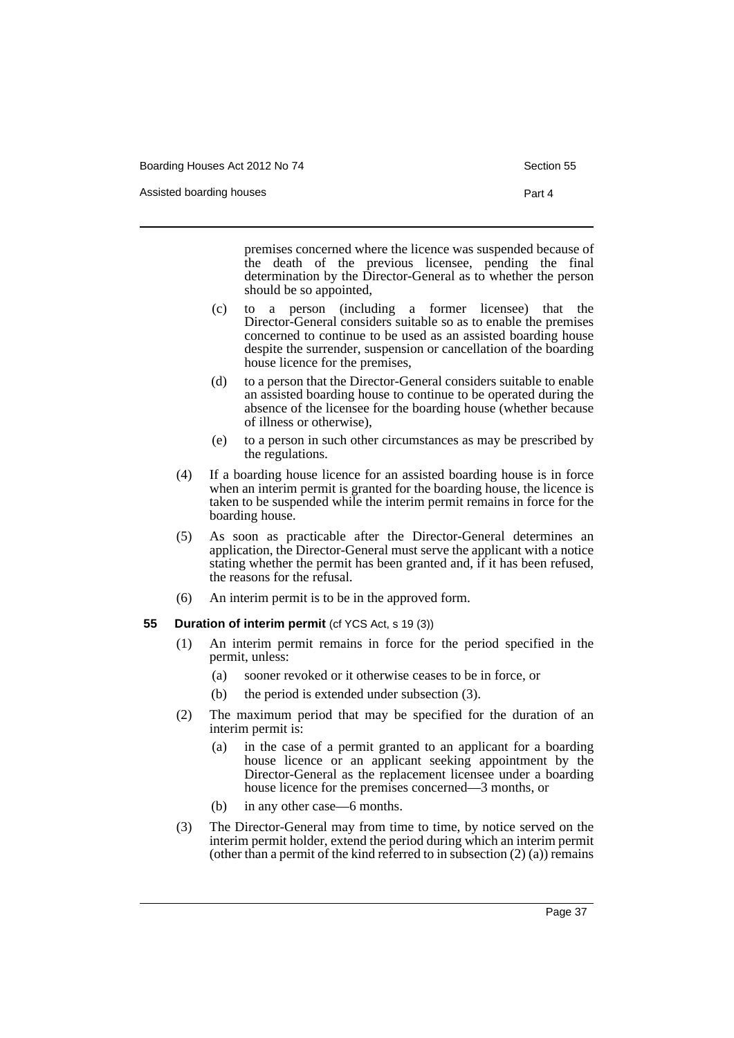Assisted boarding houses **Part 4** 

premises concerned where the licence was suspended because of the death of the previous licensee, pending the final determination by the Director-General as to whether the person should be so appointed,

- (c) to a person (including a former licensee) that the Director-General considers suitable so as to enable the premises concerned to continue to be used as an assisted boarding house despite the surrender, suspension or cancellation of the boarding house licence for the premises,
- (d) to a person that the Director-General considers suitable to enable an assisted boarding house to continue to be operated during the absence of the licensee for the boarding house (whether because of illness or otherwise),
- (e) to a person in such other circumstances as may be prescribed by the regulations.
- (4) If a boarding house licence for an assisted boarding house is in force when an interim permit is granted for the boarding house, the licence is taken to be suspended while the interim permit remains in force for the boarding house.
- (5) As soon as practicable after the Director-General determines an application, the Director-General must serve the applicant with a notice stating whether the permit has been granted and, if it has been refused, the reasons for the refusal.
- (6) An interim permit is to be in the approved form.

### **55 Duration of interim permit** (cf YCS Act, s 19 (3))

- (1) An interim permit remains in force for the period specified in the permit, unless:
	- (a) sooner revoked or it otherwise ceases to be in force, or
	- (b) the period is extended under subsection (3).
- (2) The maximum period that may be specified for the duration of an interim permit is:
	- (a) in the case of a permit granted to an applicant for a boarding house licence or an applicant seeking appointment by the Director-General as the replacement licensee under a boarding house licence for the premises concerned—3 months, or
	- (b) in any other case—6 months.
- (3) The Director-General may from time to time, by notice served on the interim permit holder, extend the period during which an interim permit (other than a permit of the kind referred to in subsection  $(2)$  (a)) remains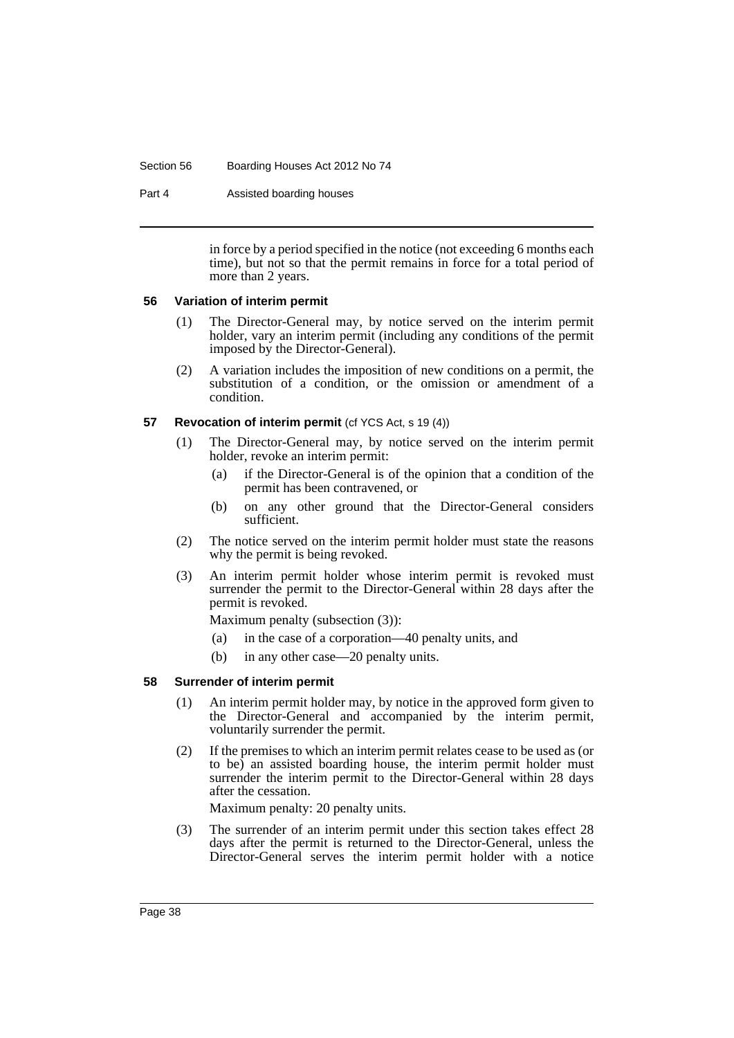#### Section 56 Boarding Houses Act 2012 No 74

Part 4 Assisted boarding houses

in force by a period specified in the notice (not exceeding 6 months each time), but not so that the permit remains in force for a total period of more than 2 years.

### **56 Variation of interim permit**

- (1) The Director-General may, by notice served on the interim permit holder, vary an interim permit (including any conditions of the permit imposed by the Director-General).
- (2) A variation includes the imposition of new conditions on a permit, the substitution of a condition, or the omission or amendment of a condition.

### **57** Revocation of interim permit (cf YCS Act, s 19 (4))

- (1) The Director-General may, by notice served on the interim permit holder, revoke an interim permit:
	- (a) if the Director-General is of the opinion that a condition of the permit has been contravened, or
	- (b) on any other ground that the Director-General considers sufficient.
- (2) The notice served on the interim permit holder must state the reasons why the permit is being revoked.
- (3) An interim permit holder whose interim permit is revoked must surrender the permit to the Director-General within 28 days after the permit is revoked.

Maximum penalty (subsection (3)):

- (a) in the case of a corporation—40 penalty units, and
- (b) in any other case—20 penalty units.

### **58 Surrender of interim permit**

- (1) An interim permit holder may, by notice in the approved form given to the Director-General and accompanied by the interim permit, voluntarily surrender the permit.
- (2) If the premises to which an interim permit relates cease to be used as (or to be) an assisted boarding house, the interim permit holder must surrender the interim permit to the Director-General within 28 days after the cessation.

Maximum penalty: 20 penalty units.

(3) The surrender of an interim permit under this section takes effect 28 days after the permit is returned to the Director-General, unless the Director-General serves the interim permit holder with a notice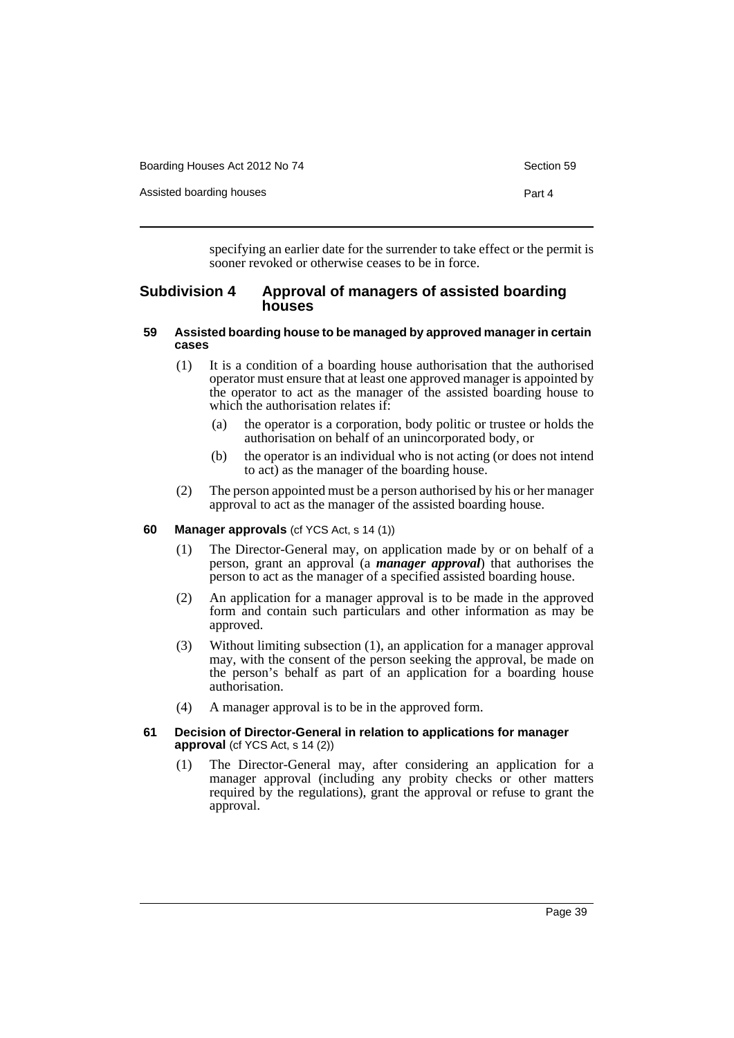| Boarding Houses Act 2012 No 74 | Section 59 |
|--------------------------------|------------|
| Assisted boarding houses       | Part 4     |

specifying an earlier date for the surrender to take effect or the permit is sooner revoked or otherwise ceases to be in force.

## **Subdivision 4 Approval of managers of assisted boarding houses**

## **59 Assisted boarding house to be managed by approved manager in certain cases**

- (1) It is a condition of a boarding house authorisation that the authorised operator must ensure that at least one approved manager is appointed by the operator to act as the manager of the assisted boarding house to which the authorisation relates if:
	- (a) the operator is a corporation, body politic or trustee or holds the authorisation on behalf of an unincorporated body, or
	- (b) the operator is an individual who is not acting (or does not intend to act) as the manager of the boarding house.
- (2) The person appointed must be a person authorised by his or her manager approval to act as the manager of the assisted boarding house.

### **60 Manager approvals** (cf YCS Act, s 14 (1))

- (1) The Director-General may, on application made by or on behalf of a person, grant an approval (a *manager approval*) that authorises the person to act as the manager of a specified assisted boarding house.
- (2) An application for a manager approval is to be made in the approved form and contain such particulars and other information as may be approved.
- (3) Without limiting subsection (1), an application for a manager approval may, with the consent of the person seeking the approval, be made on the person's behalf as part of an application for a boarding house authorisation.
- (4) A manager approval is to be in the approved form.
- **61 Decision of Director-General in relation to applications for manager approval** (cf YCS Act, s 14 (2))
	- (1) The Director-General may, after considering an application for a manager approval (including any probity checks or other matters required by the regulations), grant the approval or refuse to grant the approval.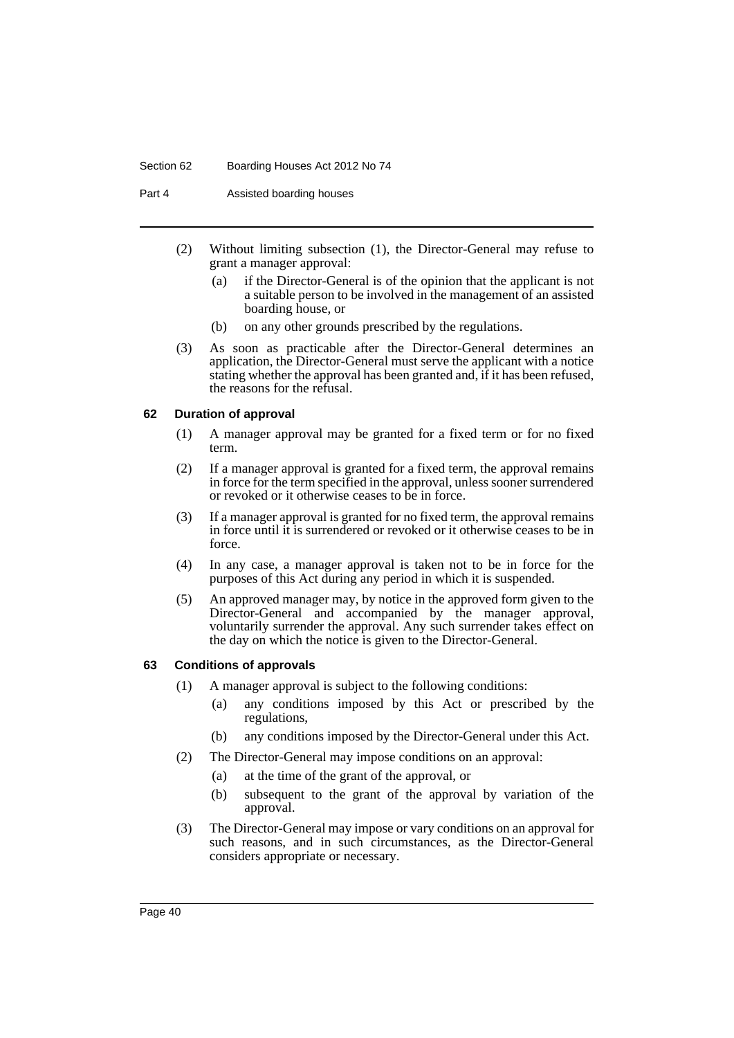#### Section 62 Boarding Houses Act 2012 No 74

Part 4 Assisted boarding houses

- (2) Without limiting subsection (1), the Director-General may refuse to grant a manager approval:
	- (a) if the Director-General is of the opinion that the applicant is not a suitable person to be involved in the management of an assisted boarding house, or
	- (b) on any other grounds prescribed by the regulations.
- (3) As soon as practicable after the Director-General determines an application, the Director-General must serve the applicant with a notice stating whether the approval has been granted and, if it has been refused, the reasons for the refusal.

## **62 Duration of approval**

- (1) A manager approval may be granted for a fixed term or for no fixed term.
- (2) If a manager approval is granted for a fixed term, the approval remains in force for the term specified in the approval, unless sooner surrendered or revoked or it otherwise ceases to be in force.
- (3) If a manager approval is granted for no fixed term, the approval remains in force until it is surrendered or revoked or it otherwise ceases to be in force.
- (4) In any case, a manager approval is taken not to be in force for the purposes of this Act during any period in which it is suspended.
- (5) An approved manager may, by notice in the approved form given to the Director-General and accompanied by the manager approval, voluntarily surrender the approval. Any such surrender takes effect on the day on which the notice is given to the Director-General.

## **63 Conditions of approvals**

- (1) A manager approval is subject to the following conditions:
	- (a) any conditions imposed by this Act or prescribed by the regulations,
	- (b) any conditions imposed by the Director-General under this Act.
- (2) The Director-General may impose conditions on an approval:
	- (a) at the time of the grant of the approval, or
	- (b) subsequent to the grant of the approval by variation of the approval.
- (3) The Director-General may impose or vary conditions on an approval for such reasons, and in such circumstances, as the Director-General considers appropriate or necessary.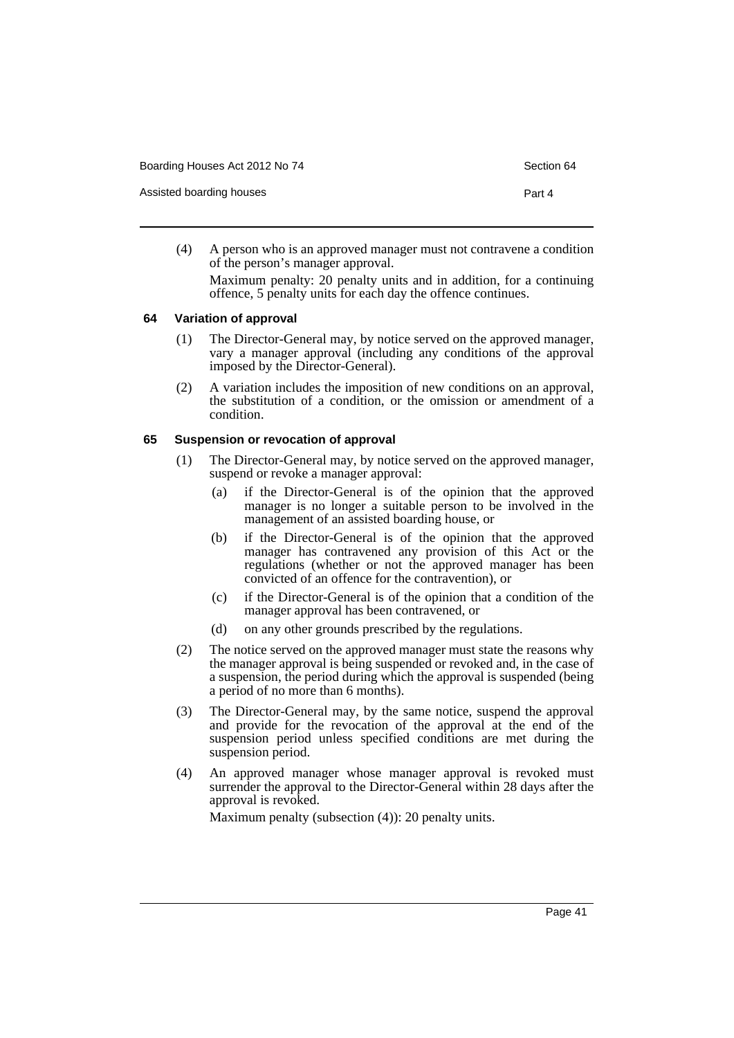Assisted boarding houses **Part 4** 

- 
- (4) A person who is an approved manager must not contravene a condition of the person's manager approval.

Maximum penalty: 20 penalty units and in addition, for a continuing offence, 5 penalty units for each day the offence continues.

#### **64 Variation of approval**

- (1) The Director-General may, by notice served on the approved manager, vary a manager approval (including any conditions of the approval imposed by the Director-General).
- (2) A variation includes the imposition of new conditions on an approval, the substitution of a condition, or the omission or amendment of a condition.

### **65 Suspension or revocation of approval**

- (1) The Director-General may, by notice served on the approved manager, suspend or revoke a manager approval:
	- (a) if the Director-General is of the opinion that the approved manager is no longer a suitable person to be involved in the management of an assisted boarding house, or
	- (b) if the Director-General is of the opinion that the approved manager has contravened any provision of this Act or the regulations (whether or not the approved manager has been convicted of an offence for the contravention), or
	- (c) if the Director-General is of the opinion that a condition of the manager approval has been contravened, or
	- (d) on any other grounds prescribed by the regulations.
- (2) The notice served on the approved manager must state the reasons why the manager approval is being suspended or revoked and, in the case of a suspension, the period during which the approval is suspended (being a period of no more than 6 months).
- (3) The Director-General may, by the same notice, suspend the approval and provide for the revocation of the approval at the end of the suspension period unless specified conditions are met during the suspension period.
- (4) An approved manager whose manager approval is revoked must surrender the approval to the Director-General within 28 days after the approval is revoked.

Maximum penalty (subsection (4)): 20 penalty units.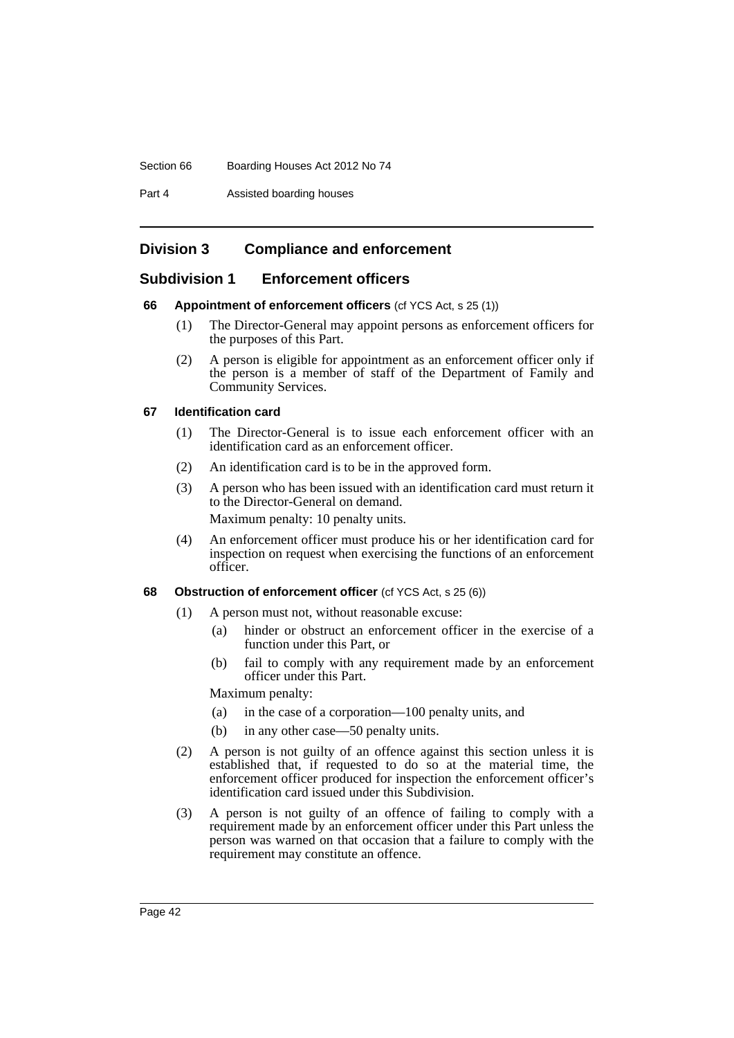Section 66 Boarding Houses Act 2012 No 74

Part 4 Assisted boarding houses

# **Division 3 Compliance and enforcement**

## **Subdivision 1 Enforcement officers**

## **66 Appointment of enforcement officers** (cf YCS Act, s 25 (1))

- (1) The Director-General may appoint persons as enforcement officers for the purposes of this Part.
- (2) A person is eligible for appointment as an enforcement officer only if the person is a member of staff of the Department of Family and Community Services.

## **67 Identification card**

- (1) The Director-General is to issue each enforcement officer with an identification card as an enforcement officer.
- (2) An identification card is to be in the approved form.
- (3) A person who has been issued with an identification card must return it to the Director-General on demand. Maximum penalty: 10 penalty units.
- (4) An enforcement officer must produce his or her identification card for inspection on request when exercising the functions of an enforcement officer.

## **68 Obstruction of enforcement officer** (cf YCS Act, s 25 (6))

- (1) A person must not, without reasonable excuse:
	- (a) hinder or obstruct an enforcement officer in the exercise of a function under this Part, or
	- (b) fail to comply with any requirement made by an enforcement officer under this Part.

Maximum penalty:

- (a) in the case of a corporation—100 penalty units, and
- (b) in any other case—50 penalty units.
- (2) A person is not guilty of an offence against this section unless it is established that, if requested to do so at the material time, the enforcement officer produced for inspection the enforcement officer's identification card issued under this Subdivision.
- (3) A person is not guilty of an offence of failing to comply with a requirement made by an enforcement officer under this Part unless the person was warned on that occasion that a failure to comply with the requirement may constitute an offence.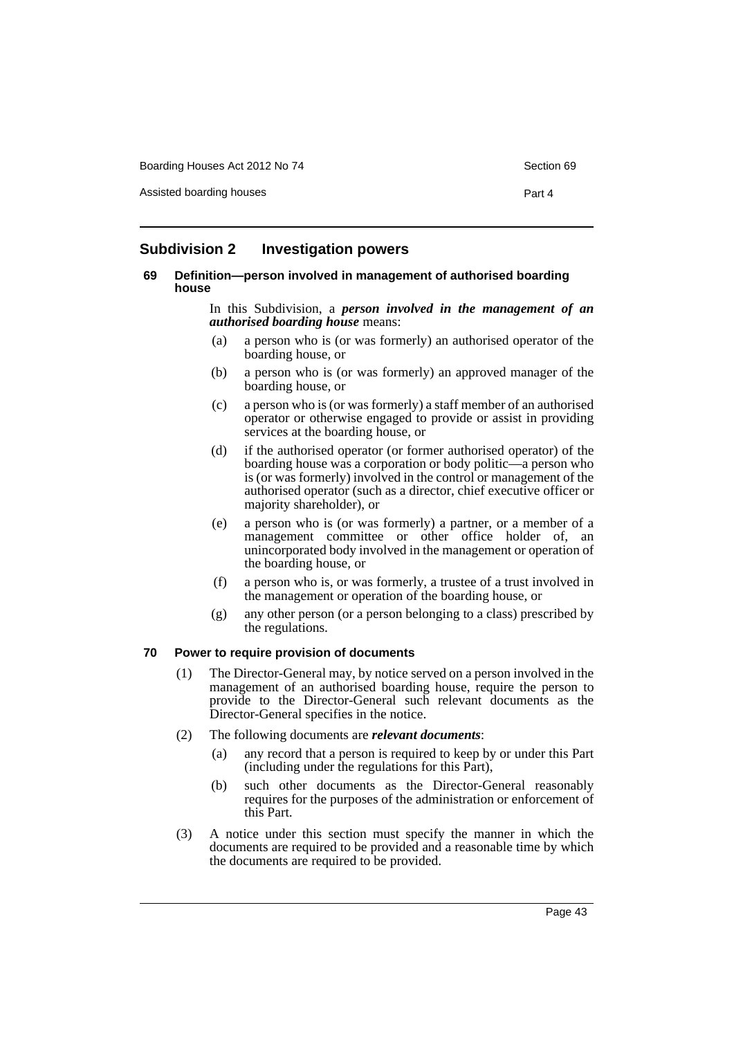Assisted boarding houses **Part 4** 

## **Subdivision 2 Investigation powers**

#### **69 Definition—person involved in management of authorised boarding house**

In this Subdivision, a *person involved in the management of an authorised boarding house* means:

- (a) a person who is (or was formerly) an authorised operator of the boarding house, or
- (b) a person who is (or was formerly) an approved manager of the boarding house, or
- (c) a person who is (or was formerly) a staff member of an authorised operator or otherwise engaged to provide or assist in providing services at the boarding house, or
- (d) if the authorised operator (or former authorised operator) of the boarding house was a corporation or body politic—a person who is (or was formerly) involved in the control or management of the authorised operator (such as a director, chief executive officer or majority shareholder), or
- (e) a person who is (or was formerly) a partner, or a member of a management committee or other office holder of, an unincorporated body involved in the management or operation of the boarding house, or
- (f) a person who is, or was formerly, a trustee of a trust involved in the management or operation of the boarding house, or
- (g) any other person (or a person belonging to a class) prescribed by the regulations.

## **70 Power to require provision of documents**

- (1) The Director-General may, by notice served on a person involved in the management of an authorised boarding house, require the person to provide to the Director-General such relevant documents as the Director-General specifies in the notice.
- (2) The following documents are *relevant documents*:
	- (a) any record that a person is required to keep by or under this Part (including under the regulations for this Part),
	- (b) such other documents as the Director-General reasonably requires for the purposes of the administration or enforcement of this Part.
- (3) A notice under this section must specify the manner in which the documents are required to be provided and a reasonable time by which the documents are required to be provided.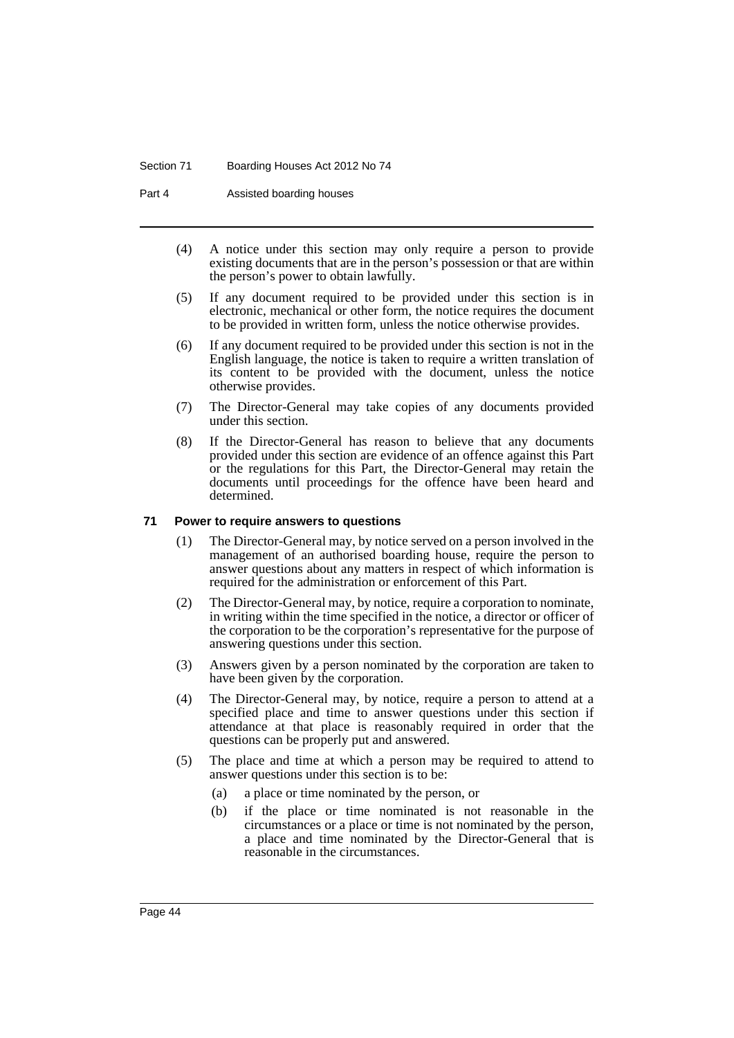#### Section 71 Boarding Houses Act 2012 No 74

Part 4 Assisted boarding houses

- (4) A notice under this section may only require a person to provide existing documents that are in the person's possession or that are within the person's power to obtain lawfully.
- (5) If any document required to be provided under this section is in electronic, mechanical or other form, the notice requires the document to be provided in written form, unless the notice otherwise provides.
- (6) If any document required to be provided under this section is not in the English language, the notice is taken to require a written translation of its content to be provided with the document, unless the notice otherwise provides.
- (7) The Director-General may take copies of any documents provided under this section.
- (8) If the Director-General has reason to believe that any documents provided under this section are evidence of an offence against this Part or the regulations for this Part, the Director-General may retain the documents until proceedings for the offence have been heard and determined.

### **71 Power to require answers to questions**

- (1) The Director-General may, by notice served on a person involved in the management of an authorised boarding house, require the person to answer questions about any matters in respect of which information is required for the administration or enforcement of this Part.
- (2) The Director-General may, by notice, require a corporation to nominate, in writing within the time specified in the notice, a director or officer of the corporation to be the corporation's representative for the purpose of answering questions under this section.
- (3) Answers given by a person nominated by the corporation are taken to have been given by the corporation.
- (4) The Director-General may, by notice, require a person to attend at a specified place and time to answer questions under this section if attendance at that place is reasonably required in order that the questions can be properly put and answered.
- (5) The place and time at which a person may be required to attend to answer questions under this section is to be:
	- (a) a place or time nominated by the person, or
	- (b) if the place or time nominated is not reasonable in the circumstances or a place or time is not nominated by the person, a place and time nominated by the Director-General that is reasonable in the circumstances.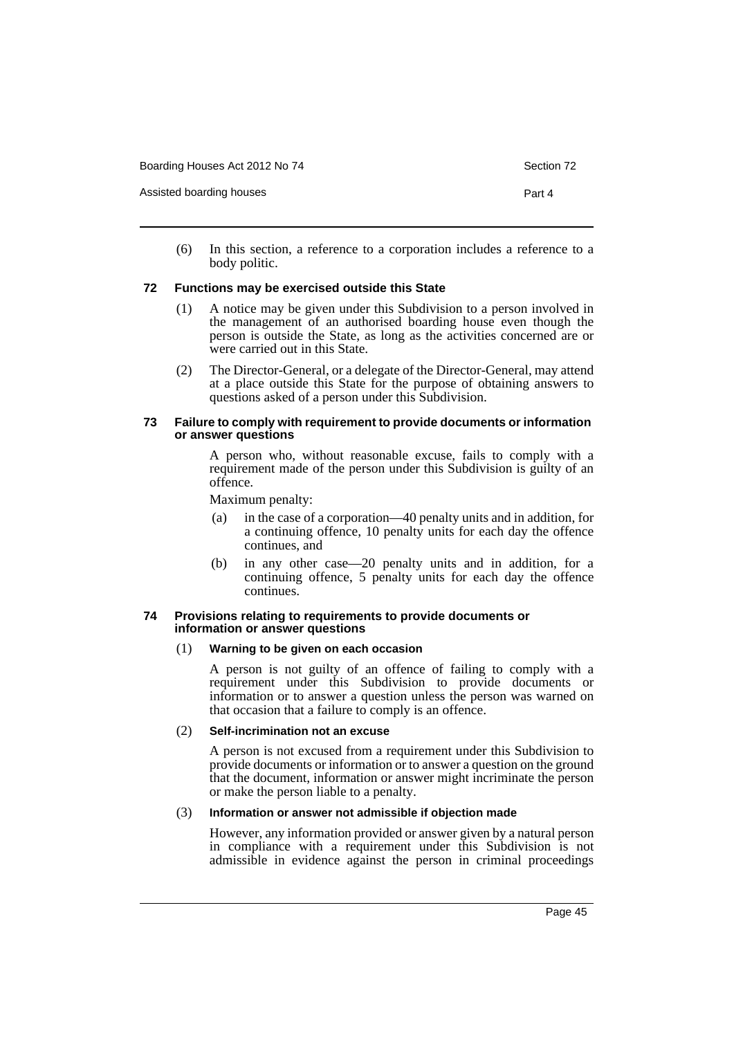Assisted boarding houses **Part 4** 

(6) In this section, a reference to a corporation includes a reference to a body politic.

### **72 Functions may be exercised outside this State**

- (1) A notice may be given under this Subdivision to a person involved in the management of an authorised boarding house even though the person is outside the State, as long as the activities concerned are or were carried out in this State.
- (2) The Director-General, or a delegate of the Director-General, may attend at a place outside this State for the purpose of obtaining answers to questions asked of a person under this Subdivision.

#### **73 Failure to comply with requirement to provide documents or information or answer questions**

A person who, without reasonable excuse, fails to comply with a requirement made of the person under this Subdivision is guilty of an offence.

Maximum penalty:

- (a) in the case of a corporation—40 penalty units and in addition, for a continuing offence, 10 penalty units for each day the offence continues, and
- (b) in any other case—20 penalty units and in addition, for a continuing offence, 5 penalty units for each day the offence continues.

#### **74 Provisions relating to requirements to provide documents or information or answer questions**

### (1) **Warning to be given on each occasion**

A person is not guilty of an offence of failing to comply with a requirement under this Subdivision to provide documents or information or to answer a question unless the person was warned on that occasion that a failure to comply is an offence.

### (2) **Self-incrimination not an excuse**

A person is not excused from a requirement under this Subdivision to provide documents or information or to answer a question on the ground that the document, information or answer might incriminate the person or make the person liable to a penalty.

### (3) **Information or answer not admissible if objection made**

However, any information provided or answer given by a natural person in compliance with a requirement under this Subdivision is not admissible in evidence against the person in criminal proceedings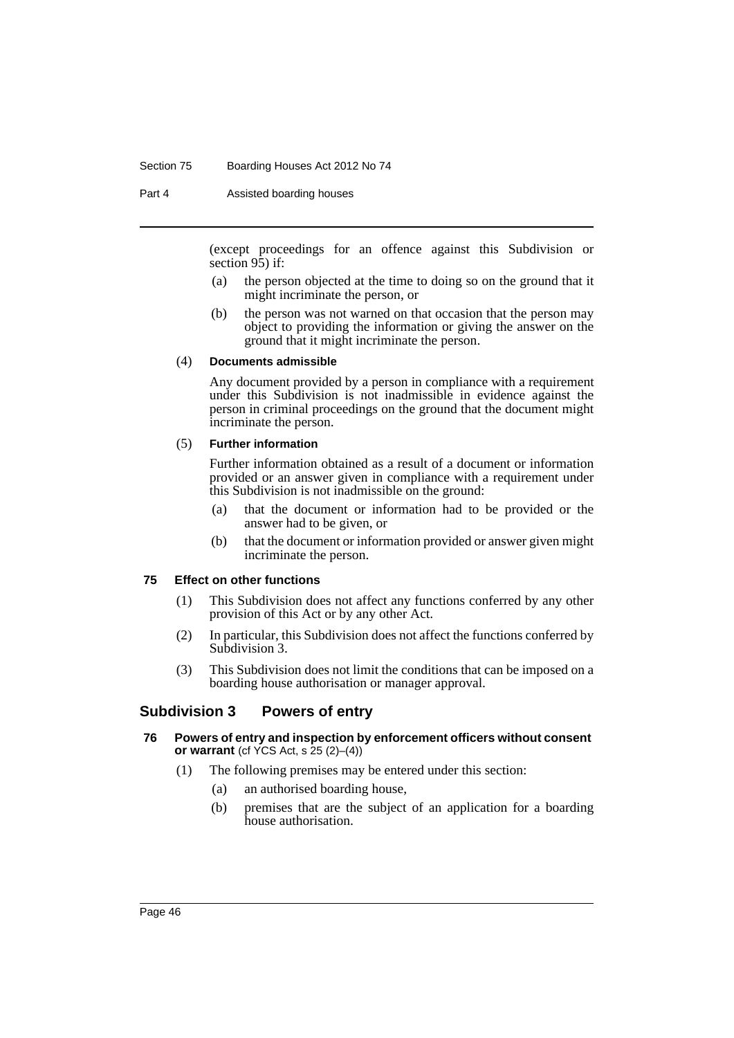#### Section 75 Boarding Houses Act 2012 No 74

Part 4 **Assisted boarding houses** 

(except proceedings for an offence against this Subdivision or section 95) if:

- (a) the person objected at the time to doing so on the ground that it might incriminate the person, or
- (b) the person was not warned on that occasion that the person may object to providing the information or giving the answer on the ground that it might incriminate the person.

## (4) **Documents admissible**

Any document provided by a person in compliance with a requirement under this Subdivision is not inadmissible in evidence against the person in criminal proceedings on the ground that the document might incriminate the person.

### (5) **Further information**

Further information obtained as a result of a document or information provided or an answer given in compliance with a requirement under this Subdivision is not inadmissible on the ground:

- (a) that the document or information had to be provided or the answer had to be given, or
- (b) that the document or information provided or answer given might incriminate the person.

### **75 Effect on other functions**

- (1) This Subdivision does not affect any functions conferred by any other provision of this Act or by any other Act.
- (2) In particular, this Subdivision does not affect the functions conferred by Subdivision 3.
- (3) This Subdivision does not limit the conditions that can be imposed on a boarding house authorisation or manager approval.

## **Subdivision 3 Powers of entry**

### **76 Powers of entry and inspection by enforcement officers without consent or warrant** (cf YCS Act, s 25 (2)–(4))

- (1) The following premises may be entered under this section:
	- (a) an authorised boarding house,
	- (b) premises that are the subject of an application for a boarding house authorisation.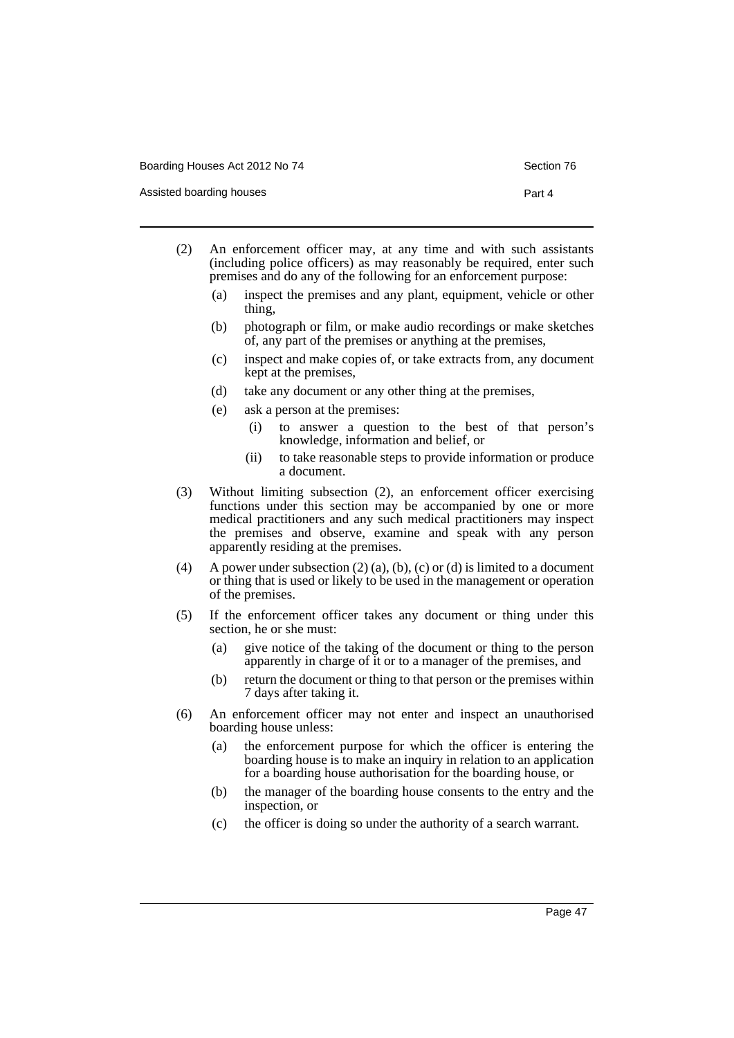Assisted boarding houses **Part 4** 

- 
- (2) An enforcement officer may, at any time and with such assistants (including police officers) as may reasonably be required, enter such premises and do any of the following for an enforcement purpose:
	- (a) inspect the premises and any plant, equipment, vehicle or other thing,
	- (b) photograph or film, or make audio recordings or make sketches of, any part of the premises or anything at the premises,
	- (c) inspect and make copies of, or take extracts from, any document kept at the premises,
	- (d) take any document or any other thing at the premises,
	- (e) ask a person at the premises:
		- (i) to answer a question to the best of that person's knowledge, information and belief, or
		- (ii) to take reasonable steps to provide information or produce a document.
- (3) Without limiting subsection (2), an enforcement officer exercising functions under this section may be accompanied by one or more medical practitioners and any such medical practitioners may inspect the premises and observe, examine and speak with any person apparently residing at the premises.
- (4) A power under subsection  $(2)$  (a), (b), (c) or (d) is limited to a document or thing that is used or likely to be used in the management or operation of the premises.
- (5) If the enforcement officer takes any document or thing under this section, he or she must:
	- (a) give notice of the taking of the document or thing to the person apparently in charge of it or to a manager of the premises, and
	- (b) return the document or thing to that person or the premises within 7 days after taking it.
- (6) An enforcement officer may not enter and inspect an unauthorised boarding house unless:
	- (a) the enforcement purpose for which the officer is entering the boarding house is to make an inquiry in relation to an application for a boarding house authorisation for the boarding house, or
	- (b) the manager of the boarding house consents to the entry and the inspection, or
	- (c) the officer is doing so under the authority of a search warrant.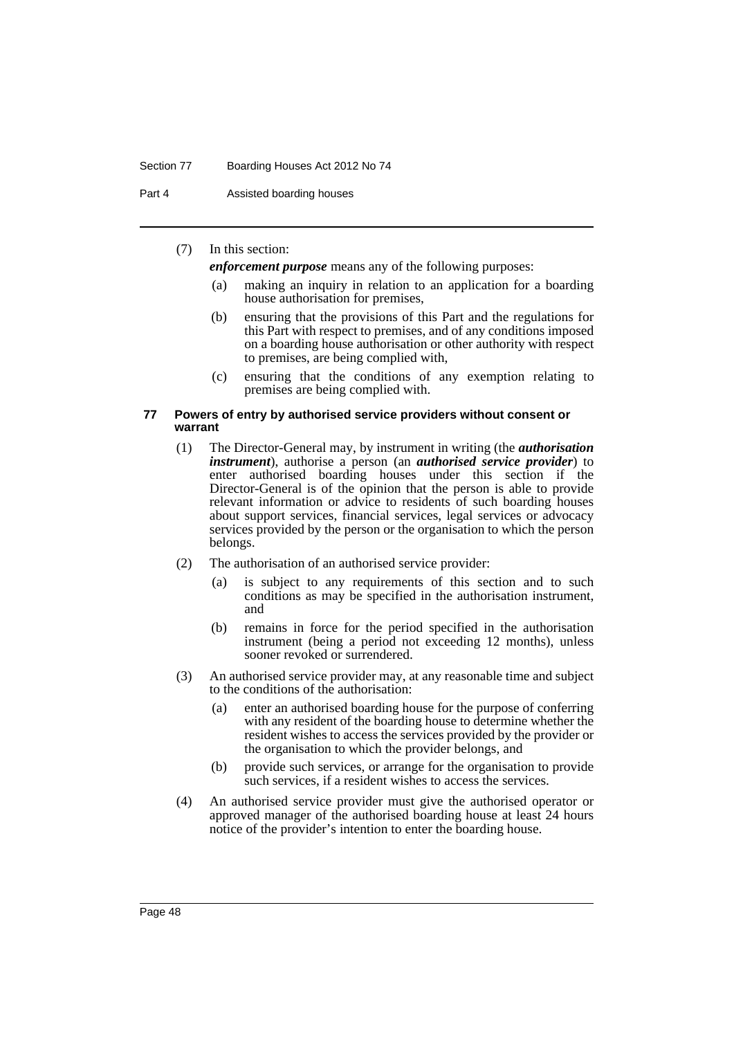#### Section 77 Boarding Houses Act 2012 No 74

Part 4 **Assisted boarding houses** 

## (7) In this section:

*enforcement purpose* means any of the following purposes:

- (a) making an inquiry in relation to an application for a boarding house authorisation for premises,
- (b) ensuring that the provisions of this Part and the regulations for this Part with respect to premises, and of any conditions imposed on a boarding house authorisation or other authority with respect to premises, are being complied with,
- (c) ensuring that the conditions of any exemption relating to premises are being complied with.

#### **77 Powers of entry by authorised service providers without consent or warrant**

- (1) The Director-General may, by instrument in writing (the *authorisation instrument*), authorise a person (an *authorised service provider*) to enter authorised boarding houses under this section if the Director-General is of the opinion that the person is able to provide relevant information or advice to residents of such boarding houses about support services, financial services, legal services or advocacy services provided by the person or the organisation to which the person belongs.
- (2) The authorisation of an authorised service provider:
	- (a) is subject to any requirements of this section and to such conditions as may be specified in the authorisation instrument, and
	- (b) remains in force for the period specified in the authorisation instrument (being a period not exceeding 12 months), unless sooner revoked or surrendered.
- (3) An authorised service provider may, at any reasonable time and subject to the conditions of the authorisation:
	- (a) enter an authorised boarding house for the purpose of conferring with any resident of the boarding house to determine whether the resident wishes to access the services provided by the provider or the organisation to which the provider belongs, and
	- (b) provide such services, or arrange for the organisation to provide such services, if a resident wishes to access the services.
- (4) An authorised service provider must give the authorised operator or approved manager of the authorised boarding house at least 24 hours notice of the provider's intention to enter the boarding house.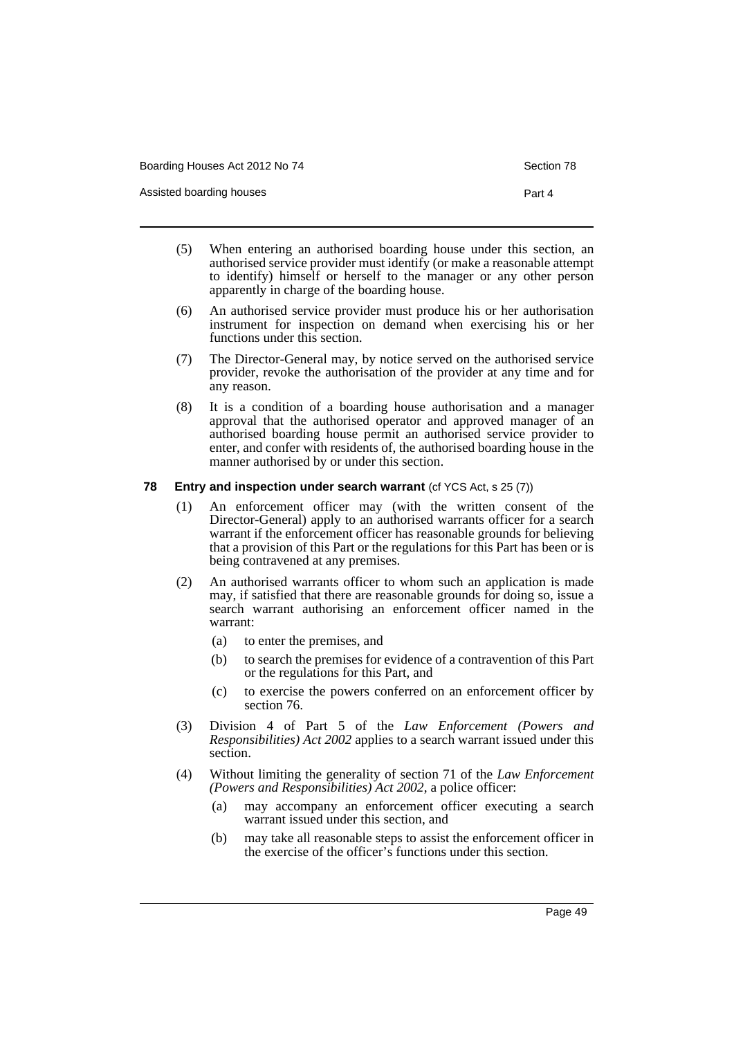Assisted boarding houses **Part 4** 

- 
- (5) When entering an authorised boarding house under this section, an authorised service provider must identify (or make a reasonable attempt to identify) himself or herself to the manager or any other person apparently in charge of the boarding house.
- (6) An authorised service provider must produce his or her authorisation instrument for inspection on demand when exercising his or her functions under this section.
- (7) The Director-General may, by notice served on the authorised service provider, revoke the authorisation of the provider at any time and for any reason.
- (8) It is a condition of a boarding house authorisation and a manager approval that the authorised operator and approved manager of an authorised boarding house permit an authorised service provider to enter, and confer with residents of, the authorised boarding house in the manner authorised by or under this section.

### **78 Entry and inspection under search warrant** (cf YCS Act, s 25 (7))

- (1) An enforcement officer may (with the written consent of the Director-General) apply to an authorised warrants officer for a search warrant if the enforcement officer has reasonable grounds for believing that a provision of this Part or the regulations for this Part has been or is being contravened at any premises.
- (2) An authorised warrants officer to whom such an application is made may, if satisfied that there are reasonable grounds for doing so, issue a search warrant authorising an enforcement officer named in the warrant:
	- (a) to enter the premises, and
	- (b) to search the premises for evidence of a contravention of this Part or the regulations for this Part, and
	- (c) to exercise the powers conferred on an enforcement officer by section 76.
- (3) Division 4 of Part 5 of the *Law Enforcement (Powers and Responsibilities) Act 2002* applies to a search warrant issued under this section.
- (4) Without limiting the generality of section 71 of the *Law Enforcement (Powers and Responsibilities) Act 2002*, a police officer:
	- (a) may accompany an enforcement officer executing a search warrant issued under this section, and
	- (b) may take all reasonable steps to assist the enforcement officer in the exercise of the officer's functions under this section.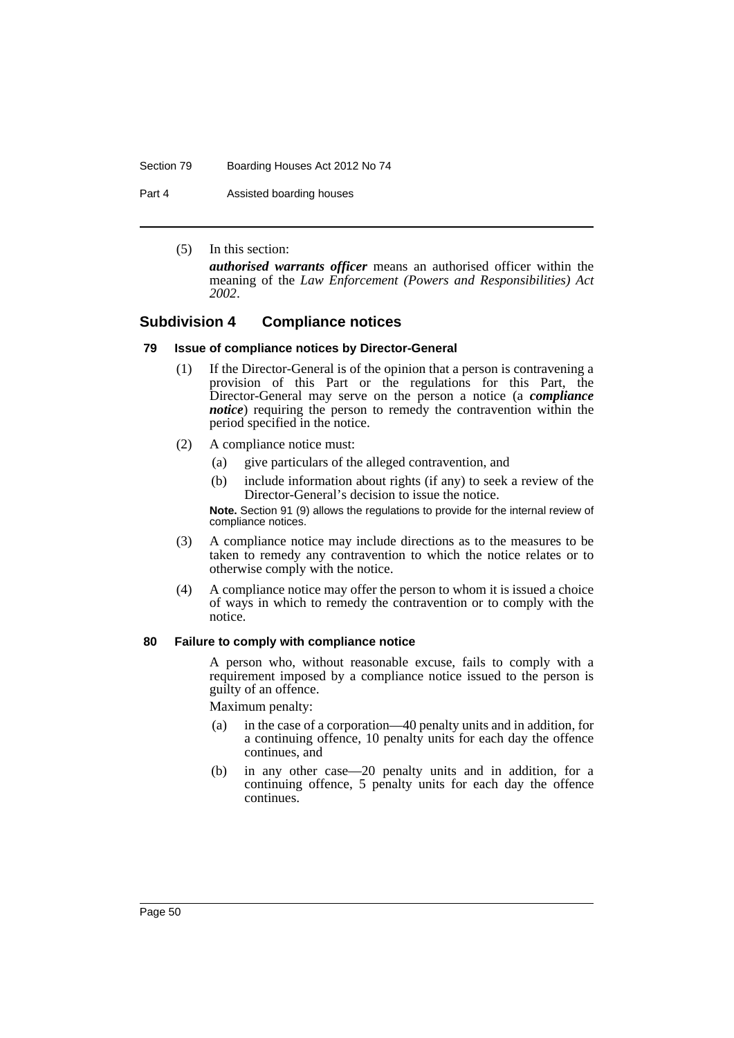#### Section 79 Boarding Houses Act 2012 No 74

Part 4 **Assisted boarding houses** 

(5) In this section: *authorised warrants officer* means an authorised officer within the meaning of the *Law Enforcement (Powers and Responsibilities) Act 2002*.

## **Subdivision 4 Compliance notices**

## **79 Issue of compliance notices by Director-General**

- (1) If the Director-General is of the opinion that a person is contravening a provision of this Part or the regulations for this Part, the Director-General may serve on the person a notice (a *compliance notice*) requiring the person to remedy the contravention within the period specified in the notice.
- (2) A compliance notice must:
	- (a) give particulars of the alleged contravention, and
	- (b) include information about rights (if any) to seek a review of the Director-General's decision to issue the notice.

**Note.** Section 91 (9) allows the regulations to provide for the internal review of compliance notices.

- (3) A compliance notice may include directions as to the measures to be taken to remedy any contravention to which the notice relates or to otherwise comply with the notice.
- (4) A compliance notice may offer the person to whom it is issued a choice of ways in which to remedy the contravention or to comply with the notice.

### **80 Failure to comply with compliance notice**

A person who, without reasonable excuse, fails to comply with a requirement imposed by a compliance notice issued to the person is guilty of an offence.

Maximum penalty:

- (a) in the case of a corporation—40 penalty units and in addition, for a continuing offence, 10 penalty units for each day the offence continues, and
- (b) in any other case—20 penalty units and in addition, for a continuing offence, 5 penalty units for each day the offence continues.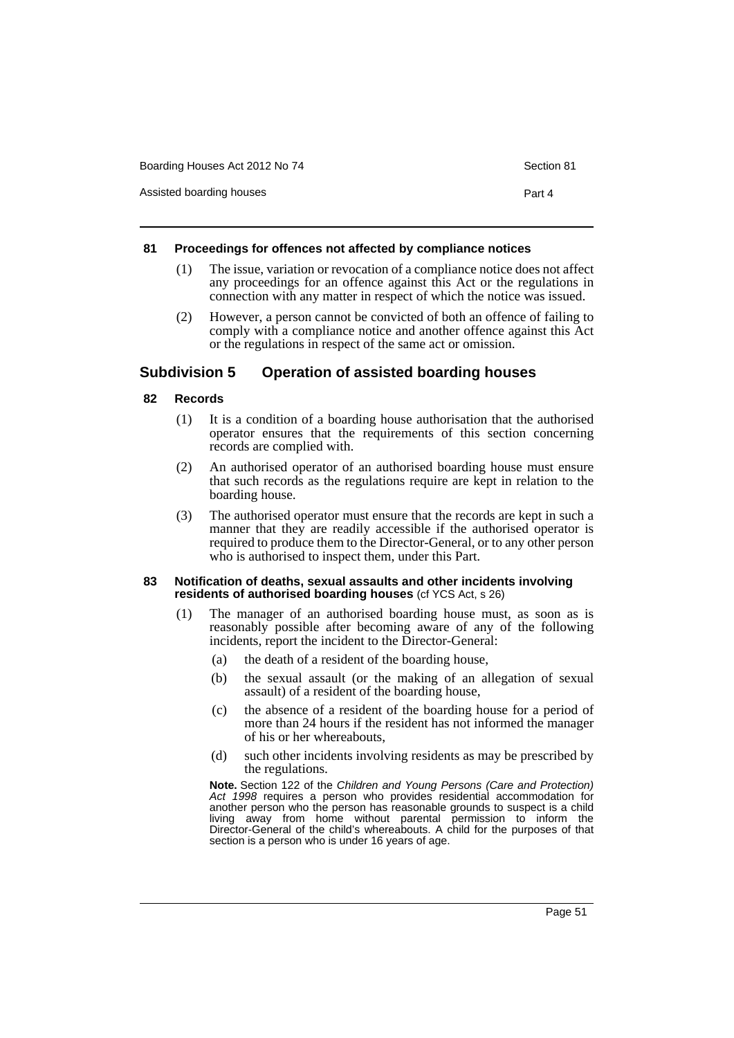| Boarding Houses Act 2012 No 74 | Section 81 |
|--------------------------------|------------|
| Assisted boarding houses       | Part 4     |

#### **81 Proceedings for offences not affected by compliance notices**

- (1) The issue, variation or revocation of a compliance notice does not affect any proceedings for an offence against this Act or the regulations in connection with any matter in respect of which the notice was issued.
- (2) However, a person cannot be convicted of both an offence of failing to comply with a compliance notice and another offence against this Act or the regulations in respect of the same act or omission.

## **Subdivision 5 Operation of assisted boarding houses**

### **82 Records**

- (1) It is a condition of a boarding house authorisation that the authorised operator ensures that the requirements of this section concerning records are complied with.
- (2) An authorised operator of an authorised boarding house must ensure that such records as the regulations require are kept in relation to the boarding house.
- (3) The authorised operator must ensure that the records are kept in such a manner that they are readily accessible if the authorised operator is required to produce them to the Director-General, or to any other person who is authorised to inspect them, under this Part.

#### **83 Notification of deaths, sexual assaults and other incidents involving residents of authorised boarding houses** (cf YCS Act, s 26)

- (1) The manager of an authorised boarding house must, as soon as is reasonably possible after becoming aware of any of the following incidents, report the incident to the Director-General:
	- (a) the death of a resident of the boarding house,
	- (b) the sexual assault (or the making of an allegation of sexual assault) of a resident of the boarding house,
	- (c) the absence of a resident of the boarding house for a period of more than 24 hours if the resident has not informed the manager of his or her whereabouts,
	- (d) such other incidents involving residents as may be prescribed by the regulations.

**Note.** Section 122 of the *Children and Young Persons (Care and Protection) Act 1998* requires a person who provides residential accommodation for another person who the person has reasonable grounds to suspect is a child living away from home without parental permission to inform the Director-General of the child's whereabouts. A child for the purposes of that section is a person who is under 16 years of age.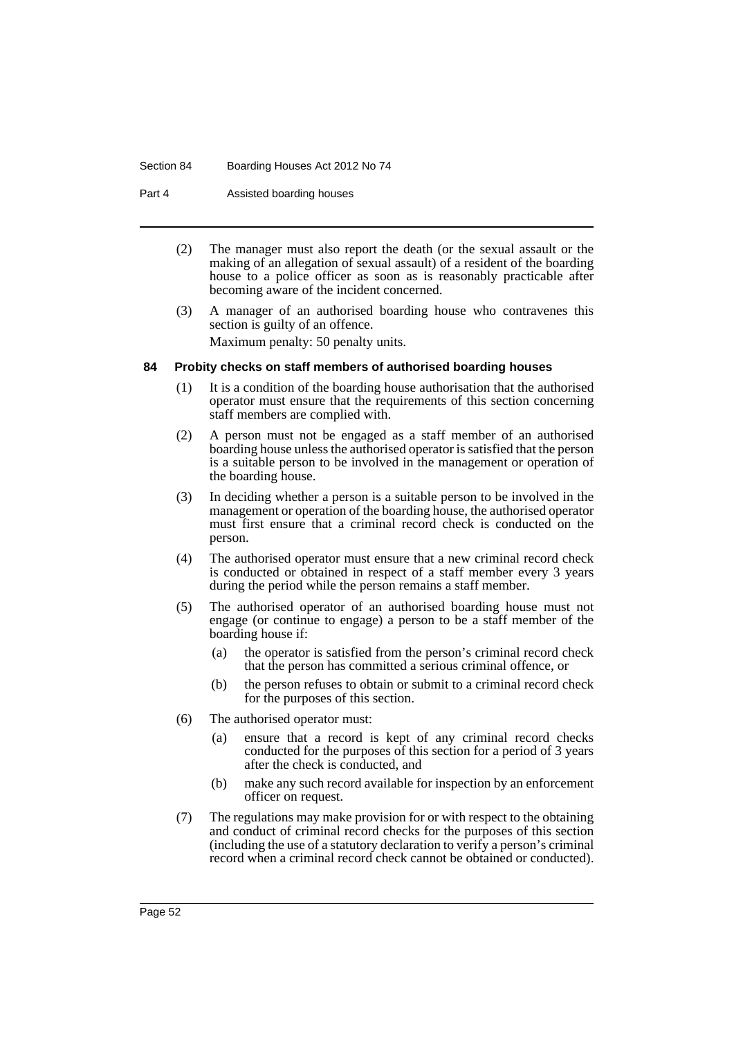#### Section 84 Boarding Houses Act 2012 No 74

Part 4 **Assisted boarding houses** 

- (2) The manager must also report the death (or the sexual assault or the making of an allegation of sexual assault) of a resident of the boarding house to a police officer as soon as is reasonably practicable after becoming aware of the incident concerned.
- (3) A manager of an authorised boarding house who contravenes this section is guilty of an offence.

Maximum penalty: 50 penalty units.

## **84 Probity checks on staff members of authorised boarding houses**

- (1) It is a condition of the boarding house authorisation that the authorised operator must ensure that the requirements of this section concerning staff members are complied with.
- (2) A person must not be engaged as a staff member of an authorised boarding house unless the authorised operator is satisfied that the person is a suitable person to be involved in the management or operation of the boarding house.
- (3) In deciding whether a person is a suitable person to be involved in the management or operation of the boarding house, the authorised operator must first ensure that a criminal record check is conducted on the person.
- (4) The authorised operator must ensure that a new criminal record check is conducted or obtained in respect of a staff member every 3 years during the period while the person remains a staff member.
- (5) The authorised operator of an authorised boarding house must not engage (or continue to engage) a person to be a staff member of the boarding house if:
	- (a) the operator is satisfied from the person's criminal record check that the person has committed a serious criminal offence, or
	- (b) the person refuses to obtain or submit to a criminal record check for the purposes of this section.
- (6) The authorised operator must:
	- (a) ensure that a record is kept of any criminal record checks conducted for the purposes of this section for a period of 3 years after the check is conducted, and
	- (b) make any such record available for inspection by an enforcement officer on request.
- (7) The regulations may make provision for or with respect to the obtaining and conduct of criminal record checks for the purposes of this section (including the use of a statutory declaration to verify a person's criminal record when a criminal record check cannot be obtained or conducted).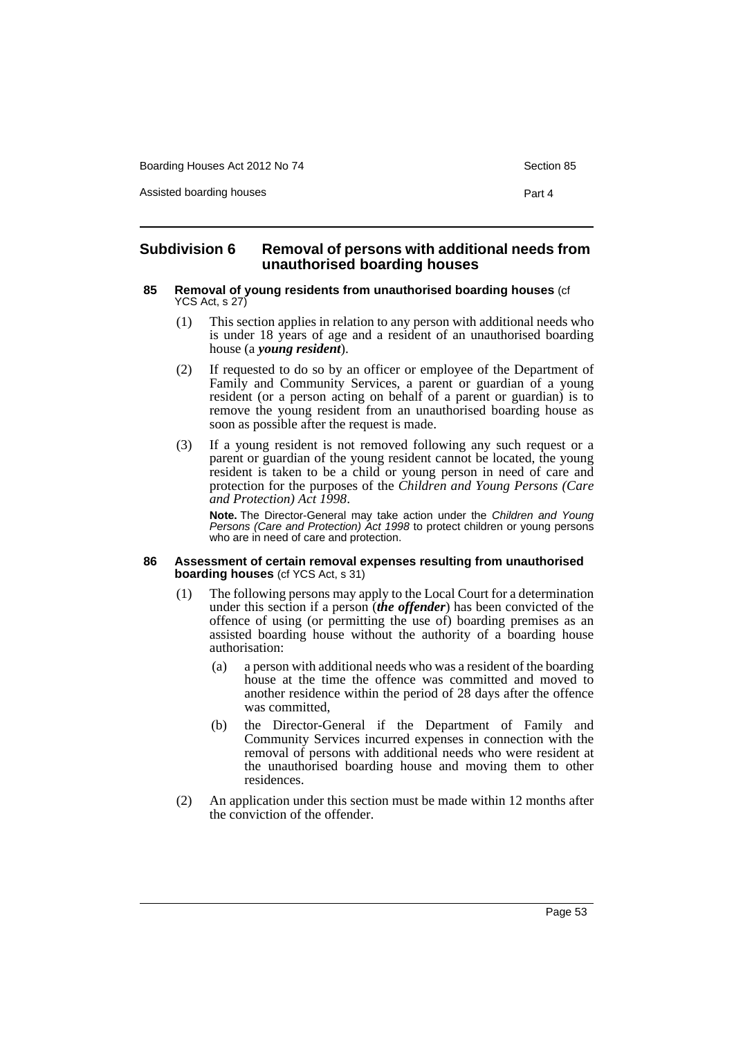Assisted boarding houses **Part 4** 

## **Subdivision 6 Removal of persons with additional needs from unauthorised boarding houses**

#### **85 Removal of young residents from unauthorised boarding houses** (cf YCS Act, s 27)

- (1) This section applies in relation to any person with additional needs who is under 18 years of age and a resident of an unauthorised boarding house (a *young resident*).
- (2) If requested to do so by an officer or employee of the Department of Family and Community Services, a parent or guardian of a young resident (or a person acting on behalf of a parent or guardian) is to remove the young resident from an unauthorised boarding house as soon as possible after the request is made.
- (3) If a young resident is not removed following any such request or a parent or guardian of the young resident cannot be located, the young resident is taken to be a child or young person in need of care and protection for the purposes of the *Children and Young Persons (Care and Protection) Act 1998*.

**Note.** The Director-General may take action under the *Children and Young Persons (Care and Protection) Act 1998* to protect children or young persons who are in need of care and protection.

#### **86 Assessment of certain removal expenses resulting from unauthorised boarding houses** (cf YCS Act, s 31)

- (1) The following persons may apply to the Local Court for a determination under this section if a person (*the offender*) has been convicted of the offence of using (or permitting the use of) boarding premises as an assisted boarding house without the authority of a boarding house authorisation:
	- (a) a person with additional needs who was a resident of the boarding house at the time the offence was committed and moved to another residence within the period of 28 days after the offence was committed,
	- (b) the Director-General if the Department of Family and Community Services incurred expenses in connection with the removal of persons with additional needs who were resident at the unauthorised boarding house and moving them to other residences.
- (2) An application under this section must be made within 12 months after the conviction of the offender.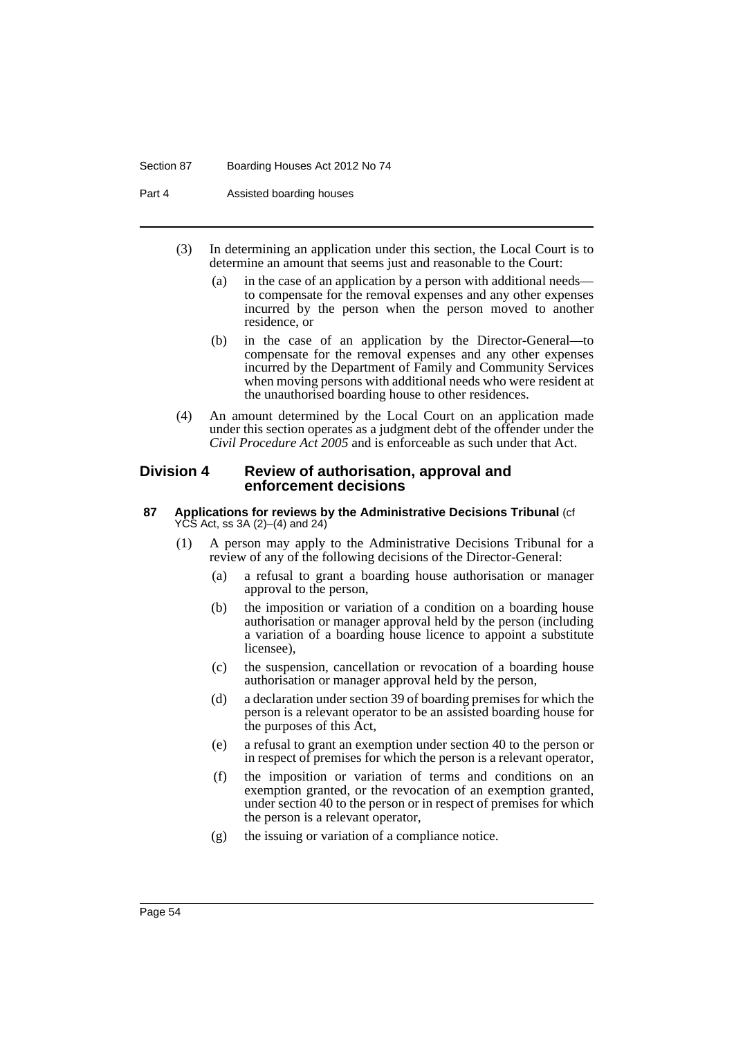#### Section 87 Boarding Houses Act 2012 No 74

Part 4 **Assisted boarding houses** 

- (3) In determining an application under this section, the Local Court is to determine an amount that seems just and reasonable to the Court:
	- (a) in the case of an application by a person with additional needs to compensate for the removal expenses and any other expenses incurred by the person when the person moved to another residence, or
	- (b) in the case of an application by the Director-General—to compensate for the removal expenses and any other expenses incurred by the Department of Family and Community Services when moving persons with additional needs who were resident at the unauthorised boarding house to other residences.
- (4) An amount determined by the Local Court on an application made under this section operates as a judgment debt of the offender under the *Civil Procedure Act 2005* and is enforceable as such under that Act.

## **Division 4 Review of authorisation, approval and enforcement decisions**

#### **87 Applications for reviews by the Administrative Decisions Tribunal** (cf YCS Act, ss 3A (2)–(4) and 24)

- (1) A person may apply to the Administrative Decisions Tribunal for a review of any of the following decisions of the Director-General:
	- (a) a refusal to grant a boarding house authorisation or manager approval to the person,
	- (b) the imposition or variation of a condition on a boarding house authorisation or manager approval held by the person (including a variation of a boarding house licence to appoint a substitute licensee),
	- (c) the suspension, cancellation or revocation of a boarding house authorisation or manager approval held by the person,
	- (d) a declaration under section 39 of boarding premises for which the person is a relevant operator to be an assisted boarding house for the purposes of this Act,
	- (e) a refusal to grant an exemption under section 40 to the person or in respect of premises for which the person is a relevant operator,
	- (f) the imposition or variation of terms and conditions on an exemption granted, or the revocation of an exemption granted, under section 40 to the person or in respect of premises for which the person is a relevant operator,
	- (g) the issuing or variation of a compliance notice.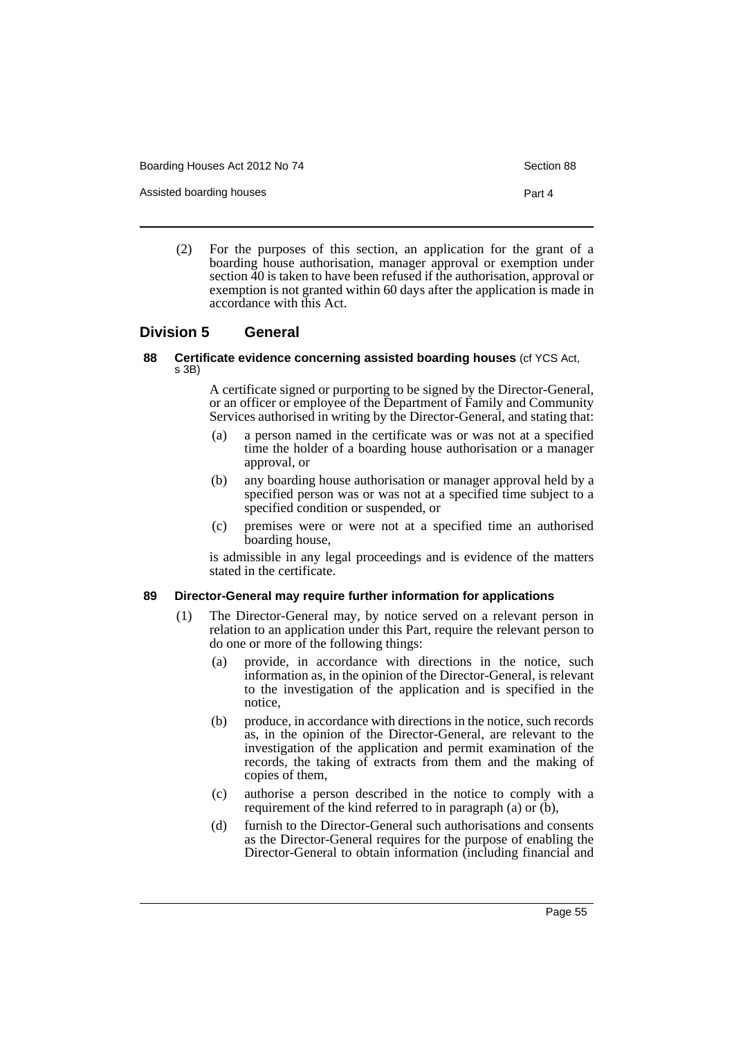Assisted boarding houses **Part 4** 

(2) For the purposes of this section, an application for the grant of a boarding house authorisation, manager approval or exemption under section 40 is taken to have been refused if the authorisation, approval or exemption is not granted within 60 days after the application is made in accordance with this Act.

## **Division 5 General**

#### **88 Certificate evidence concerning assisted boarding houses** (cf YCS Act, s 3B)

A certificate signed or purporting to be signed by the Director-General, or an officer or employee of the Department of Family and Community Services authorised in writing by the Director-General, and stating that:

- (a) a person named in the certificate was or was not at a specified time the holder of a boarding house authorisation or a manager approval, or
- (b) any boarding house authorisation or manager approval held by a specified person was or was not at a specified time subject to a specified condition or suspended, or
- (c) premises were or were not at a specified time an authorised boarding house,

is admissible in any legal proceedings and is evidence of the matters stated in the certificate.

## **89 Director-General may require further information for applications**

- (1) The Director-General may, by notice served on a relevant person in relation to an application under this Part, require the relevant person to do one or more of the following things:
	- (a) provide, in accordance with directions in the notice, such information as, in the opinion of the Director-General, is relevant to the investigation of the application and is specified in the notice,
	- (b) produce, in accordance with directions in the notice, such records as, in the opinion of the Director-General, are relevant to the investigation of the application and permit examination of the records, the taking of extracts from them and the making of copies of them,
	- (c) authorise a person described in the notice to comply with a requirement of the kind referred to in paragraph (a) or (b),
	- (d) furnish to the Director-General such authorisations and consents as the Director-General requires for the purpose of enabling the Director-General to obtain information (including financial and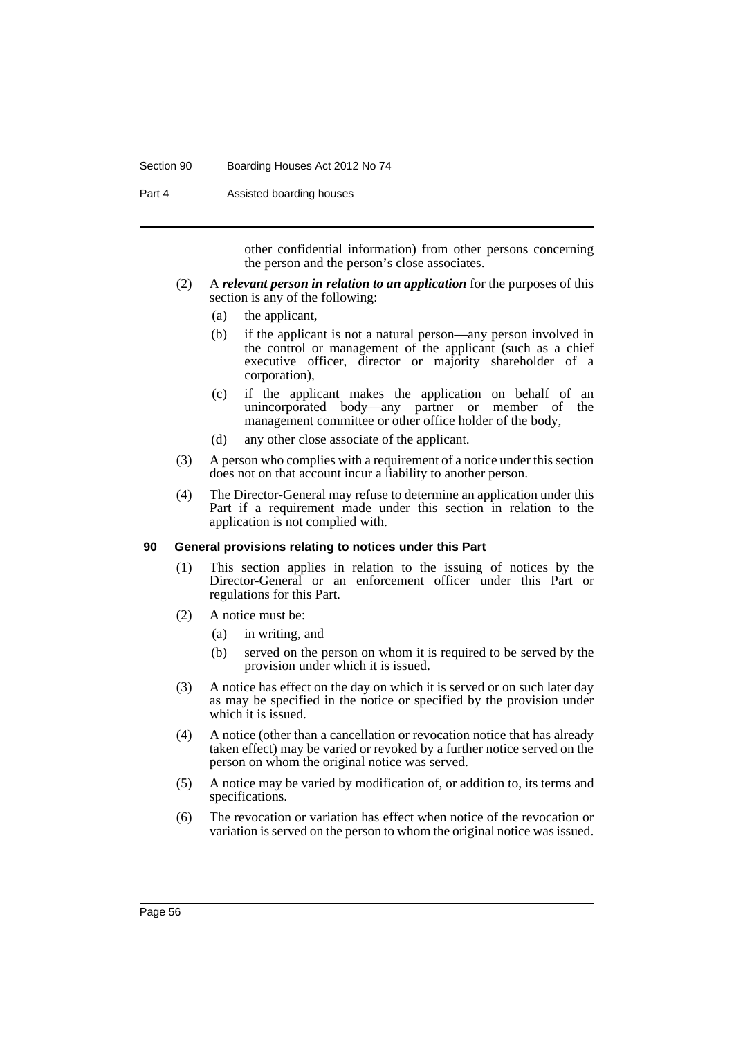#### Section 90 Boarding Houses Act 2012 No 74

Part 4 **Assisted boarding houses** 

other confidential information) from other persons concerning the person and the person's close associates.

- (2) A *relevant person in relation to an application* for the purposes of this section is any of the following:
	- (a) the applicant,
	- (b) if the applicant is not a natural person—any person involved in the control or management of the applicant (such as a chief executive officer, director or majority shareholder of a corporation),
	- (c) if the applicant makes the application on behalf of an unincorporated body—any partner or member of the management committee or other office holder of the body,
	- (d) any other close associate of the applicant.
- (3) A person who complies with a requirement of a notice under this section does not on that account incur a liability to another person.
- (4) The Director-General may refuse to determine an application under this Part if a requirement made under this section in relation to the application is not complied with.

### **90 General provisions relating to notices under this Part**

- (1) This section applies in relation to the issuing of notices by the Director-General or an enforcement officer under this Part or regulations for this Part.
- (2) A notice must be:
	- (a) in writing, and
	- (b) served on the person on whom it is required to be served by the provision under which it is issued.
- (3) A notice has effect on the day on which it is served or on such later day as may be specified in the notice or specified by the provision under which it is issued.
- (4) A notice (other than a cancellation or revocation notice that has already taken effect) may be varied or revoked by a further notice served on the person on whom the original notice was served.
- (5) A notice may be varied by modification of, or addition to, its terms and specifications.
- (6) The revocation or variation has effect when notice of the revocation or variation is served on the person to whom the original notice was issued.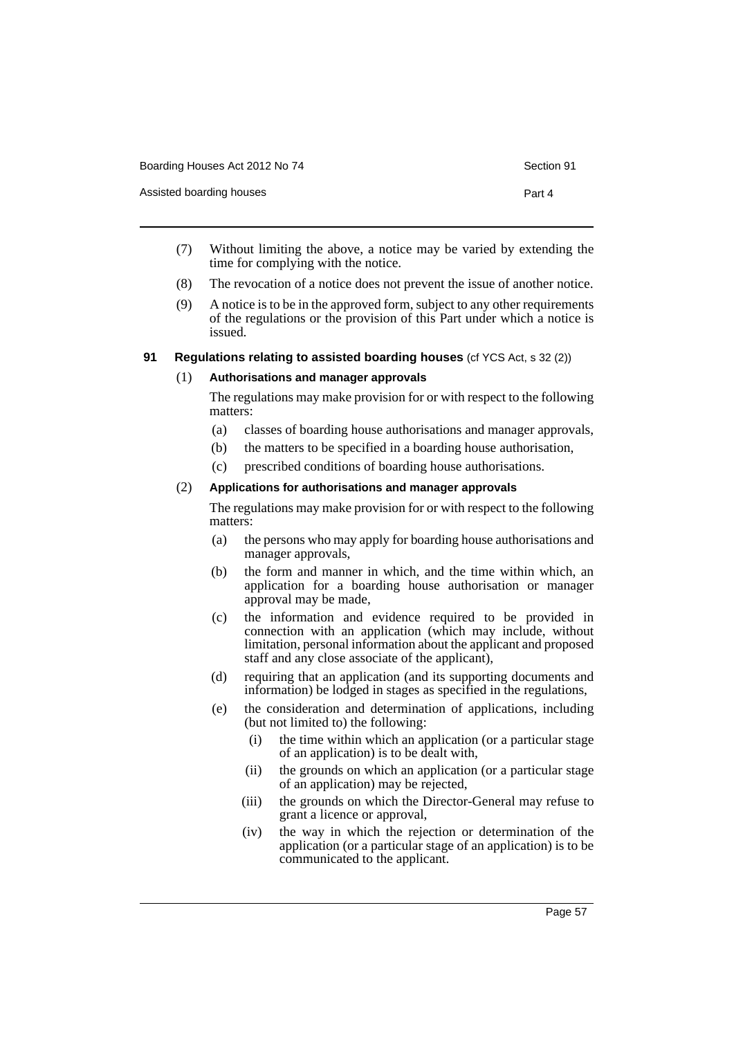| Boarding Houses Act 2012 No 74 | Section 91 |
|--------------------------------|------------|
| Assisted boarding houses       | Part 4     |

- (7) Without limiting the above, a notice may be varied by extending the time for complying with the notice.
- (8) The revocation of a notice does not prevent the issue of another notice.
- (9) A notice is to be in the approved form, subject to any other requirements of the regulations or the provision of this Part under which a notice is issued.

## **91 Regulations relating to assisted boarding houses** (cf YCS Act, s 32 (2))

## (1) **Authorisations and manager approvals**

The regulations may make provision for or with respect to the following matters:

- (a) classes of boarding house authorisations and manager approvals,
- (b) the matters to be specified in a boarding house authorisation,
- (c) prescribed conditions of boarding house authorisations.

## (2) **Applications for authorisations and manager approvals**

The regulations may make provision for or with respect to the following matters:

- (a) the persons who may apply for boarding house authorisations and manager approvals,
- (b) the form and manner in which, and the time within which, an application for a boarding house authorisation or manager approval may be made,
- (c) the information and evidence required to be provided in connection with an application (which may include, without limitation, personal information about the applicant and proposed staff and any close associate of the applicant),
- (d) requiring that an application (and its supporting documents and information) be lodged in stages as specified in the regulations,
- (e) the consideration and determination of applications, including (but not limited to) the following:
	- (i) the time within which an application (or a particular stage of an application) is to be dealt with,
	- (ii) the grounds on which an application (or a particular stage of an application) may be rejected,
	- (iii) the grounds on which the Director-General may refuse to grant a licence or approval,
	- (iv) the way in which the rejection or determination of the application (or a particular stage of an application) is to be communicated to the applicant.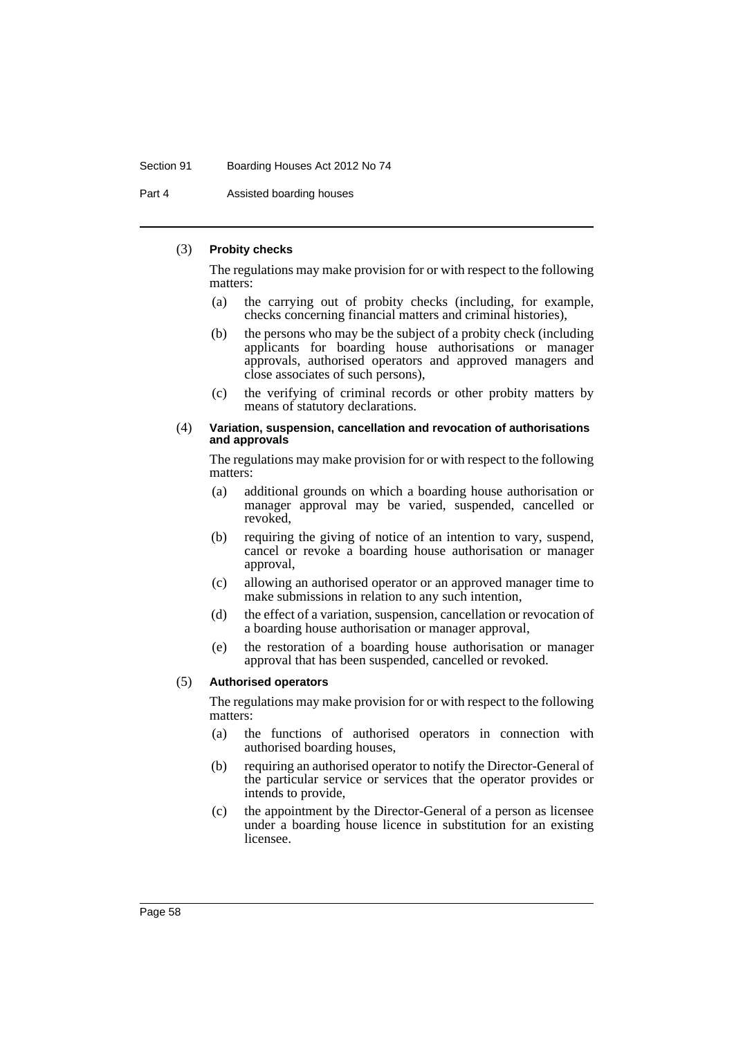#### Section 91 Boarding Houses Act 2012 No 74

Part 4 **Assisted boarding houses** 

### (3) **Probity checks**

The regulations may make provision for or with respect to the following matters:

- (a) the carrying out of probity checks (including, for example, checks concerning financial matters and criminal histories),
- (b) the persons who may be the subject of a probity check (including applicants for boarding house authorisations or manager approvals, authorised operators and approved managers and close associates of such persons),
- (c) the verifying of criminal records or other probity matters by means of statutory declarations.

#### (4) **Variation, suspension, cancellation and revocation of authorisations and approvals**

The regulations may make provision for or with respect to the following matters:

- (a) additional grounds on which a boarding house authorisation or manager approval may be varied, suspended, cancelled or revoked,
- (b) requiring the giving of notice of an intention to vary, suspend, cancel or revoke a boarding house authorisation or manager approval,
- (c) allowing an authorised operator or an approved manager time to make submissions in relation to any such intention,
- (d) the effect of a variation, suspension, cancellation or revocation of a boarding house authorisation or manager approval,
- (e) the restoration of a boarding house authorisation or manager approval that has been suspended, cancelled or revoked.

#### (5) **Authorised operators**

The regulations may make provision for or with respect to the following matters:

- (a) the functions of authorised operators in connection with authorised boarding houses,
- (b) requiring an authorised operator to notify the Director-General of the particular service or services that the operator provides or intends to provide,
- (c) the appointment by the Director-General of a person as licensee under a boarding house licence in substitution for an existing licensee.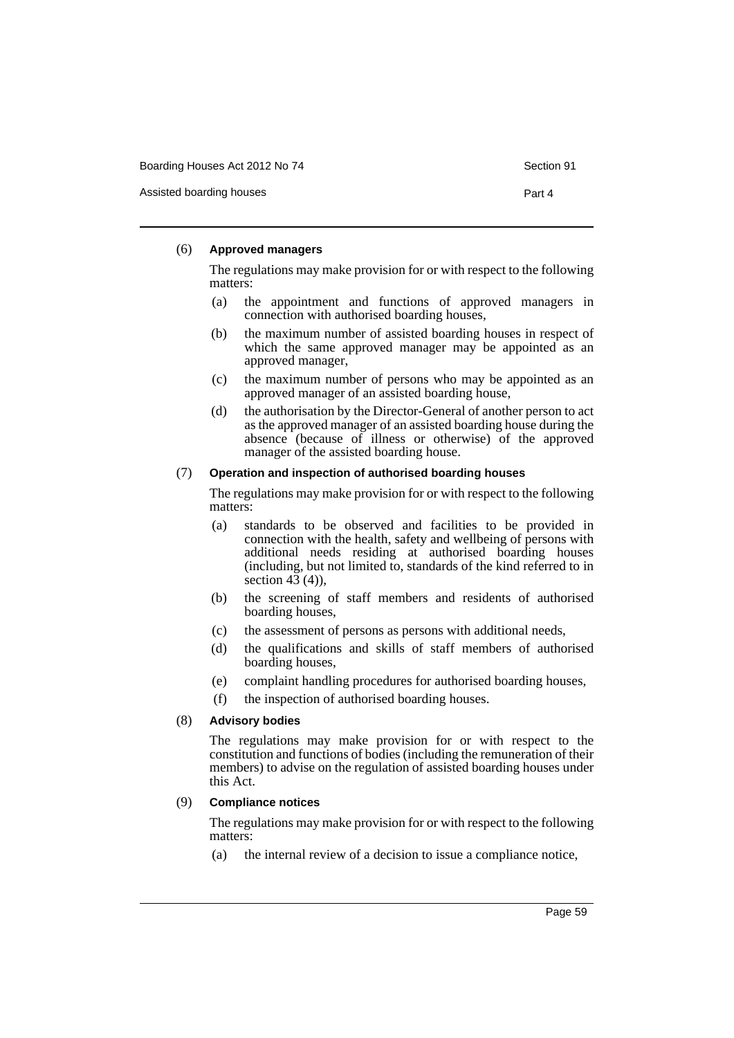Assisted boarding houses **Part 4** 

#### (6) **Approved managers**

The regulations may make provision for or with respect to the following matters:

- (a) the appointment and functions of approved managers in connection with authorised boarding houses,
- (b) the maximum number of assisted boarding houses in respect of which the same approved manager may be appointed as an approved manager,
- (c) the maximum number of persons who may be appointed as an approved manager of an assisted boarding house,
- (d) the authorisation by the Director-General of another person to act as the approved manager of an assisted boarding house during the absence (because of illness or otherwise) of the approved manager of the assisted boarding house.

### (7) **Operation and inspection of authorised boarding houses**

The regulations may make provision for or with respect to the following matters:

- (a) standards to be observed and facilities to be provided in connection with the health, safety and wellbeing of persons with additional needs residing at authorised boarding houses (including, but not limited to, standards of the kind referred to in section  $43(4)$ ),
- (b) the screening of staff members and residents of authorised boarding houses,
- (c) the assessment of persons as persons with additional needs,
- (d) the qualifications and skills of staff members of authorised boarding houses,
- (e) complaint handling procedures for authorised boarding houses,
- (f) the inspection of authorised boarding houses.

#### (8) **Advisory bodies**

The regulations may make provision for or with respect to the constitution and functions of bodies (including the remuneration of their members) to advise on the regulation of assisted boarding houses under this Act.

### (9) **Compliance notices**

The regulations may make provision for or with respect to the following matters:

(a) the internal review of a decision to issue a compliance notice,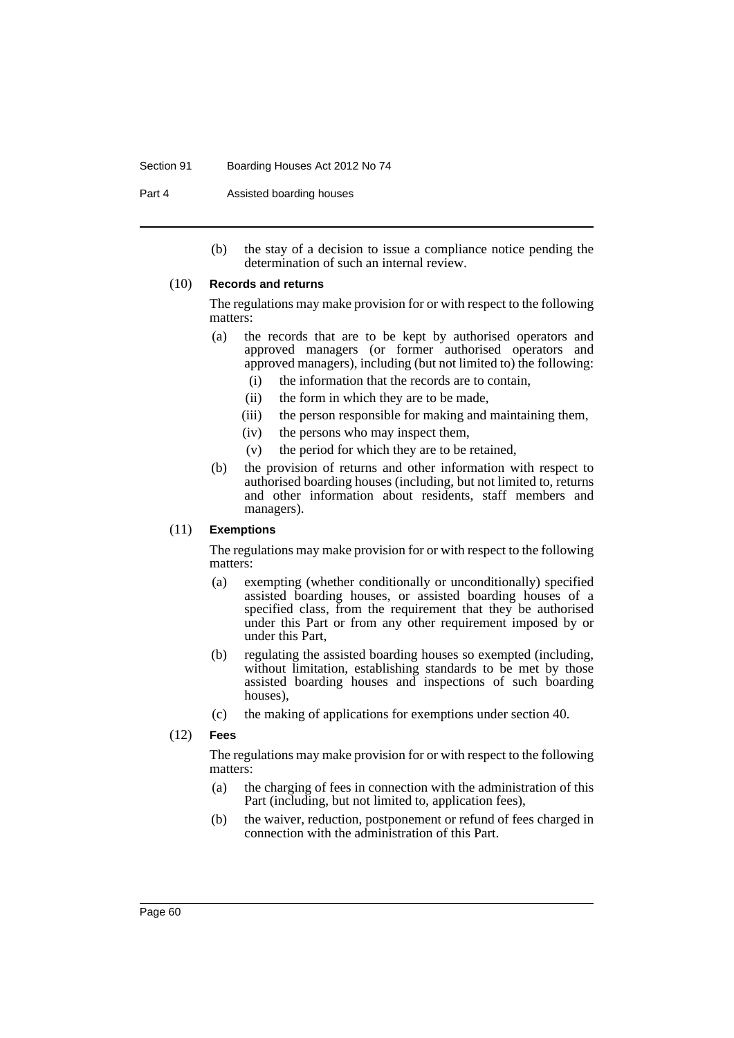#### Section 91 Boarding Houses Act 2012 No 74

Part 4 **Assisted boarding houses** 

(b) the stay of a decision to issue a compliance notice pending the determination of such an internal review.

## (10) **Records and returns**

The regulations may make provision for or with respect to the following matters:

- (a) the records that are to be kept by authorised operators and approved managers (or former authorised operators and approved managers), including (but not limited to) the following:
	- (i) the information that the records are to contain,
	- (ii) the form in which they are to be made,
	- (iii) the person responsible for making and maintaining them,
	- (iv) the persons who may inspect them,
	- (v) the period for which they are to be retained,
- (b) the provision of returns and other information with respect to authorised boarding houses (including, but not limited to, returns and other information about residents, staff members and managers).

#### (11) **Exemptions**

The regulations may make provision for or with respect to the following matters:

- (a) exempting (whether conditionally or unconditionally) specified assisted boarding houses, or assisted boarding houses of a specified class, from the requirement that they be authorised under this Part or from any other requirement imposed by or under this Part,
- (b) regulating the assisted boarding houses so exempted (including, without limitation, establishing standards to be met by those assisted boarding houses and inspections of such boarding houses),
- (c) the making of applications for exemptions under section 40.
- (12) **Fees**

The regulations may make provision for or with respect to the following matters:

- (a) the charging of fees in connection with the administration of this Part (including, but not limited to, application fees),
- (b) the waiver, reduction, postponement or refund of fees charged in connection with the administration of this Part.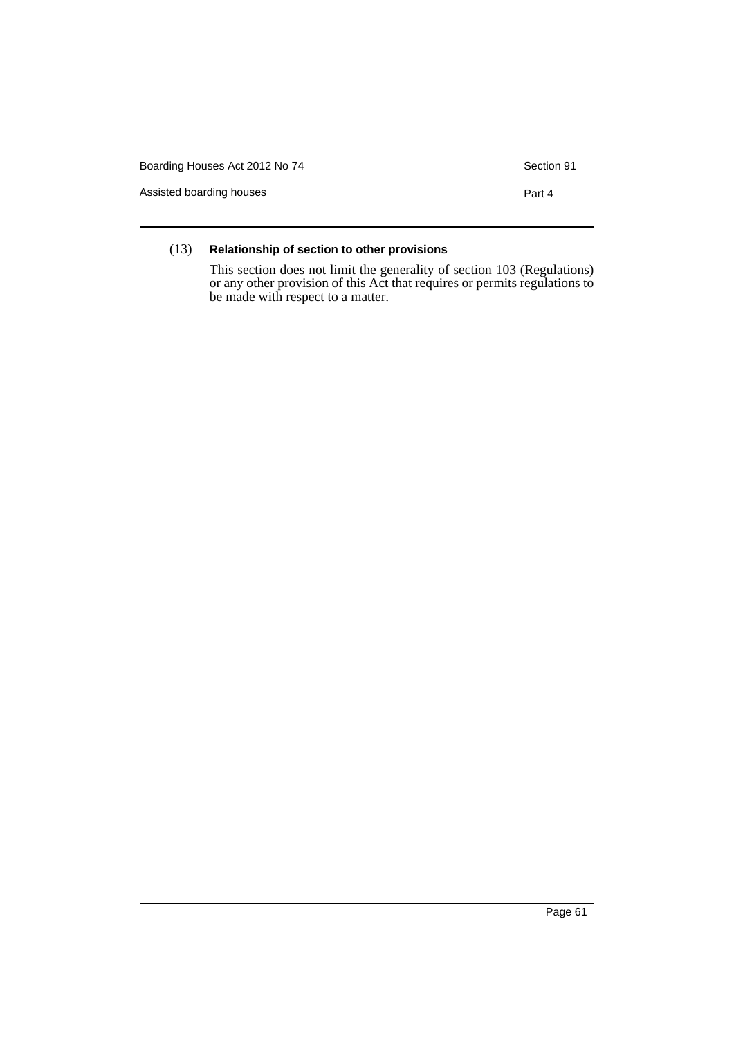| Boarding Houses Act 2012 No 74 | Section 91 |
|--------------------------------|------------|
| Assisted boarding houses       | Part 4     |
|                                |            |

## (13) **Relationship of section to other provisions**

This section does not limit the generality of section 103 (Regulations) or any other provision of this Act that requires or permits regulations to be made with respect to a matter.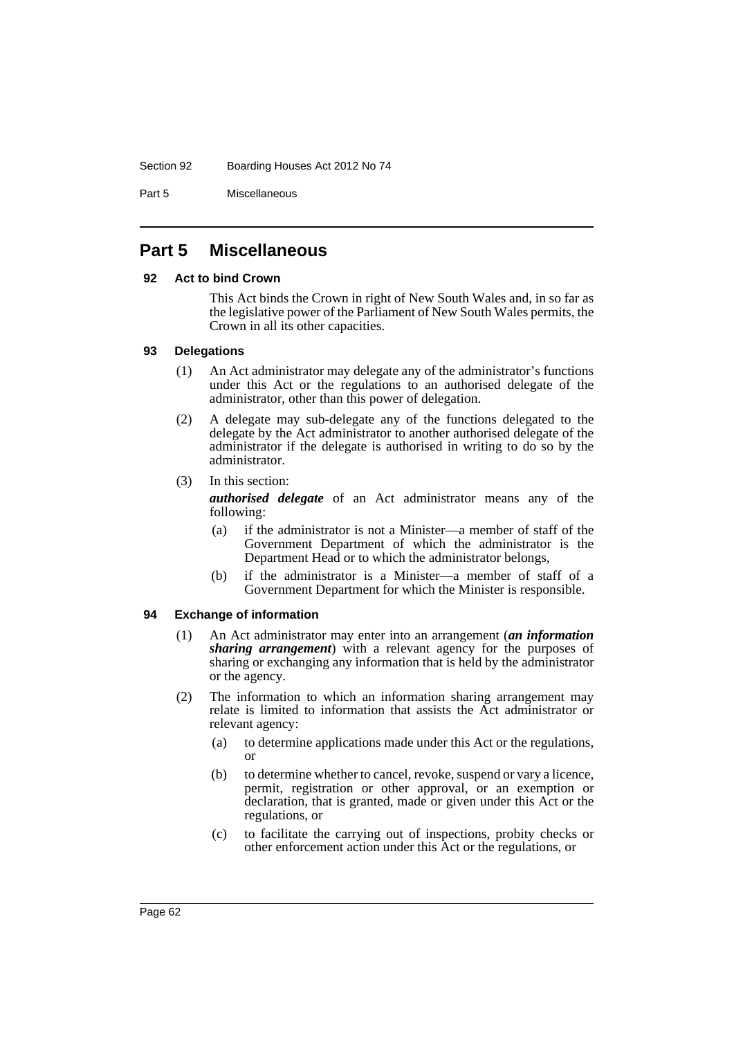#### Section 92 Boarding Houses Act 2012 No 74

Part 5 Miscellaneous

# **Part 5 Miscellaneous**

## **92 Act to bind Crown**

This Act binds the Crown in right of New South Wales and, in so far as the legislative power of the Parliament of New South Wales permits, the Crown in all its other capacities.

## **93 Delegations**

- (1) An Act administrator may delegate any of the administrator's functions under this Act or the regulations to an authorised delegate of the administrator, other than this power of delegation.
- (2) A delegate may sub-delegate any of the functions delegated to the delegate by the Act administrator to another authorised delegate of the administrator if the delegate is authorised in writing to do so by the administrator.
- (3) In this section:

*authorised delegate* of an Act administrator means any of the following:

- (a) if the administrator is not a Minister—a member of staff of the Government Department of which the administrator is the Department Head or to which the administrator belongs,
- (b) if the administrator is a Minister—a member of staff of a Government Department for which the Minister is responsible.

## **94 Exchange of information**

- (1) An Act administrator may enter into an arrangement (*an information sharing arrangement*) with a relevant agency for the purposes of sharing or exchanging any information that is held by the administrator or the agency.
- (2) The information to which an information sharing arrangement may relate is limited to information that assists the Act administrator or relevant agency:
	- (a) to determine applications made under this Act or the regulations, or
	- (b) to determine whether to cancel, revoke, suspend or vary a licence, permit, registration or other approval, or an exemption or declaration, that is granted, made or given under this Act or the regulations, or
	- (c) to facilitate the carrying out of inspections, probity checks or other enforcement action under this Act or the regulations, or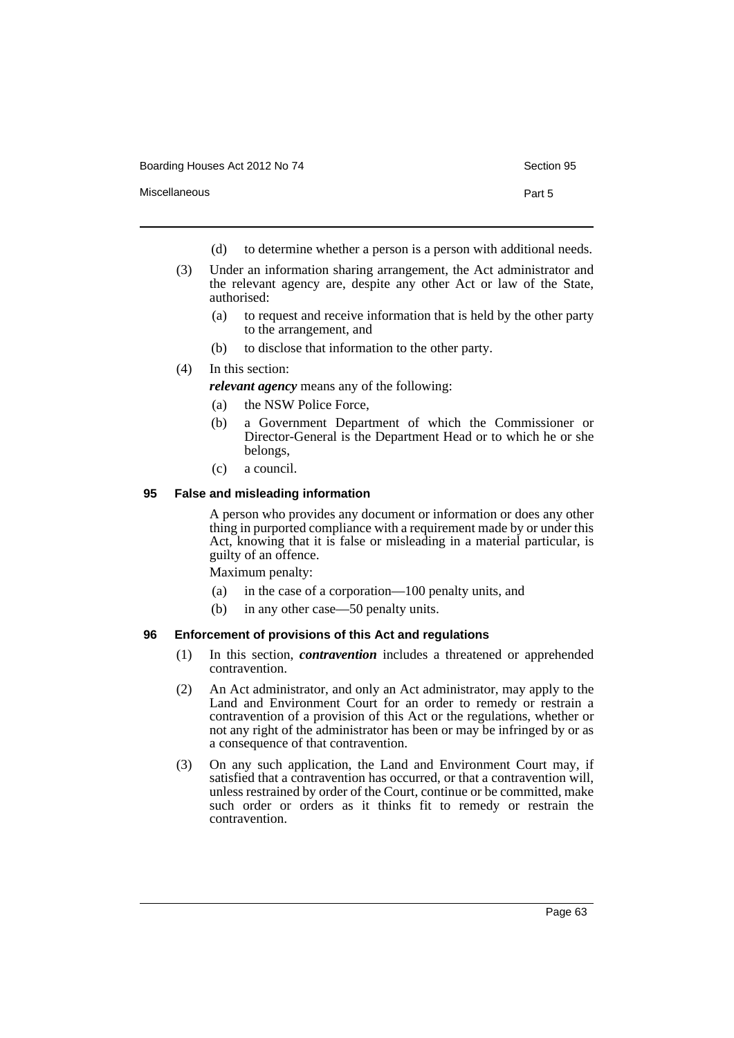|               | -----  |
|---------------|--------|
| Miscellaneous | Part 5 |

- (d) to determine whether a person is a person with additional needs.
- (3) Under an information sharing arrangement, the Act administrator and the relevant agency are, despite any other Act or law of the State, authorised:
	- (a) to request and receive information that is held by the other party to the arrangement, and
	- (b) to disclose that information to the other party.
- (4) In this section:

*relevant agency* means any of the following:

- (a) the NSW Police Force,
- (b) a Government Department of which the Commissioner or Director-General is the Department Head or to which he or she belongs,
- (c) a council.

## **95 False and misleading information**

A person who provides any document or information or does any other thing in purported compliance with a requirement made by or under this Act, knowing that it is false or misleading in a material particular, is guilty of an offence.

Maximum penalty:

- (a) in the case of a corporation—100 penalty units, and
- (b) in any other case—50 penalty units.

## **96 Enforcement of provisions of this Act and regulations**

- (1) In this section, *contravention* includes a threatened or apprehended contravention.
- (2) An Act administrator, and only an Act administrator, may apply to the Land and Environment Court for an order to remedy or restrain a contravention of a provision of this Act or the regulations, whether or not any right of the administrator has been or may be infringed by or as a consequence of that contravention.
- (3) On any such application, the Land and Environment Court may, if satisfied that a contravention has occurred, or that a contravention will, unless restrained by order of the Court, continue or be committed, make such order or orders as it thinks fit to remedy or restrain the contravention.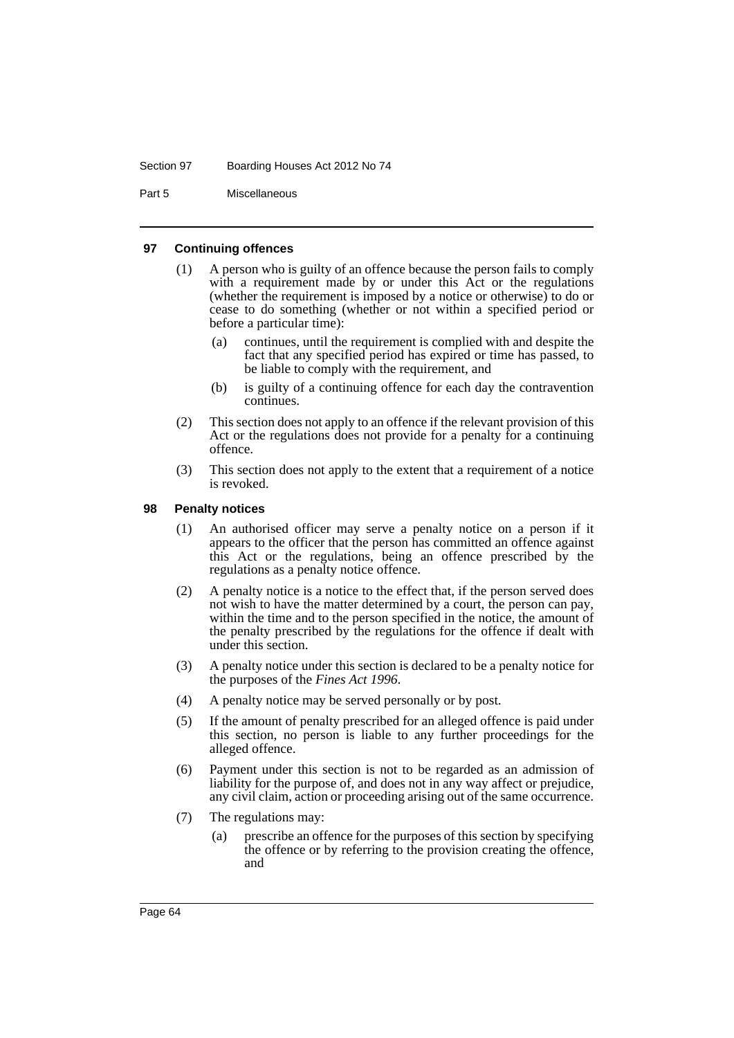#### Section 97 Boarding Houses Act 2012 No 74

Part 5 Miscellaneous

#### **97 Continuing offences**

- (1) A person who is guilty of an offence because the person fails to comply with a requirement made by or under this Act or the regulations (whether the requirement is imposed by a notice or otherwise) to do or cease to do something (whether or not within a specified period or before a particular time):
	- (a) continues, until the requirement is complied with and despite the fact that any specified period has expired or time has passed, to be liable to comply with the requirement, and
	- (b) is guilty of a continuing offence for each day the contravention continues.
- (2) This section does not apply to an offence if the relevant provision of this Act or the regulations does not provide for a penalty for a continuing offence.
- (3) This section does not apply to the extent that a requirement of a notice is revoked.

### **98 Penalty notices**

- (1) An authorised officer may serve a penalty notice on a person if it appears to the officer that the person has committed an offence against this Act or the regulations, being an offence prescribed by the regulations as a penalty notice offence.
- (2) A penalty notice is a notice to the effect that, if the person served does not wish to have the matter determined by a court, the person can pay, within the time and to the person specified in the notice, the amount of the penalty prescribed by the regulations for the offence if dealt with under this section.
- (3) A penalty notice under this section is declared to be a penalty notice for the purposes of the *Fines Act 1996*.
- (4) A penalty notice may be served personally or by post.
- (5) If the amount of penalty prescribed for an alleged offence is paid under this section, no person is liable to any further proceedings for the alleged offence.
- (6) Payment under this section is not to be regarded as an admission of liability for the purpose of, and does not in any way affect or prejudice, any civil claim, action or proceeding arising out of the same occurrence.
- (7) The regulations may:
	- (a) prescribe an offence for the purposes of this section by specifying the offence or by referring to the provision creating the offence, and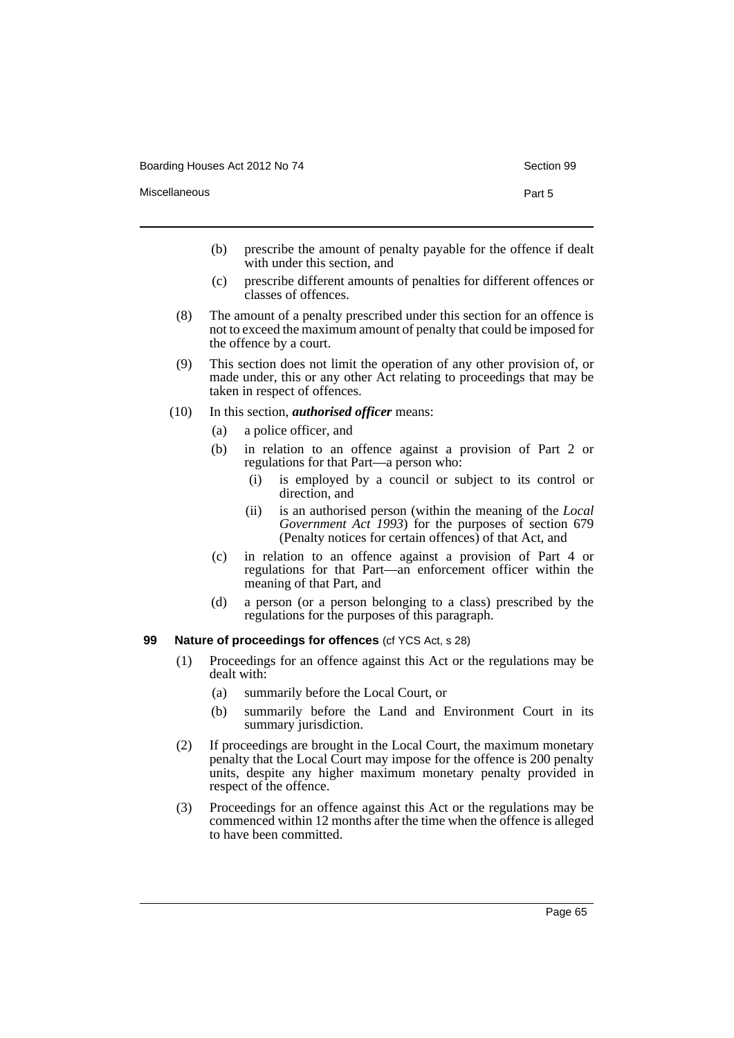- Miscellaneous **Part 5** 
	- (b) prescribe the amount of penalty payable for the offence if dealt with under this section, and
	- (c) prescribe different amounts of penalties for different offences or classes of offences.
	- (8) The amount of a penalty prescribed under this section for an offence is not to exceed the maximum amount of penalty that could be imposed for the offence by a court.
	- (9) This section does not limit the operation of any other provision of, or made under, this or any other Act relating to proceedings that may be taken in respect of offences.
	- (10) In this section, *authorised officer* means:
		- (a) a police officer, and
		- (b) in relation to an offence against a provision of Part 2 or regulations for that Part—a person who:
			- (i) is employed by a council or subject to its control or direction, and
			- (ii) is an authorised person (within the meaning of the *Local Government Act 1993*) for the purposes of section 679 (Penalty notices for certain offences) of that Act, and
		- (c) in relation to an offence against a provision of Part 4 or regulations for that Part—an enforcement officer within the meaning of that Part, and
		- (d) a person (or a person belonging to a class) prescribed by the regulations for the purposes of this paragraph.

# **99 Nature of proceedings for offences** (cf YCS Act, s 28)

- (1) Proceedings for an offence against this Act or the regulations may be dealt with:
	- (a) summarily before the Local Court, or
	- (b) summarily before the Land and Environment Court in its summary jurisdiction.
- (2) If proceedings are brought in the Local Court, the maximum monetary penalty that the Local Court may impose for the offence is 200 penalty units, despite any higher maximum monetary penalty provided in respect of the offence.
- (3) Proceedings for an offence against this Act or the regulations may be commenced within 12 months after the time when the offence is alleged to have been committed.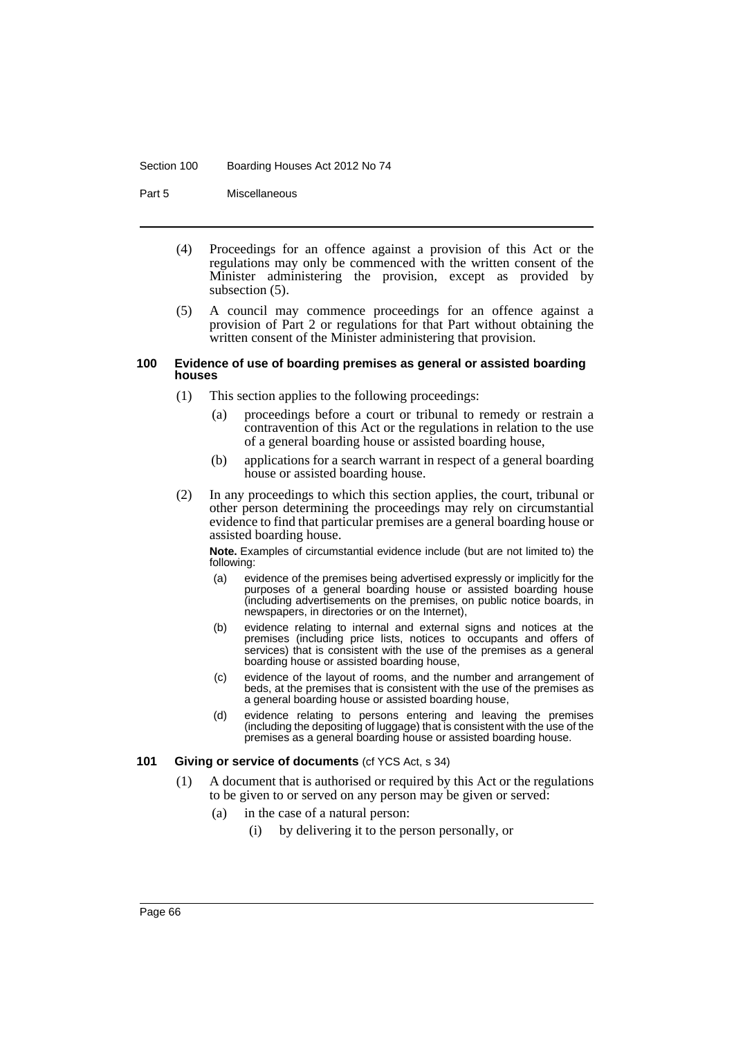#### Section 100 Boarding Houses Act 2012 No 74

Part 5 Miscellaneous

- (4) Proceedings for an offence against a provision of this Act or the regulations may only be commenced with the written consent of the Minister administering the provision, except as provided by subsection (5).
- (5) A council may commence proceedings for an offence against a provision of Part 2 or regulations for that Part without obtaining the written consent of the Minister administering that provision.

#### **100 Evidence of use of boarding premises as general or assisted boarding houses**

- (1) This section applies to the following proceedings:
	- (a) proceedings before a court or tribunal to remedy or restrain a contravention of this Act or the regulations in relation to the use of a general boarding house or assisted boarding house,
	- (b) applications for a search warrant in respect of a general boarding house or assisted boarding house.
- (2) In any proceedings to which this section applies, the court, tribunal or other person determining the proceedings may rely on circumstantial evidence to find that particular premises are a general boarding house or assisted boarding house.

**Note.** Examples of circumstantial evidence include (but are not limited to) the following:

- (a) evidence of the premises being advertised expressly or implicitly for the purposes of a general boarding house or assisted boarding house (including advertisements on the premises, on public notice boards, in newspapers, in directories or on the Internet),
- (b) evidence relating to internal and external signs and notices at the premises (including price lists, notices to occupants and offers of services) that is consistent with the use of the premises as a general boarding house or assisted boarding house,
- (c) evidence of the layout of rooms, and the number and arrangement of beds, at the premises that is consistent with the use of the premises as a general boarding house or assisted boarding house,
- (d) evidence relating to persons entering and leaving the premises (including the depositing of luggage) that is consistent with the use of the premises as a general boarding house or assisted boarding house.

#### **101 Giving or service of documents** (cf YCS Act, s 34)

- (1) A document that is authorised or required by this Act or the regulations to be given to or served on any person may be given or served:
	- (a) in the case of a natural person:
		- (i) by delivering it to the person personally, or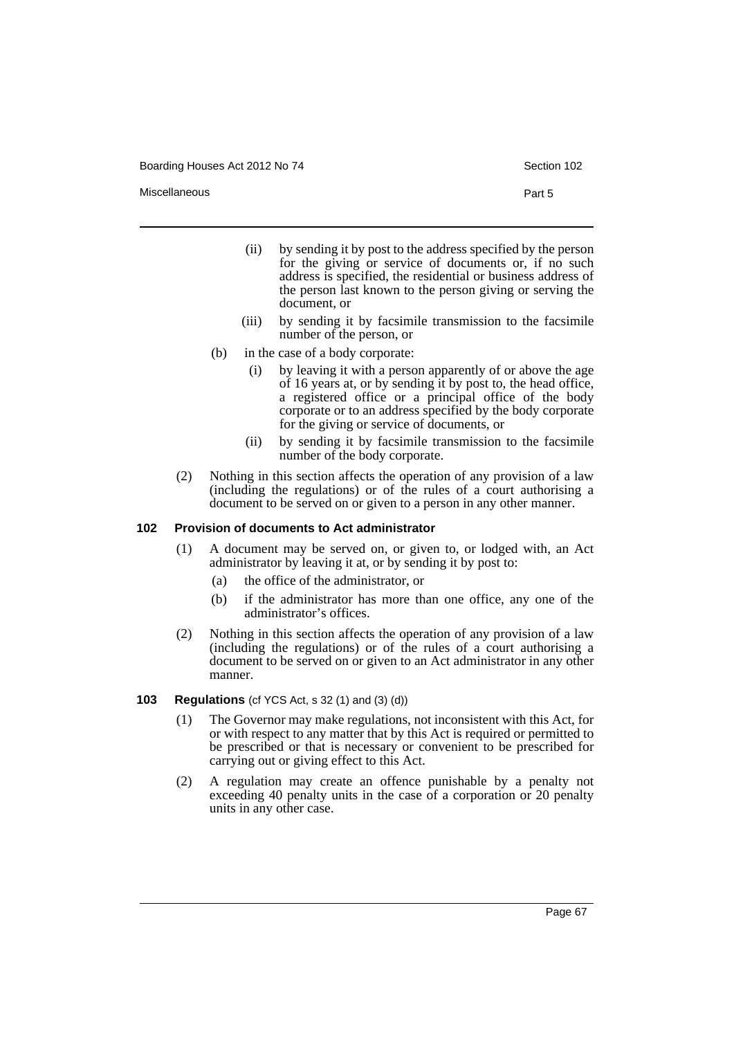Boarding Houses Act 2012 No 74 Section 102

Miscellaneous **Part 5** 

- (ii) by sending it by post to the address specified by the person for the giving or service of documents or, if no such address is specified, the residential or business address of the person last known to the person giving or serving the document, or
- (iii) by sending it by facsimile transmission to the facsimile number of the person, or
- (b) in the case of a body corporate:
	- (i) by leaving it with a person apparently of or above the age of 16 years at, or by sending it by post to, the head office, a registered office or a principal office of the body corporate or to an address specified by the body corporate for the giving or service of documents, or
	- (ii) by sending it by facsimile transmission to the facsimile number of the body corporate.
- (2) Nothing in this section affects the operation of any provision of a law (including the regulations) or of the rules of a court authorising a document to be served on or given to a person in any other manner.

#### **102 Provision of documents to Act administrator**

- (1) A document may be served on, or given to, or lodged with, an Act administrator by leaving it at, or by sending it by post to:
	- (a) the office of the administrator, or
	- (b) if the administrator has more than one office, any one of the administrator's offices.
- (2) Nothing in this section affects the operation of any provision of a law (including the regulations) or of the rules of a court authorising a document to be served on or given to an Act administrator in any other manner.

#### **103 Regulations** (cf YCS Act, s 32 (1) and (3) (d))

- (1) The Governor may make regulations, not inconsistent with this Act, for or with respect to any matter that by this Act is required or permitted to be prescribed or that is necessary or convenient to be prescribed for carrying out or giving effect to this Act.
- (2) A regulation may create an offence punishable by a penalty not exceeding 40 penalty units in the case of a corporation or 20 penalty units in any other case.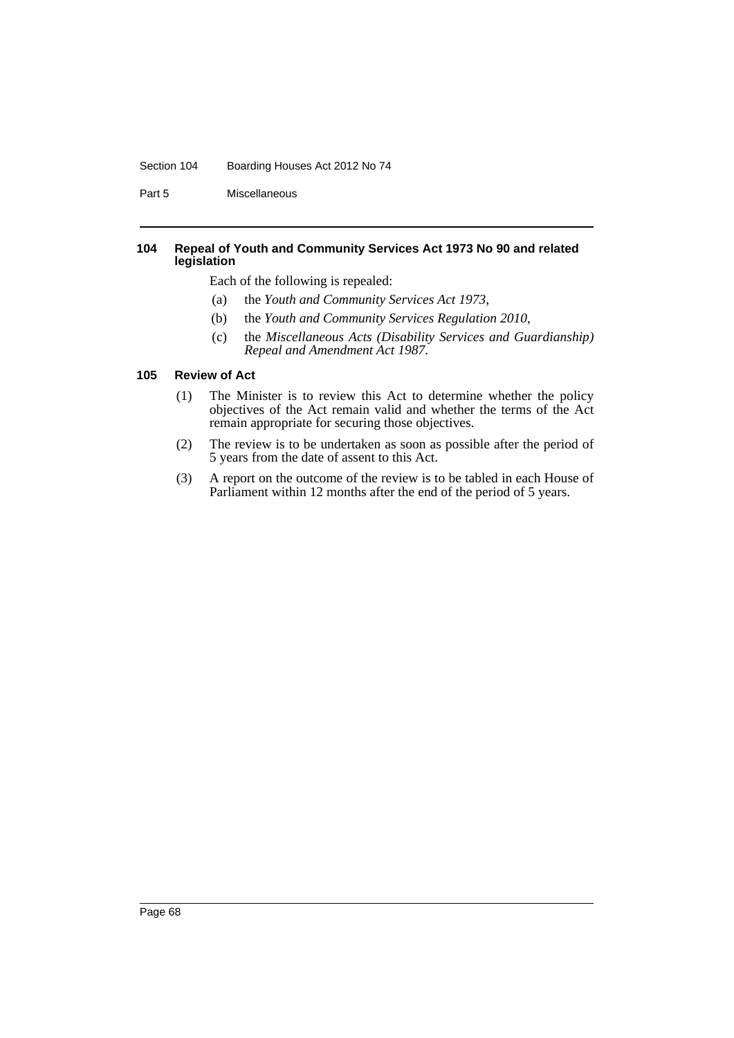#### Section 104 Boarding Houses Act 2012 No 74

Part 5 Miscellaneous

#### **104 Repeal of Youth and Community Services Act 1973 No 90 and related legislation**

Each of the following is repealed:

- (a) the *Youth and Community Services Act 1973*,
- (b) the *Youth and Community Services Regulation 2010*,
- (c) the *Miscellaneous Acts (Disability Services and Guardianship) Repeal and Amendment Act 1987*.

#### **105 Review of Act**

- (1) The Minister is to review this Act to determine whether the policy objectives of the Act remain valid and whether the terms of the Act remain appropriate for securing those objectives.
- (2) The review is to be undertaken as soon as possible after the period of 5 years from the date of assent to this Act.
- (3) A report on the outcome of the review is to be tabled in each House of Parliament within 12 months after the end of the period of 5 years.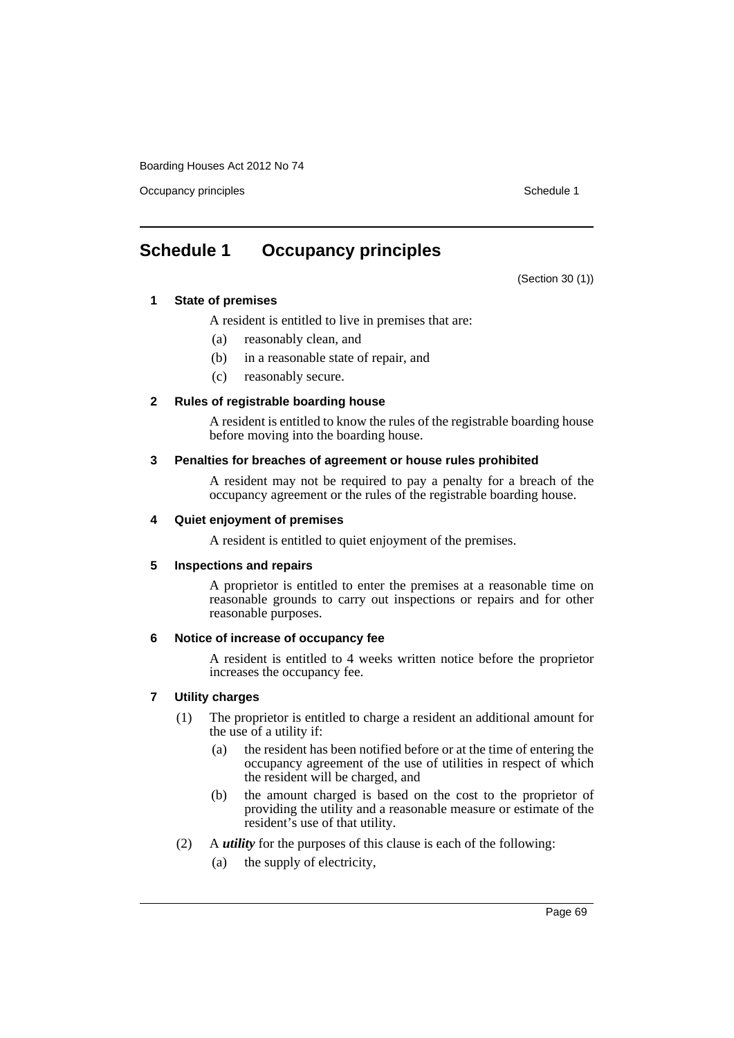Occupancy principles **Schedule 1** Schedule 1

# **Schedule 1 Occupancy principles**

(Section 30 (1))

### **1 State of premises**

- A resident is entitled to live in premises that are:
- (a) reasonably clean, and
- (b) in a reasonable state of repair, and
- (c) reasonably secure.

### **2 Rules of registrable boarding house**

A resident is entitled to know the rules of the registrable boarding house before moving into the boarding house.

#### **3 Penalties for breaches of agreement or house rules prohibited**

A resident may not be required to pay a penalty for a breach of the occupancy agreement or the rules of the registrable boarding house.

### **4 Quiet enjoyment of premises**

A resident is entitled to quiet enjoyment of the premises.

#### **5 Inspections and repairs**

A proprietor is entitled to enter the premises at a reasonable time on reasonable grounds to carry out inspections or repairs and for other reasonable purposes.

#### **6 Notice of increase of occupancy fee**

A resident is entitled to 4 weeks written notice before the proprietor increases the occupancy fee.

### **7 Utility charges**

- (1) The proprietor is entitled to charge a resident an additional amount for the use of a utility if:
	- (a) the resident has been notified before or at the time of entering the occupancy agreement of the use of utilities in respect of which the resident will be charged, and
	- (b) the amount charged is based on the cost to the proprietor of providing the utility and a reasonable measure or estimate of the resident's use of that utility.
- (2) A *utility* for the purposes of this clause is each of the following:
	- (a) the supply of electricity,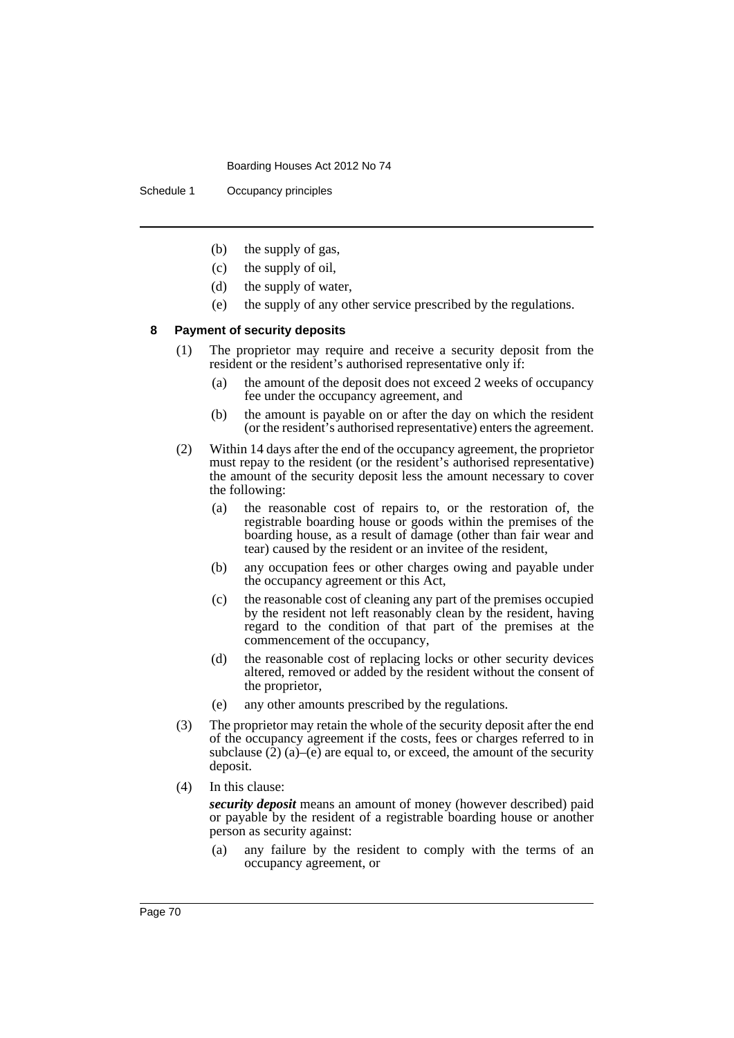Schedule 1 Occupancy principles

- (b) the supply of gas,
- (c) the supply of oil,
- (d) the supply of water,
- (e) the supply of any other service prescribed by the regulations.

#### **8 Payment of security deposits**

- (1) The proprietor may require and receive a security deposit from the resident or the resident's authorised representative only if:
	- (a) the amount of the deposit does not exceed 2 weeks of occupancy fee under the occupancy agreement, and
	- (b) the amount is payable on or after the day on which the resident (or the resident's authorised representative) enters the agreement.
- (2) Within 14 days after the end of the occupancy agreement, the proprietor must repay to the resident (or the resident's authorised representative) the amount of the security deposit less the amount necessary to cover the following:
	- (a) the reasonable cost of repairs to, or the restoration of, the registrable boarding house or goods within the premises of the boarding house, as a result of damage (other than fair wear and tear) caused by the resident or an invitee of the resident,
	- (b) any occupation fees or other charges owing and payable under the occupancy agreement or this Act,
	- (c) the reasonable cost of cleaning any part of the premises occupied by the resident not left reasonably clean by the resident, having regard to the condition of that part of the premises at the commencement of the occupancy,
	- (d) the reasonable cost of replacing locks or other security devices altered, removed or added by the resident without the consent of the proprietor,
	- (e) any other amounts prescribed by the regulations.
- (3) The proprietor may retain the whole of the security deposit after the end of the occupancy agreement if the costs, fees or charges referred to in subclause  $(2)$  (a)–(e) are equal to, or exceed, the amount of the security deposit.
- (4) In this clause:

*security deposit* means an amount of money (however described) paid or payable by the resident of a registrable boarding house or another person as security against:

(a) any failure by the resident to comply with the terms of an occupancy agreement, or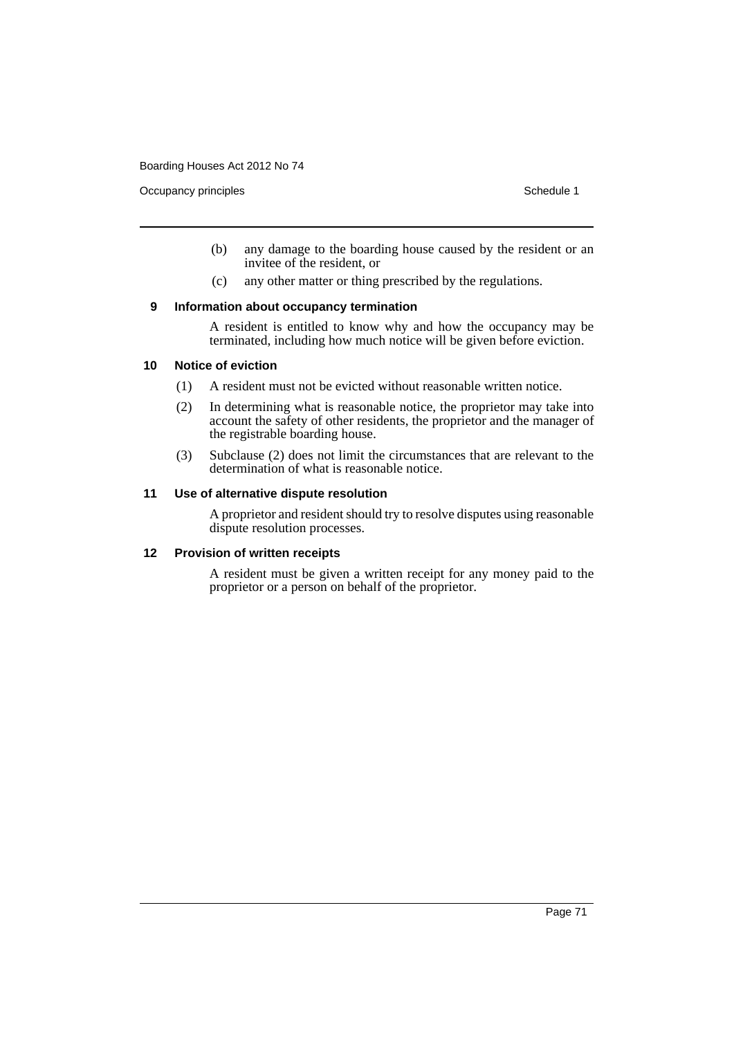Occupancy principles **Schedule 1** Schedule 1

- (b) any damage to the boarding house caused by the resident or an invitee of the resident, or
- (c) any other matter or thing prescribed by the regulations.

### **9 Information about occupancy termination**

A resident is entitled to know why and how the occupancy may be terminated, including how much notice will be given before eviction.

#### **10 Notice of eviction**

- (1) A resident must not be evicted without reasonable written notice.
- (2) In determining what is reasonable notice, the proprietor may take into account the safety of other residents, the proprietor and the manager of the registrable boarding house.
- (3) Subclause (2) does not limit the circumstances that are relevant to the determination of what is reasonable notice.

#### **11 Use of alternative dispute resolution**

A proprietor and resident should try to resolve disputes using reasonable dispute resolution processes.

### **12 Provision of written receipts**

A resident must be given a written receipt for any money paid to the proprietor or a person on behalf of the proprietor.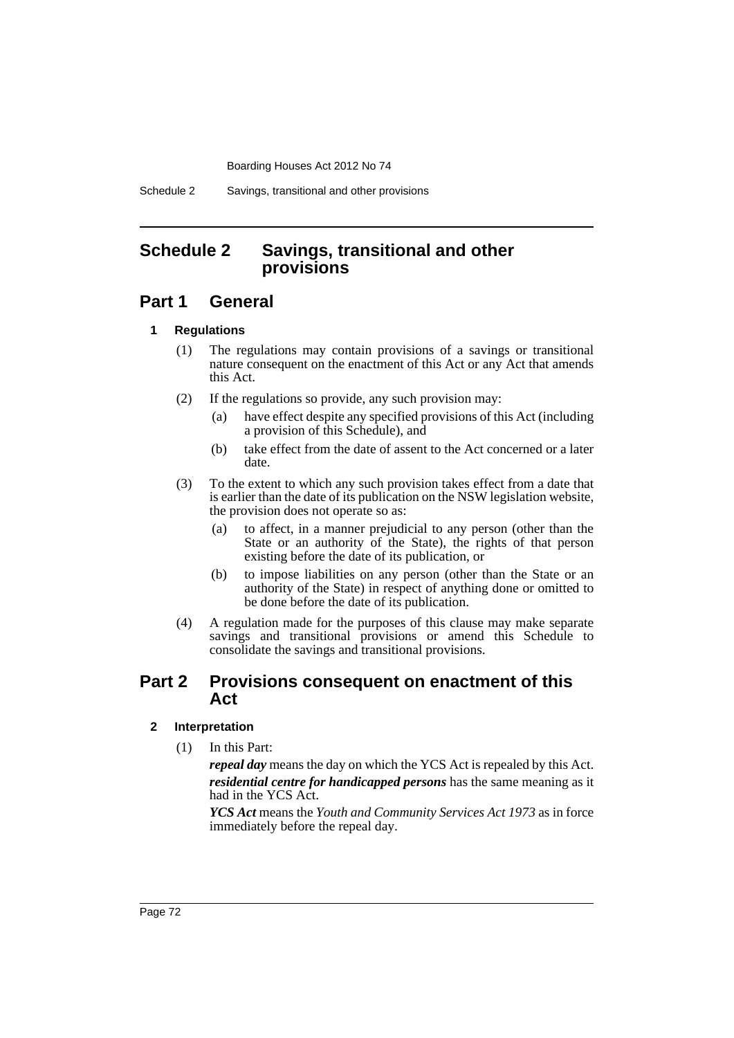Schedule 2 Savings, transitional and other provisions

## **Schedule 2 Savings, transitional and other provisions**

## **Part 1 General**

### **1 Regulations**

- (1) The regulations may contain provisions of a savings or transitional nature consequent on the enactment of this Act or any Act that amends this Act.
- (2) If the regulations so provide, any such provision may:
	- (a) have effect despite any specified provisions of this Act (including a provision of this Schedule), and
	- (b) take effect from the date of assent to the Act concerned or a later date.
- (3) To the extent to which any such provision takes effect from a date that is earlier than the date of its publication on the NSW legislation website, the provision does not operate so as:
	- (a) to affect, in a manner prejudicial to any person (other than the State or an authority of the State), the rights of that person existing before the date of its publication, or
	- (b) to impose liabilities on any person (other than the State or an authority of the State) in respect of anything done or omitted to be done before the date of its publication.
- (4) A regulation made for the purposes of this clause may make separate savings and transitional provisions or amend this Schedule to consolidate the savings and transitional provisions.

## **Part 2 Provisions consequent on enactment of this Act**

### **2 Interpretation**

(1) In this Part:

*repeal day* means the day on which the YCS Act is repealed by this Act. *residential centre for handicapped persons* has the same meaning as it had in the YCS Act.

*YCS Act* means the *Youth and Community Services Act 1973* as in force immediately before the repeal day.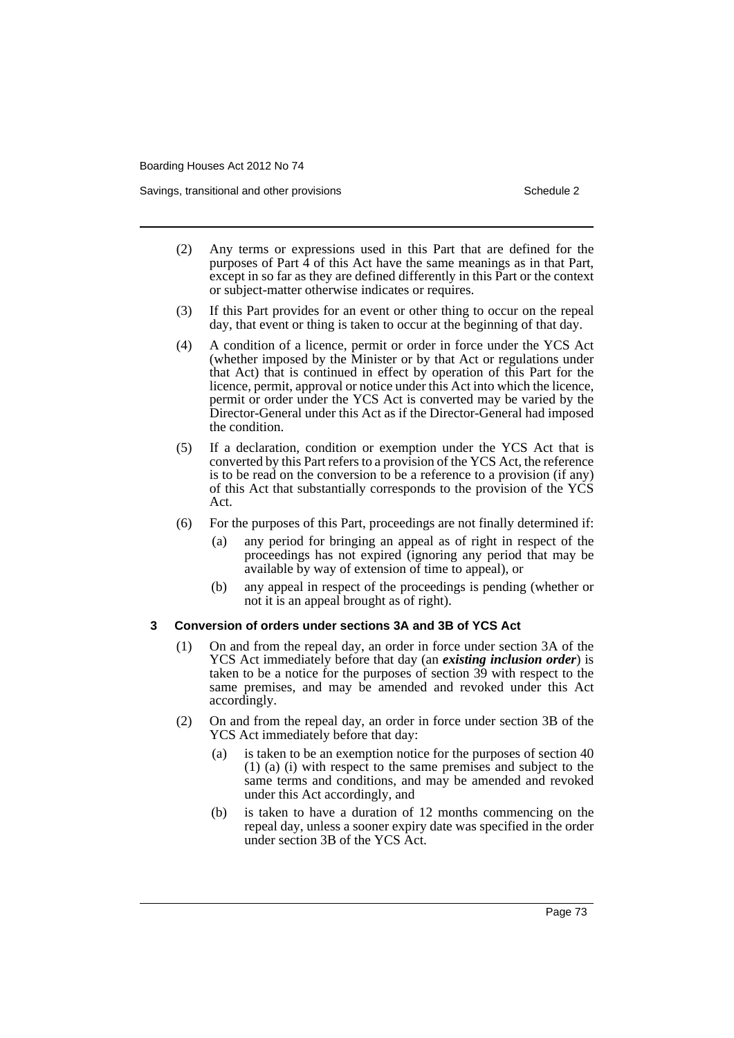Savings, transitional and other provisions Schedule 2 and Schedule 2

- (2) Any terms or expressions used in this Part that are defined for the purposes of Part  $\hat{4}$  of this Act have the same meanings as in that Part, except in so far as they are defined differently in this Part or the context or subject-matter otherwise indicates or requires.
- (3) If this Part provides for an event or other thing to occur on the repeal day, that event or thing is taken to occur at the beginning of that day.
- (4) A condition of a licence, permit or order in force under the YCS Act (whether imposed by the Minister or by that Act or regulations under that Act) that is continued in effect by operation of this Part for the licence, permit, approval or notice under this Act into which the licence, permit or order under the YCS Act is converted may be varied by the Director-General under this Act as if the Director-General had imposed the condition.
- (5) If a declaration, condition or exemption under the YCS Act that is converted by this Part refers to a provision of the YCS Act, the reference is to be read on the conversion to be a reference to a provision (if any) of this Act that substantially corresponds to the provision of the YCS Act.
- (6) For the purposes of this Part, proceedings are not finally determined if:
	- (a) any period for bringing an appeal as of right in respect of the proceedings has not expired (ignoring any period that may be available by way of extension of time to appeal), or
	- (b) any appeal in respect of the proceedings is pending (whether or not it is an appeal brought as of right).

#### **3 Conversion of orders under sections 3A and 3B of YCS Act**

- (1) On and from the repeal day, an order in force under section 3A of the YCS Act immediately before that day (an *existing inclusion order*) is taken to be a notice for the purposes of section 39 with respect to the same premises, and may be amended and revoked under this Act accordingly.
- (2) On and from the repeal day, an order in force under section 3B of the YCS Act immediately before that day:
	- (a) is taken to be an exemption notice for the purposes of section 40 (1) (a) (i) with respect to the same premises and subject to the same terms and conditions, and may be amended and revoked under this Act accordingly, and
	- (b) is taken to have a duration of 12 months commencing on the repeal day, unless a sooner expiry date was specified in the order under section 3B of the YCS Act.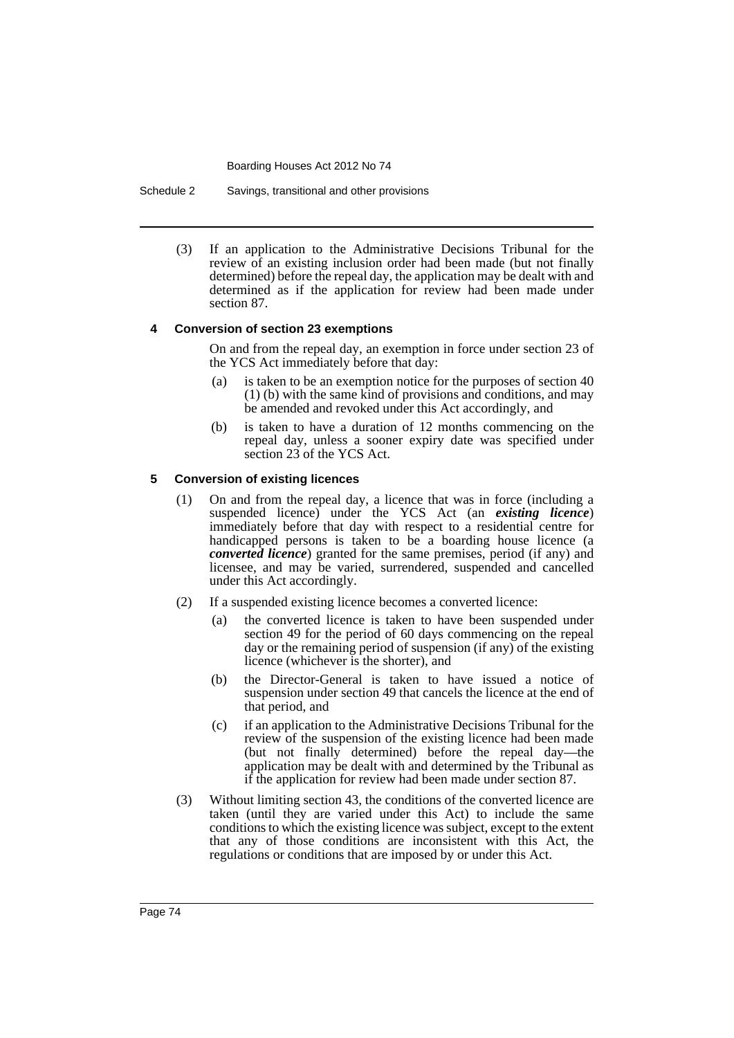Schedule 2 Savings, transitional and other provisions

(3) If an application to the Administrative Decisions Tribunal for the review of an existing inclusion order had been made (but not finally determined) before the repeal day, the application may be dealt with and determined as if the application for review had been made under section 87.

#### **4 Conversion of section 23 exemptions**

On and from the repeal day, an exemption in force under section 23 of the YCS Act immediately before that day:

- (a) is taken to be an exemption notice for the purposes of section 40 (1) (b) with the same kind of provisions and conditions, and may be amended and revoked under this Act accordingly, and
- (b) is taken to have a duration of 12 months commencing on the repeal day, unless a sooner expiry date was specified under section 23 of the YCS Act.

#### **5 Conversion of existing licences**

- (1) On and from the repeal day, a licence that was in force (including a suspended licence) under the YCS Act (an *existing licence*) immediately before that day with respect to a residential centre for handicapped persons is taken to be a boarding house licence (a *converted licence*) granted for the same premises, period (if any) and licensee, and may be varied, surrendered, suspended and cancelled under this Act accordingly.
- (2) If a suspended existing licence becomes a converted licence:
	- (a) the converted licence is taken to have been suspended under section 49 for the period of 60 days commencing on the repeal day or the remaining period of suspension (if any) of the existing licence (whichever is the shorter), and
	- (b) the Director-General is taken to have issued a notice of suspension under section 49 that cancels the licence at the end of that period, and
	- (c) if an application to the Administrative Decisions Tribunal for the review of the suspension of the existing licence had been made (but not finally determined) before the repeal day—the application may be dealt with and determined by the Tribunal as if the application for review had been made under section 87.
- (3) Without limiting section 43, the conditions of the converted licence are taken (until they are varied under this Act) to include the same conditions to which the existing licence was subject, except to the extent that any of those conditions are inconsistent with this Act, the regulations or conditions that are imposed by or under this Act.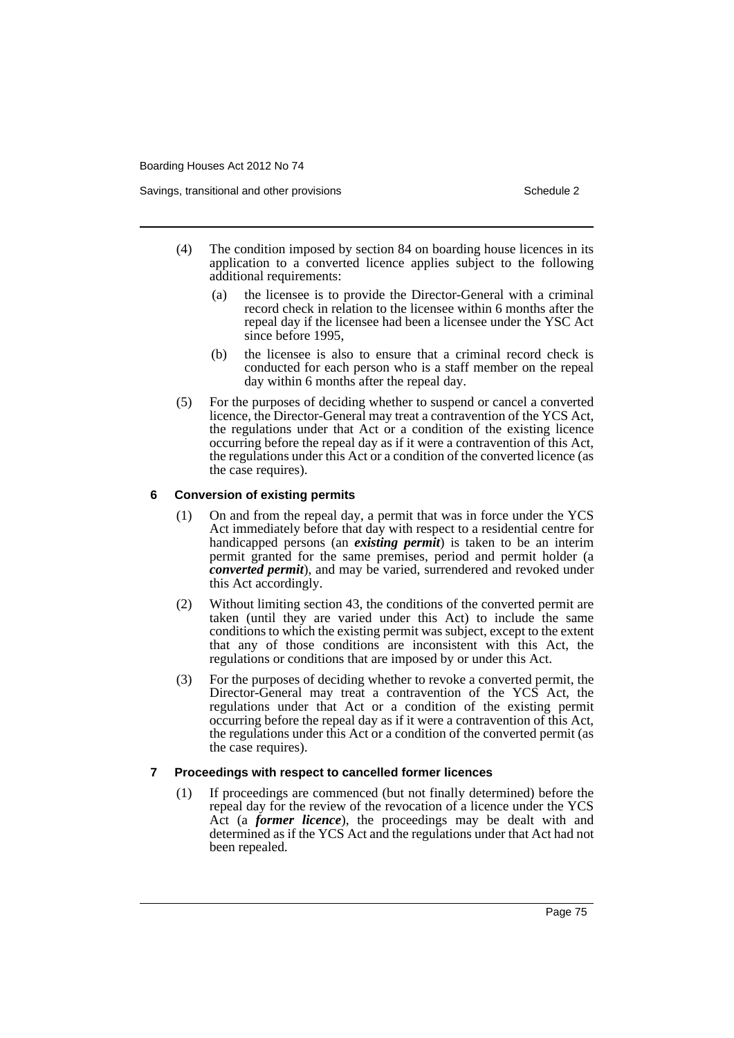- (4) The condition imposed by section 84 on boarding house licences in its application to a converted licence applies subject to the following additional requirements:
	- (a) the licensee is to provide the Director-General with a criminal record check in relation to the licensee within 6 months after the repeal day if the licensee had been a licensee under the YSC Act since before 1995,
	- (b) the licensee is also to ensure that a criminal record check is conducted for each person who is a staff member on the repeal day within 6 months after the repeal day.
- (5) For the purposes of deciding whether to suspend or cancel a converted licence, the Director-General may treat a contravention of the YCS Act, the regulations under that Act or a condition of the existing licence occurring before the repeal day as if it were a contravention of this Act, the regulations under this Act or a condition of the converted licence (as the case requires).

#### **6 Conversion of existing permits**

- (1) On and from the repeal day, a permit that was in force under the YCS Act immediately before that day with respect to a residential centre for handicapped persons (an *existing permit*) is taken to be an interim permit granted for the same premises, period and permit holder (a *converted permit*), and may be varied, surrendered and revoked under this Act accordingly.
- (2) Without limiting section 43, the conditions of the converted permit are taken (until they are varied under this Act) to include the same conditions to which the existing permit was subject, except to the extent that any of those conditions are inconsistent with this Act, the regulations or conditions that are imposed by or under this Act.
- (3) For the purposes of deciding whether to revoke a converted permit, the Director-General may treat a contravention of the YCS Act, the regulations under that Act or a condition of the existing permit occurring before the repeal day as if it were a contravention of this Act, the regulations under this Act or a condition of the converted permit (as the case requires).

#### **7 Proceedings with respect to cancelled former licences**

(1) If proceedings are commenced (but not finally determined) before the repeal day for the review of the revocation of a licence under the YCS Act (a *former licence*), the proceedings may be dealt with and determined as if the YCS Act and the regulations under that Act had not been repealed.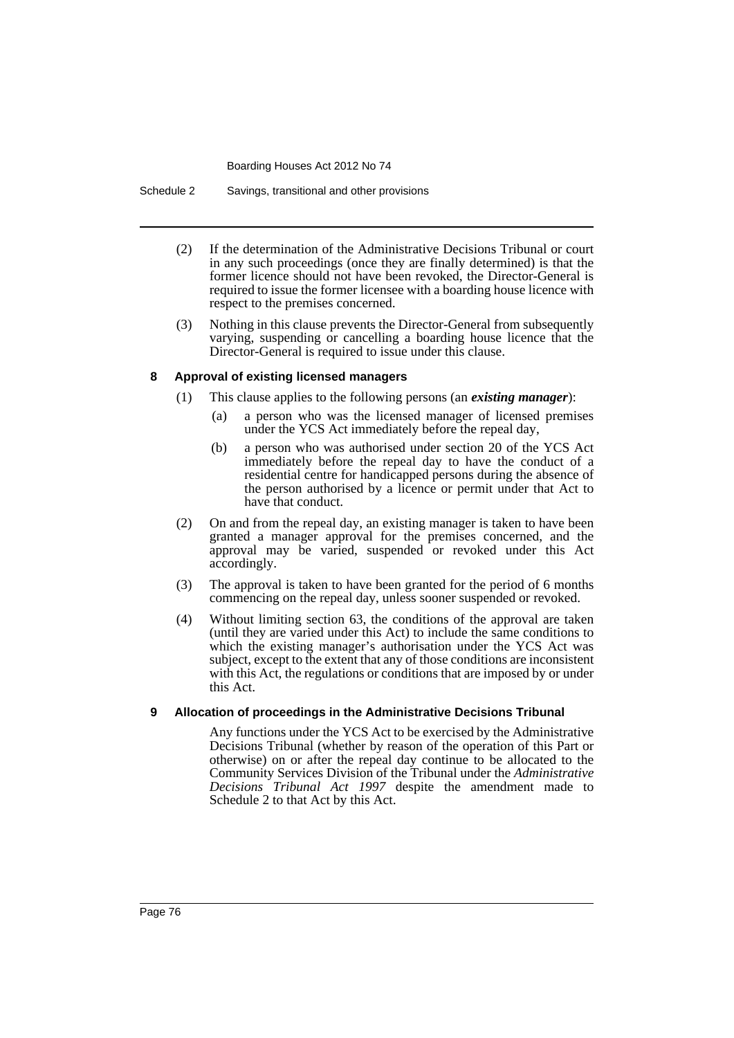Schedule 2 Savings, transitional and other provisions

- (2) If the determination of the Administrative Decisions Tribunal or court in any such proceedings (once they are finally determined) is that the former licence should not have been revoked, the Director-General is required to issue the former licensee with a boarding house licence with respect to the premises concerned.
- (3) Nothing in this clause prevents the Director-General from subsequently varying, suspending or cancelling a boarding house licence that the Director-General is required to issue under this clause.

#### **8 Approval of existing licensed managers**

- (1) This clause applies to the following persons (an *existing manager*):
	- (a) a person who was the licensed manager of licensed premises under the YCS Act immediately before the repeal day,
	- (b) a person who was authorised under section 20 of the YCS Act immediately before the repeal day to have the conduct of a residential centre for handicapped persons during the absence of the person authorised by a licence or permit under that Act to have that conduct.
- (2) On and from the repeal day, an existing manager is taken to have been granted a manager approval for the premises concerned, and the approval may be varied, suspended or revoked under this Act accordingly.
- (3) The approval is taken to have been granted for the period of 6 months commencing on the repeal day, unless sooner suspended or revoked.
- (4) Without limiting section 63, the conditions of the approval are taken (until they are varied under this Act) to include the same conditions to which the existing manager's authorisation under the YCS Act was subject, except to the extent that any of those conditions are inconsistent with this Act, the regulations or conditions that are imposed by or under this Act.

### **9 Allocation of proceedings in the Administrative Decisions Tribunal**

Any functions under the YCS Act to be exercised by the Administrative Decisions Tribunal (whether by reason of the operation of this Part or otherwise) on or after the repeal day continue to be allocated to the Community Services Division of the Tribunal under the *Administrative Decisions Tribunal Act 1997* despite the amendment made to Schedule 2 to that Act by this Act.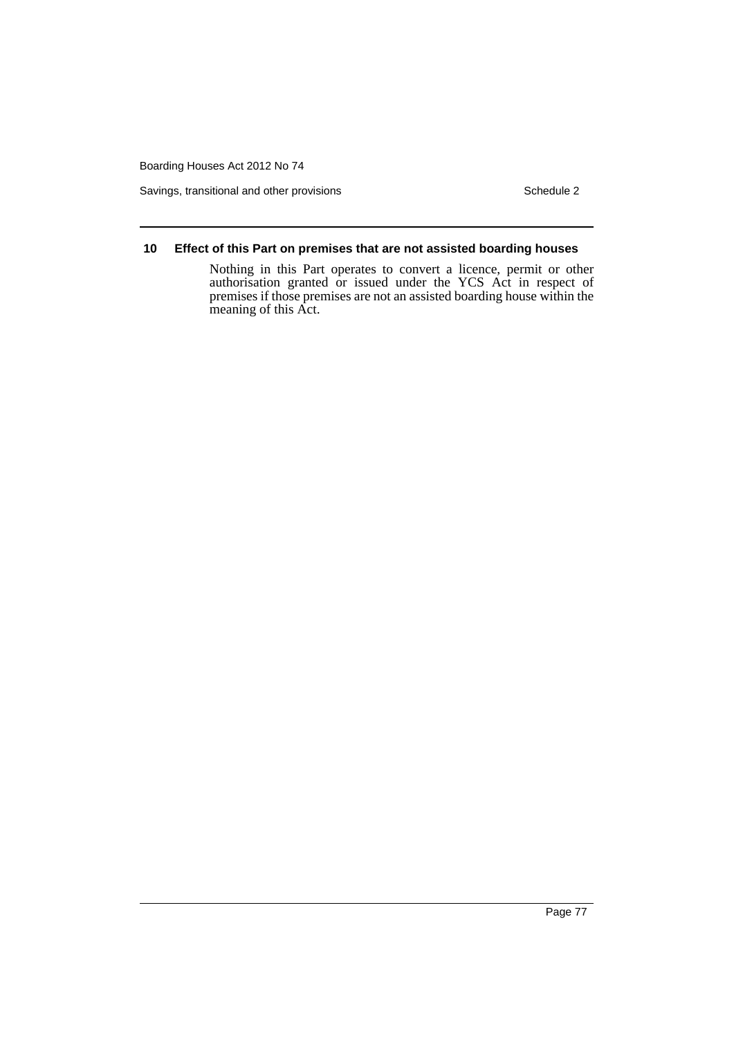Savings, transitional and other provisions Schedule 2 Schedule 2

#### **10 Effect of this Part on premises that are not assisted boarding houses**

Nothing in this Part operates to convert a licence, permit or other authorisation granted or issued under the YCS Act in respect of premises if those premises are not an assisted boarding house within the meaning of this Act.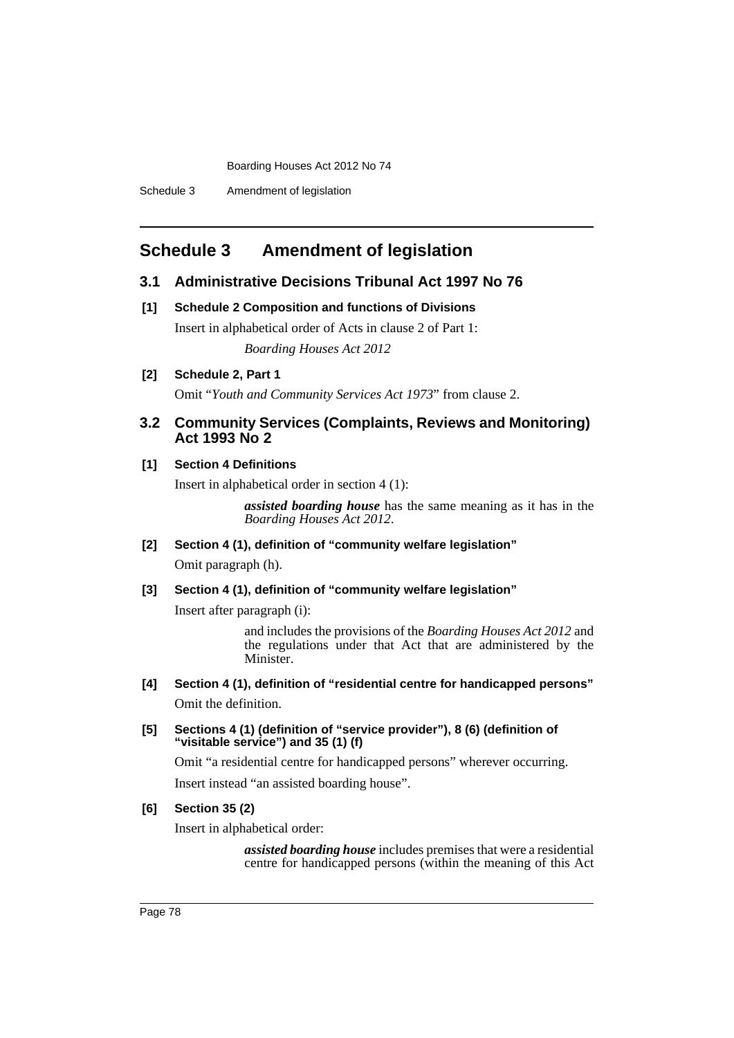## **Schedule 3 Amendment of legislation**

### **3.1 Administrative Decisions Tribunal Act 1997 No 76**

**[1] Schedule 2 Composition and functions of Divisions**

Insert in alphabetical order of Acts in clause 2 of Part 1: *Boarding Houses Act 2012*

**[2] Schedule 2, Part 1**

Omit "*Youth and Community Services Act 1973*" from clause 2.

### **3.2 Community Services (Complaints, Reviews and Monitoring) Act 1993 No 2**

### **[1] Section 4 Definitions**

Insert in alphabetical order in section 4 (1):

*assisted boarding house* has the same meaning as it has in the *Boarding Houses Act 2012*.

**[2] Section 4 (1), definition of "community welfare legislation"** Omit paragraph (h).

### **[3] Section 4 (1), definition of "community welfare legislation"**

Insert after paragraph (i):

and includes the provisions of the *Boarding Houses Act 2012* and the regulations under that Act that are administered by the Minister.

- **[4] Section 4 (1), definition of "residential centre for handicapped persons"** Omit the definition.
- **[5] Sections 4 (1) (definition of "service provider"), 8 (6) (definition of "visitable service") and 35 (1) (f)**

Omit "a residential centre for handicapped persons" wherever occurring.

Insert instead "an assisted boarding house".

### **[6] Section 35 (2)**

Insert in alphabetical order:

*assisted boarding house* includes premises that were a residential centre for handicapped persons (within the meaning of this Act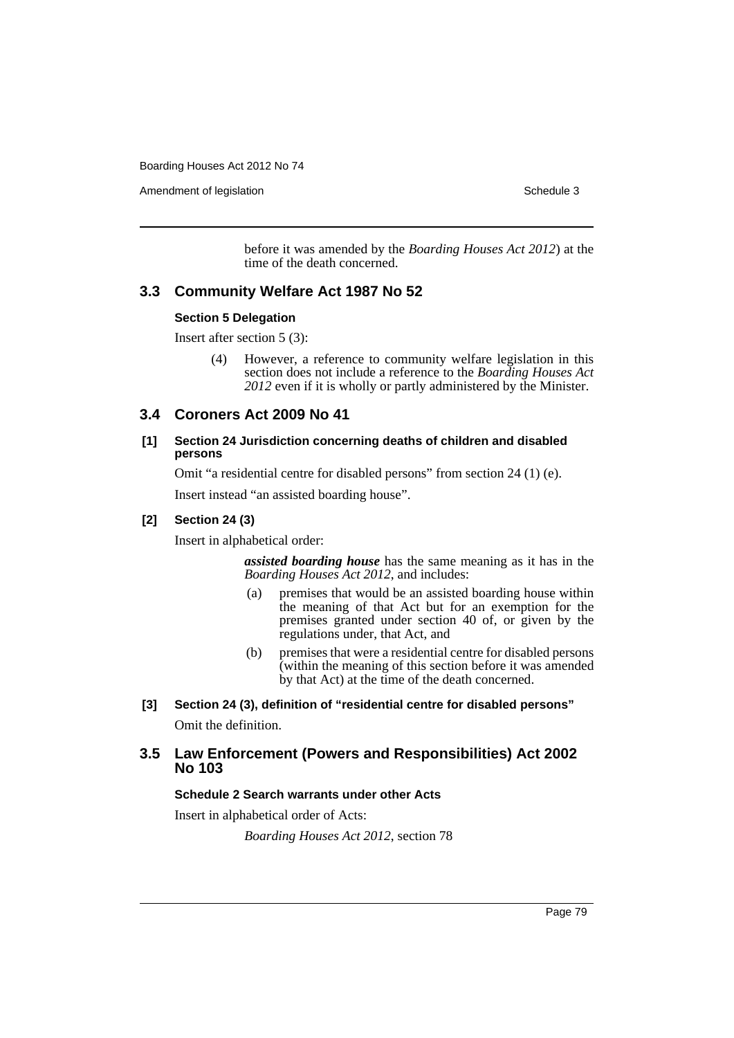Amendment of legislation **Schedule 3** Schedule 3

before it was amended by the *Boarding Houses Act 2012*) at the time of the death concerned.

### **3.3 Community Welfare Act 1987 No 52**

#### **Section 5 Delegation**

Insert after section 5 (3):

(4) However, a reference to community welfare legislation in this section does not include a reference to the *Boarding Houses Act 2012* even if it is wholly or partly administered by the Minister.

### **3.4 Coroners Act 2009 No 41**

#### **[1] Section 24 Jurisdiction concerning deaths of children and disabled persons**

Omit "a residential centre for disabled persons" from section 24 (1) (e).

Insert instead "an assisted boarding house".

### **[2] Section 24 (3)**

Insert in alphabetical order:

*assisted boarding house* has the same meaning as it has in the *Boarding Houses Act 2012*, and includes:

- (a) premises that would be an assisted boarding house within the meaning of that Act but for an exemption for the premises granted under section 40 of, or given by the regulations under, that Act, and
- (b) premises that were a residential centre for disabled persons (within the meaning of this section before it was amended by that Act) at the time of the death concerned.

# **[3] Section 24 (3), definition of "residential centre for disabled persons"**

Omit the definition.

### **3.5 Law Enforcement (Powers and Responsibilities) Act 2002 No 103**

#### **Schedule 2 Search warrants under other Acts**

Insert in alphabetical order of Acts:

*Boarding Houses Act 2012*, section 78